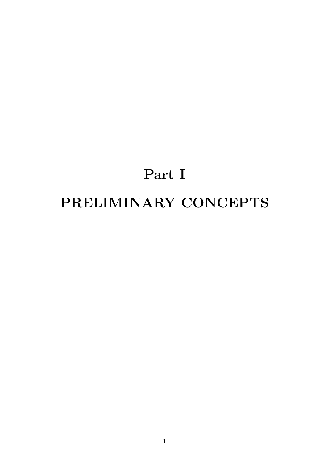# **Part I PRELIMINARY CONCEPTS**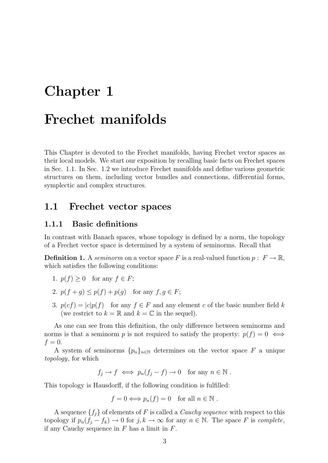# **Chapter 1**

# **Frechet manifolds**

This Chapter is devoted to the Frechet manifolds, having Frechet vector spaces as their local models. We start our exposition by recalling basic facts on Frechet spaces in Sec. 1.1. In Sec. 1.2 we introduce Frechet manifolds and define various geometric structures on them, including vector bundles and connections, differential forms, symplectic and complex structures.

### **1.1 Frechet vector spaces**

### **1.1.1 Basic definitions**

In contrast with Banach spaces, whose topology is defined by a norm, the topology of a Frechet vector space is determined by a system of seminorms. Recall that

**Definition 1.** A *seminorm* on a vector space *F* is a real-valued function  $p: F \to \mathbb{R}$ , which satisfies the following conditions:

- 1.  $p(f) \geq 0$  for any  $f \in F$ ;
- 2.  $p(f + q) \leq p(f) + p(g)$  for any  $f, g \in F$ ;
- 3.  $p(cf) = |c|p(f)$  for any  $f \in F$  and any element *c* of the basic number field *k* (we restrict to  $k = \mathbb{R}$  and  $k = \mathbb{C}$  in the sequel).

As one can see from this definition, the only difference between seminorms and norms is that a seminorm *p* is not required to satisfy the property:  $p(f) = 0 \iff$  $f = 0$ .

A system of seminorms  ${p_n}_{n \in \mathbb{N}}$  determines on the vector space F a unique *topology*, for which

 $f_i \to f \iff p_n(f_i - f) \to 0$  for any  $n \in \mathbb{N}$ .

This topology is Hausdorff, if the following condition is fulfilled:

$$
f = 0 \Longleftrightarrow p_n(f) = 0 \text{ for all } n \in \mathbb{N}.
$$

A sequence  $\{f_i\}$  of elements of F is called a *Cauchy sequence* with respect to this topology if  $p_n(f_j - f_k) \to 0$  for  $j, k \to \infty$  for any  $n \in \mathbb{N}$ . The space *F* is *complete*, if any Cauchy sequence in *F* has a limit in *F*.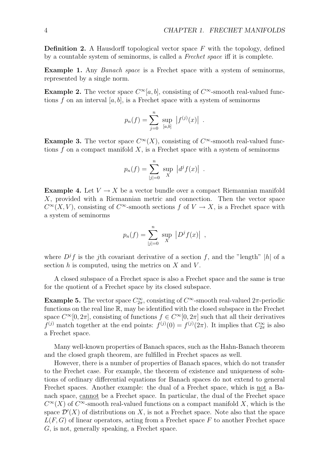**Definition 2.** A Hausdorff topological vector space *F* with the topology, defined by a countable system of seminorms, is called a *Frechet space* iff it is complete.

**Example 1.** Any *Banach space* is a Frechet space with a system of seminorms, represented by a single norm.

**Example 2.** The vector space  $C^{\infty}[a, b]$ , consisting of  $C^{\infty}$ -smooth real-valued functions  $f$  on an interval  $[a, b]$ , is a Frechet space with a system of seminorms

$$
p_n(f) = \sum_{j=0}^n \sup_{[a,b]} |f^{(j)}(x)|.
$$

**Example 3.** The vector space  $C^{\infty}(X)$ , consisting of  $C^{\infty}$ -smooth real-valued functions *f* on a compact manifold *X*, is a Frechet space with a system of seminorms

$$
p_n(f) = \sum_{|j|=0}^n \sup_X |d^j f(x)|.
$$

**Example 4.** Let  $V \to X$  be a vector bundle over a compact Riemannian manifold *X*, provided with a Riemannian metric and connection. Then the vector space  $C^{\infty}(X, V)$ , consisting of  $C^{\infty}$ -smooth sections *f* of  $V \to X$ , is a Frechet space with a system of seminorms

$$
p_n(f) = \sum_{|j|=0}^{n} \sup_{X} |D^{j}f(x)|
$$
,

where  $D^j f$  is the *j*th covariant derivative of a section f, and the "length" |h| of a section *h* is computed, using the metrics on *X* and *V* .

A closed subspace of a Frechet space is also a Frechet space and the same is true for the quotient of a Frechet space by its closed subspace.

**Example 5.** The vector space  $C^{\infty}_{2\pi}$ , consisting of  $C^{\infty}$ -smooth real-valued 2*π*-periodic functions on the real line R, may be identified with the closed subspace in the Frechet space  $C^{\infty}[0, 2\pi]$ , consisting of functions  $f \in C^{\infty}[0, 2\pi]$  such that all their derivatives *f*<sup>(*j*)</sup> match together at the end points:  $f^{(j)}(0) = f^{(j)}(2\pi)$ . It implies that  $C_{2\pi}^{\infty}$  is also a Frechet space.

Many well-known properties of Banach spaces, such as the Hahn-Banach theorem and the closed graph theorem, are fulfilled in Frechet spaces as well.

However, there is a number of properties of Banach spaces, which do not transfer to the Frechet case. For example, the theorem of existence and uniqueness of solutions of ordinary differential equations for Banach spaces do not extend to general Frechet spaces. Another example: the dual of a Frechet space, which is not a Banach space, cannot be a Frechet space. In particular, the dual of the Frechet space  $C^{\infty}(X)$  of  $C^{\infty}$ -smooth real-valued functions on a compact manifold *X*, which is the space  $\mathcal{D}'(X)$  of distributions on X, is not a Frechet space. Note also that the space *L*(*F, G*) of linear operators, acting from a Frechet space *F* to another Frechet space *G*, is not, generally speaking, a Frechet space.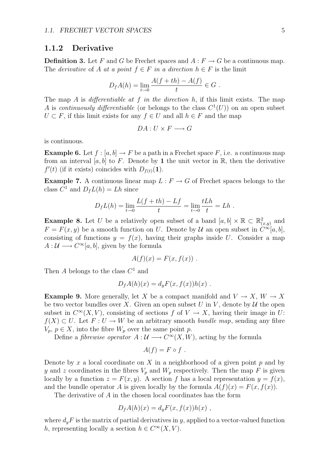#### **1.1.2 Derivative**

**Definition 3.** Let F and G be Frechet spaces and  $A: F \to G$  be a continuous map. The *derivative* of *A at a point*  $f \in F$  *in a direction*  $h \in F$  is the limit

$$
D_f A(h) = \lim_{t \to 0} \frac{A(f + th) - A(f)}{t} \in G.
$$

The map *A* is *differentiable at f in the direction h*, if this limit exists. The map *A* is *continuously differentiable* (or belongs to the class  $C^1(U)$ ) on an open subset *U*  $\subset$  *F*, if this limit exists for any *f*  $\in$  *U* and all *h*  $\in$  *F* and the map

$$
DA: U \times F \longrightarrow G
$$

is continuous.

**Example 6.** Let  $f : [a, b] \to F$  be a path in a Frechet space  $F$ , i.e. a continuous map from an interval [a, b] to F. Denote by 1 the unit vector in  $\mathbb{R}$ , then the derivative  $f'(t)$  (if it exists) coincides with  $D_{f(t)}(1)$ .

**Example 7.** A continuous linear map  $L: F \to G$  of Frechet spaces belongs to the class  $C^1$  and  $D_f L(h) = Lh$  since

$$
D_{f}L(h) = \lim_{t \to 0} \frac{L(f + th) - Lf}{t} = \lim_{t \to 0} \frac{tLh}{t} = Lh.
$$

**Example 8.** Let *U* be a relatively open subset of a band  $[a, b] \times \mathbb{R} \subset \mathbb{R}^2_{(x,y)}$  and  $F = F(x, y)$  be a smooth function on *U*. Denote by *U* an open subset in  $C^{\infty}[a, b]$ , consisting of functions  $y = f(x)$ , having their graphs inside U. Consider a map  $A: U \longrightarrow C^{\infty}[a, b]$ , given by the formula

$$
A(f)(x) = F(x, f(x)) .
$$

Then *A* belongs to the class *C*<sup>1</sup> and

$$
D_f A(h)(x) = d_y F(x, f(x))h(x) .
$$

**Example 9.** More generally, let *X* be a compact manifold and  $V \to X$ ,  $W \to X$ be two vector bundles over *X*. Given an open subset *U* in *V*, denote by *U* the open subset in  $C^{\infty}(X, V)$ , consisting of sections *f* of  $V \to X$ , having their image in *U*: *f*(*X*) ⊂ *U*. Let *F* : *U* → *W* be an arbitrary smooth *bundle map*, sending any fibre  $V_p, p \in X$ , into the fibre  $W_p$  over the same point *p*.

Define a *fibrewise operator*  $A: \mathcal{U} \longrightarrow C^{\infty}(X, W)$ , acting by the formula

$$
A(f) = F \circ f.
$$

Denote by  $x$  a local coordinate on  $X$  in a neighborhood of a given point  $p$  and by *y* and *z* coordinates in the fibres  $V_p$  and  $W_p$  respectively. Then the map *F* is given locally by a function  $z = F(x, y)$ . A section *f* has a local representation  $y = f(x)$ , and the bundle operator *A* is given locally by the formula  $A(f)(x) = F(x, f(x))$ .

The derivative of *A* in the chosen local coordinates has the form

$$
D_f A(h)(x) = d_y F(x, f(x))h(x) ,
$$

where  $d_y F$  is the matrix of partial derivatives in *y*, applied to a vector-valued function *h*, representing locally a section  $h \in C^{\infty}(X, V)$ .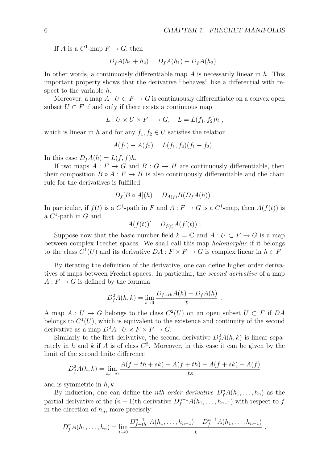If *A* is a  $C^1$ -map  $F \to G$ , then

$$
D_f A(h_1 + h_2) = D_f A(h_1) + D_f A(h_2) .
$$

In other words, a continuously differentiable map *A* is necessarily linear in *h*. This important property shows that the derivative "behaves" like a differential with respect to the variable *h*.

Moreover, a map  $A: U \subset F \to G$  is continuously differentiable on a convex open subset  $U \subset F$  if and only if there exists a continuous map

$$
L: U \times U \times F \longrightarrow G, \quad L = L(f_1, f_2)h,
$$

which is linear in *h* and for any  $f_1, f_2 \in U$  satisfies the relation

$$
A(f_1) - A(f_2) = L(f_1, f_2)(f_1 - f_2).
$$

In this case  $D_fA(h) = L(f, f)h$ .

If two maps  $A: F \to G$  and  $B: G \to H$  are continuously differentiable, then their composition  $B \circ A : F \to H$  is also continuously differentiable and the chain rule for the derivatives is fulfilled

$$
D_f[B \circ A](h) = D_{A(f)}B(D_fA(h)) \ .
$$

In particular, if  $f(t)$  is a  $C^1$ -path in *F* and  $A: F \to G$  is a  $C^1$ -map, then  $A(f(t))$  is a *C*<sup>1</sup>-path in *G* and

$$
A(f(t))' = D_{f(t)}A(f'(t)) .
$$

Suppose now that the basic number field  $k = \mathbb{C}$  and  $A: U \subset F \to G$  is a map between complex Frechet spaces. We shall call this map *holomorphic* if it belongs to the class  $C^1(U)$  and its derivative  $DA: F \times F \to G$  is complex linear in  $h \in F$ .

By iterating the definition of the derivative, one can define higher order derivatives of maps between Frechet spaces. In particular, the *second derivative* of a map  $A: F \to G$  is defined by the formula

$$
D_f^2 A(h, k) = \lim_{t \to 0} \frac{D_{f+tk}A(h) - D_fA(h)}{t}.
$$

A map  $A: U \to G$  belongs to the class  $C^2(U)$  on an open subset  $U \subset F$  if DA belongs to  $C^1(U)$ , which is equivalent to the existence and continuity of the second derivative as a map  $D^2A: U \times F \times F \to G$ .

Similarly to the first derivative, the second derivative  $D_f^2 A(h, k)$  is linear separately in *h* and *k* if *A* is of class  $C^2$ . Moreover, in this case it can be given by the limit of the second finite difference

$$
D_f^2 A(h,k) = \lim_{t,s \to 0} \frac{A(f+th+sk) - A(f+th) - A(f+sk) + A(f)}{ts}
$$

and is symmetric in *h, k*.

By induction, one can define the *nth order derivative*  $D_f^n A(h_1, \ldots, h_n)$  as the partial derivative of the  $(n-1)$ <sup>th</sup> derivative  $D_f^{n-1}A(h_1, \ldots, h_{n-1})$  with respect to  $f$ in the direction of  $h_n$ , more precisely:

$$
D_f^n A(h_1,\ldots,h_n) = \lim_{t\to 0} \frac{D_{f+th_n}^{n-1} A(h_1,\ldots,h_{n-1}) - D_f^{n-1} A(h_1,\ldots,h_{n-1})}{t}.
$$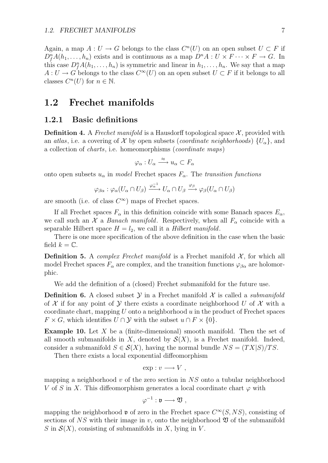Again, a map  $A: U \to G$  belongs to the class  $C^n(U)$  on an open subset  $U \subset F$  if  $D_f^n A(h_1, \ldots, h_n)$  exists and is continuous as a map  $D^n A : U \times F \cdots \times F \to G$ . In this case  $D_f^n A(h_1, \ldots, h_n)$  is symmetric and linear in  $h_1, \ldots, h_n$ . We say that a map *A* : *U* → *G* belongs to the class  $C^{\infty}(U)$  on an open subset  $U \subset F$  if it belongs to all classes  $C^n(U)$  for  $n \in \mathbb{N}$ .

### **1.2 Frechet manifolds**

#### **1.2.1 Basic definitions**

**Definition 4.** A *Frechet manifold* is a Hausdorff topological space  $\mathcal{X}$ , provided with an *atlas*, i.e. a covering of *X* by open subsets (*coordinate neighborhoods*)  $\{U_{\alpha}\}\$ , and a collection of *charts*, i.e. homeomorphisms (*coordinate maps*)

$$
\varphi_{\alpha}: U_{\alpha} \xrightarrow{\approx} u_{\alpha} \subset F_{\alpha}
$$

onto open subsets  $u_{\alpha}$  in *model* Frechet spaces  $F_{\alpha}$ . The *transition functions* 

$$
\varphi_{\beta\alpha}:\varphi_{\alpha}(U_{\alpha}\cap U_{\beta})\xrightarrow{\varphi_{\alpha}^{-1}}U_{\alpha}\cap U_{\beta}\xrightarrow{\varphi_{\beta}}\varphi_{\beta}(U_{\alpha}\cap U_{\beta})
$$

are smooth (i.e. of class  $C^{\infty}$ ) maps of Frechet spaces.

If all Frechet spaces  $F_\alpha$  in this definition coincide with some Banach spaces  $E_\alpha$ , we call such an *X* a *Banach manifold*. Respectively, when all  $F_\alpha$  coincide with a separable Hilbert space  $H = l_2$ , we call it a *Hilbert manifold*.

There is one more specification of the above definition in the case when the basic field  $k = \mathbb{C}$ .

**Definition 5.** A *complex Frechet manifold* is a Frechet manifold  $\mathcal{X}$ , for which all model Frechet spaces  $F_\alpha$  are complex, and the transition functions  $\varphi_{\beta\alpha}$  are holomorphic.

We add the definition of a (closed) Frechet submanifold for the future use.

**Definition 6.** A closed subset  $\mathcal{Y}$  in a Frechet manifold  $\mathcal{X}$  is called a *submanifold* of  $X$  if for any point of  $Y$  there exists a coordinate neighborhood  $U$  of  $X$  with a coordinate chart, mapping *U* onto a neighborhood *u* in the product of Frechet spaces  $F \times G$ , which identifies  $U \cap Y$  with the subset  $u \cap F \times \{0\}$ .

**Example 10.** Let *X* be a (finite-dimensional) smooth manifold. Then the set of all smooth submanifolds in *X*, denoted by  $\mathcal{S}(X)$ , is a Frechet manifold. Indeed, consider a submanifold  $S \in \mathcal{S}(X)$ , having the normal bundle  $NS = (TX|S)/TS$ .

Then there exists a local exponential diffeomorphism

$$
\exp : v \longrightarrow V ,
$$

mapping a neighborhood *v* of the zero section in *NS* onto a tubular neighborhood *V* of *S* in *X*. This diffeomorphism generates a local coordinate chart  $\varphi$  with

$$
\varphi^{-1}:\mathfrak{v}\longrightarrow \mathfrak{V}\ ,
$$

mapping the neighborhood **v** of zero in the Frechet space  $C^{\infty}(S, NS)$ , consisting of sections of  $NS$  with their image in  $v$ , onto the neighborhood  $\mathfrak V$  of the submanifold *S* in  $\mathcal{S}(X)$ , consisting of submanifolds in *X*, lying in *V*.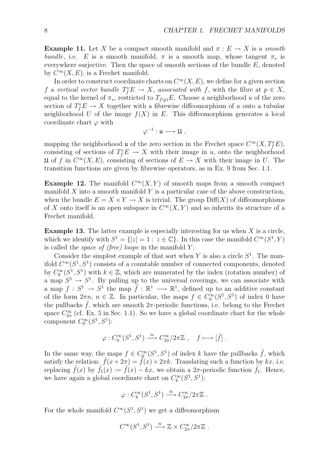**Example 11.** Let *X* be a compact smooth manifold and  $\pi$  :  $E \rightarrow X$  is a *smooth bundle*, i.e. *E* is a smooth manifold,  $\pi$  is a smooth map, whose tangent  $\pi_*$  is everywhere surjective. Then the space of smooth sections of the bundle *E*, denoted by  $C^{\infty}(X, E)$ , is a Frechet manifold.

In order to construct coordinate charts on  $C^{\infty}(X, E)$ , we define for a given section *f* a *vertical vector bundle*  $T_f^v E \to X$ , *associated with f*, with the fibre at  $p \in X$ , equal to the kernel of  $\pi_{*}$ , restricted to  $T_{f(p)}E$ . Choose a neighborhood *u* of the zero section of  $T_f^v E \to X$  together with a fibrewise diffeomorphism of *u* onto a tubular neighborhood U of the image  $f(X)$  in E. This diffeomorphism generates a local coordinate chart *φ* with

$$
\varphi^{-1}:\mathfrak{u}\longrightarrow \mathfrak{U}\ ,
$$

mapping the neighborhood **u** of the zero section in the Frechet space  $C^{\infty}(X, T_f^v E)$ , consisting of sections of  $T_f^v E \to X$  with their image in *u*, onto the neighborhood  $\mathfrak{U}$  of *f* in  $C^{\infty}(X, E)$ , consisting of sections of  $E \to X$  with their image in *U*. The transition functions are given by fibrewise operators, as in Ex. 9 from Sec. 1.1.

**Example 12.** The manifold  $C^{\infty}(X, Y)$  of smooth maps from a smooth compact manifold *X* into a smooth manifold *Y* is a particular case of the above construction, when the bundle  $E = X \times Y \rightarrow X$  is trivial. The group  $\text{Diff}(X)$  of diffeomorphisms of *X* onto itself is an open subspace in  $C^{\infty}(X, Y)$  and so inherits its structure of a Frechet manifold.

**Example 13.** The latter example is especially interesting for us when *X* is a circle, which we identify with  $S^1 = \{|z| = 1 : z \in \mathbb{C}\}$ . In this case the manifold  $C^{\infty}(S^1, Y)$ is called the *space of (free) loops* in the manifold *Y* .

Consider the simplest example of that sort when *Y* is also a circle  $S<sup>1</sup>$ . The manifold  $C^{\infty}(S^1, S^1)$  consists of a countable number of connected components, denoted by  $C_k^{\infty}(S^1, S^1)$  with  $k \in \mathbb{Z}$ , which are numerated by the index (rotation number) of a map  $S^1 \rightarrow S^1$ . By pulling up to the universal coverings, we can associate with a map  $f: S^1 \to S^1$  the map  $\tilde{f}: \mathbb{R}^1 \to \mathbb{R}^1$ , defined up to an additive constant of the form  $2\pi n$ ,  $n \in \mathbb{Z}$ . In particular, the maps  $f \in C_0^{\infty}(S^1, S^1)$  of index 0 have the pullbacks  $f$ , which are smooth  $2\pi$ -periodic functions, i.e. belong to the Frechet space  $C^{\infty}_{2\pi}$  (cf. Ex. 5 in Sec. 1.1). So we have a global coordinate chart for the whole component  $C_0^{\infty}(S^1, S^1)$ :

$$
\varphi: C_0^{\infty}(S^1, S^1) \xrightarrow{\approx} C_{2\pi}^{\infty}/2\pi \mathbb{Z} , \quad f \longmapsto [\tilde{f}].
$$

In the same way, the maps  $f \in C_k^{\infty}(S^1, S^1)$  of index *k* have the pullbacks  $\tilde{f}$ , which satisfy the relation:  $\hat{f}(x+2\pi) = \hat{f}(x) + 2\pi k$ . Translating such a function by  $kx$ , i.e. replacing  $\tilde{f}(x)$  by  $\tilde{f}_1(x) := \tilde{f}(x) - kx$ , we obtain a 2 $\pi$ -periodic function  $\tilde{f}_1$ . Hence, we have again a global coordinate chart on  $C_k^{\infty}(S^1, S^1)$ :

$$
\varphi: C^{\infty}_k(S^1, S^1) \xrightarrow{\approx} C^{\infty}_{2\pi}/2\pi\mathbb{Z} .
$$

For the whole manifold  $C^{\infty}(S^1, S^1)$  we get a diffeomorphism

$$
C^{\infty}(S^1, S^1) \xrightarrow{\approx} \mathbb{Z} \times C^{\infty}_{2\pi}/2\pi\mathbb{Z} .
$$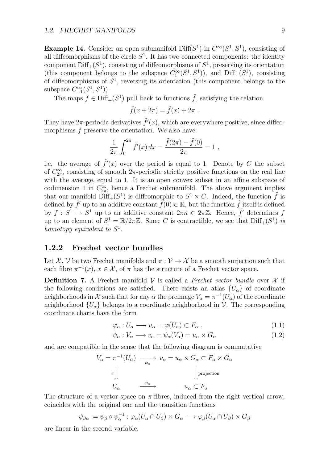**Example 14.** Consider an open submanifold Diff( $S^1$ ) in  $C^{\infty}(S^1, S^1)$ , consisting of all diffeomorphisms of the circle  $S<sup>1</sup>$ . It has two connected components: the identity component  $\text{Diff}_+(S^1)$ , consisting of diffeomorphisms of  $S^1$ , preserving its orientation (this component belongs to the subspace  $C_1^{\infty}(S^1, S^1)$ ), and Diff<sub>*−*</sub>( $S^1$ ), consisting of diffeomorphisms of *S*<sup>1</sup>, reversing its orientation (this component belongs to the subspace  $C_{-1}^{\infty}(S^1, S^1)$ .

The maps  $f \in \text{Diff}_+(S^1)$  pull back to functions  $\tilde{f}$ , satisfying the relation

$$
\tilde{f}(x+2\pi) = \tilde{f}(x) + 2\pi.
$$

They have  $2\pi$ -periodic derivatives  $\tilde{f}'(x)$ , which are everywhere positive, since diffeomorphisms *f* preserve the orientation. We also have:

$$
\frac{1}{2\pi} \int_0^{2\pi} \tilde{f}'(x) dx = \frac{\tilde{f}(2\pi) - \tilde{f}(0)}{2\pi} = 1 ,
$$

i.e. the average of  $\tilde{f}'(x)$  over the period is equal to 1. Denote by C the subset of  $C^{\infty}_{2\pi}$ , consisting of smooth 2 $\pi$ -periodic strictly positive functions on the real line with the average, equal to 1. It is an open convex subset in an affine subspace of codimension 1 in  $C^{\infty}_{2\pi}$ , hence a Frechet submanifold. The above argument implies that our manifold  $\text{Diff}_+(S^1)$  is diffeomorphic to  $S^1 \times C$ . Indeed, the function  $\tilde{f}$  is defined by  $\tilde{f}'$  up to an additive constant  $\tilde{f}(0) \in \mathbb{R}$ , but the function  $\tilde{f}$  itself is defined by  $f: S^1 \to S^1$  up to an additive constant  $2\pi n \in 2\pi \mathbb{Z}$ . Hence,  $\tilde{f}'$  determines  $f$ up to an element of  $S^1 = \mathbb{R}/2\pi\mathbb{Z}$ . Since *C* is contractible, we see that  $\text{Diff}_+(S^1)$  *is homotopy equivalent to S*<sup>1</sup>.

### **1.2.2 Frechet vector bundles**

Let  $\mathcal{X}, \mathcal{V}$  be two Frechet manifolds and  $\pi : \mathcal{V} \to \mathcal{X}$  be a smooth surjection such that each fibre  $\pi^{-1}(x)$ ,  $x \in \mathcal{X}$ , of  $\pi$  has the structure of a Frechet vector space.

**Definition 7.** A Frechet manifold  $V$  is called a *Frechet vector bundle* over  $X$  if the following conditions are satisfied. There exists an atlas  ${U_\alpha}$  of coordinate neighborhoods in *X* such that for any  $\alpha$  the preimage  $V_{\alpha} = \pi^{-1}(U_{\alpha})$  of the coordinate neighborhood  ${U_\alpha}$  belongs to a coordinate neighborhood in *V*. The corresponding coordinate charts have the form

$$
\varphi_{\alpha}: U_{\alpha} \longrightarrow u_{\alpha} = \varphi(U_{\alpha}) \subset F_{\alpha} , \qquad (1.1)
$$

$$
\psi_{\alpha}: V_{\alpha} \longrightarrow v_{\alpha} = \psi_{\alpha}(V_{\alpha}) = u_{\alpha} \times G_{\alpha}
$$
\n(1.2)

and are compatible in the sense that the following diagram is commutative

$$
V_{\alpha} = \pi^{-1}(U_{\alpha}) \longrightarrow v_{\alpha} = u_{\alpha} \times G_{\alpha} \subset F_{\alpha} \times G_{\alpha}
$$

$$
\pi \downarrow \qquad \qquad \downarrow \text{projection}
$$

$$
U_{\alpha} \longrightarrow u_{\alpha} \subset F_{\alpha}
$$

The structure of a vector space on  $\pi$ -fibres, induced from the right vertical arrow, coincides with the original one and the transition functions

$$
\psi_{\beta\alpha} := \psi_{\beta} \circ \psi_{\alpha}^{-1} : \varphi_{\alpha}(U_{\alpha} \cap U_{\beta}) \times G_{\alpha} \longrightarrow \varphi_{\beta}(U_{\alpha} \cap U_{\beta}) \times G_{\beta}
$$

are linear in the second variable.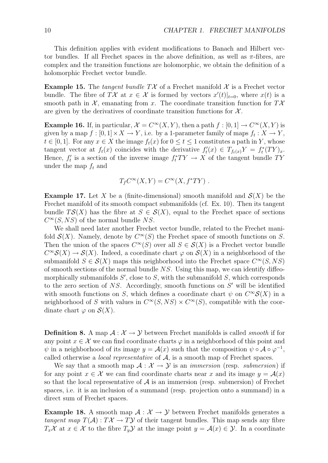This definition applies with evident modifications to Banach and Hilbert vector bundles. If all Frechet spaces in the above definition, as well as *π*-fibres, are complex and the transition functions are holomorphic, we obtain the definition of a holomorphic Frechet vector bundle.

**Example 15.** The *tangent bundle*  $T\mathcal{X}$  of a Frechet manifold  $\mathcal{X}$  is a Frechet vector bundle. The fibre of  $T\mathcal{X}$  at  $x \in \mathcal{X}$  is formed by vectors  $x'(t)|_{t=0}$ , where  $x(t)$  is a smooth path in  $X$ , emanating from *x*. The coordinate transition function for  $T X$ are given by the derivatives of coordinate transition functions for  $\mathcal{X}$ .

**Example 16.** If, in particular,  $\mathcal{X} = C^{\infty}(X, Y)$ , then a path  $f : [0, 1] \to C^{\infty}(X, Y)$  is given by a map  $f : [0, 1] \times X \to Y$ , i.e. by a 1-parameter family of maps  $f_t : X \to Y$ , *t* ∈ [0, 1]. For any  $x \in X$  the image  $f_t(x)$  for  $0 \le t \le 1$  constitutes a path in *Y*, whose tangent vector at  $f_t(x)$  coincides with the derivative  $f'_t(x) \in T_{f_t(x)}Y = f_t^*(TY)_x$ . Hence,  $f'_t$  is a section of the inverse image  $f_t^*TY \to X$  of the tangent bundle  $TY$ under the map *f<sup>t</sup>* and

$$
T_f C^{\infty}(X, Y) = C^{\infty}(X, f^*TY) .
$$

**Example 17.** Let *X* be a (finite-dimensional) smooth manifold and  $S(X)$  be the Frechet manifold of its smooth compact submanifolds (cf. Ex. 10). Then its tangent bundle  $TS(X)$  has the fibre at  $S \in S(X)$ , equal to the Frechet space of sections  $C^{\infty}(S, NS)$  of the normal bundle *NS*.

We shall need later another Frechet vector bundle, related to the Frechet manifold  $S(X)$ . Namely, denote by  $C^{\infty}(S)$  the Frechet space of smooth functions on *S*. Then the union of the spaces  $C^{\infty}(S)$  over all  $S \in \mathcal{S}(X)$  is a Frechet vector bundle  $C^{\infty}S(X) \to S(X)$ . Indeed, a coordinate chart  $\varphi$  on  $S(X)$  in a neighborhood of the submanifold  $S \in \mathcal{S}(X)$  maps this neighborhood into the Frechet space  $C^{\infty}(S, NS)$ of smooth sections of the normal bundle *NS*. Using this map, we can identify diffeomorphically submanifolds  $S'$ , close to  $S$ , with the submanifold  $S$ , which corresponds to the zero section of *NS*. Accordingly, smooth functions on *S′* will be identified with smooth functions on *S*, which defines a coordinate chart  $\psi$  on  $C^{\infty}S(X)$  in a neighborhood of *S* with values in  $C^{\infty}(S, NS) \times C^{\infty}(S)$ , compatible with the coordinate chart  $\varphi$  on  $\mathcal{S}(X)$ .

**Definition 8.** A map  $A: \mathcal{X} \to \mathcal{Y}$  between Frechet manifolds is called *smooth* if for any point  $x \in \mathcal{X}$  we can find coordinate charts  $\varphi$  in a neighborhood of this point and  $\psi$  in a neighborhood of its image  $y = A(x)$  such that the composition  $\psi \circ A \circ \varphi^{-1}$ , called otherwise a *local representative* of *A*, is a smooth map of Frechet spaces.

We say that a smooth map  $A: \mathcal{X} \to \mathcal{Y}$  is an *immersion* (resp. *submersion*) if for any point  $x \in \mathcal{X}$  we can find coordinate charts near x and its image  $y = \mathcal{A}(x)$ so that the local representative of  $A$  is an immersion (resp. submersion) of Frechet spaces, i.e. it is an inclusion of a summand (resp. projection onto a summand) in a direct sum of Frechet spaces.

**Example 18.** A smooth map  $A: \mathcal{X} \to \mathcal{Y}$  between Frechet manifolds generates a *tangent map*  $T(A)$ :  $T\mathcal{X} \to T\mathcal{Y}$  of their tangent bundles. This map sends any fibre *T*<sub>*x*</sub>*X* at *x* ∈ *X* to the fibre *T<sub>y</sub>Y* at the image point *y* = *A*(*x*) ∈ *Y*. In a coordinate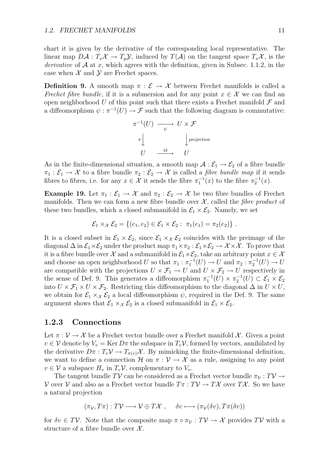chart it is given by the derivative of the corresponding local representative. The linear map  $D\mathcal{A}: T_x\mathcal{X} \to T_y\mathcal{Y}$ , induced by  $T(\mathcal{A})$  on the tangent space  $T_x\mathcal{X}$ , is the *derivative* of  $A$  at  $x$ , which agrees with the definition, given in Subsec. 1.1.2, in the case when  $X$  and  $Y$  are Frechet spaces.

**Definition 9.** A smooth map  $\pi : \mathcal{E} \to \mathcal{X}$  between Frechet manifolds is called a *Frechet fibre bundle*, if it is a submersion and for any point  $x \in \mathcal{X}$  we can find an open neighborhood U of this point such that there exists a Frechet manifold  $\mathcal F$  and a diffeomorphism  $\psi : \pi^{-1}(U) \to \mathcal{F}$  such that the following diagram is commutative:

$$
\pi^{-1}(U) \longrightarrow U \times \mathcal{F}
$$
  
\n
$$
\pi \downarrow \qquad \qquad \downarrow \text{projection}
$$
  
\n
$$
U \longrightarrow U
$$

As in the finite-dimensional situation, a smooth map  $A : \mathcal{E}_1 \to \mathcal{E}_2$  of a fibre bundle  $\pi_1 : \mathcal{E}_1 \to \mathcal{X}$  to a fibre bundle  $\pi_2 : \mathcal{E}_2 \to \mathcal{X}$  is called a *fibre bundle map* if it sends fibres to fibres, i.e. for any  $x \in \mathcal{X}$  it sends the fibre  $\pi_1^{-1}(x)$  to the fibre  $\pi_2^{-1}(x)$ .

**Example 19.** Let  $\pi_1 : \mathcal{E}_1 \to \mathcal{X}$  and  $\pi_2 : \mathcal{E}_2 \to \mathcal{X}$  be two fibre bundles of Frechet manifolds. Then we can form a new fibre bundle over  $\mathcal{X}$ , called the *fibre product* of these two bundles, which a closed submanifold in  $\mathcal{E}_1 \times \mathcal{E}_2$ . Namely, we set

$$
\mathcal{E}_1 \times_{\mathcal{X}} \mathcal{E}_2 = \{ (e_1, e_2) \in \mathcal{E}_1 \times \mathcal{E}_2 : \pi_1(e_1) = \pi_2(e_2) \}.
$$

It is a closed subset in  $\mathcal{E}_1 \times \mathcal{E}_2$ , since  $\mathcal{E}_1 \times \mathcal{E}_2$  coincides with the preimage of the diagonal  $\Delta$  in  $\mathcal{E}_1 \times \mathcal{E}_2$  under the product map  $\pi_1 \times \pi_2 : \mathcal{E}_1 \times \mathcal{E}_2 \to \mathcal{X} \times \mathcal{X}$ . To prove that it is a fibre bundle over *X* and a submanifold in  $\mathcal{E}_1 \times \mathcal{E}_2$ , take an arbitrary point  $x \in \mathcal{X}$ and choose an open neighborhood *U* so that  $\pi_1 : \pi_1^{-1}(U) \to U$  and  $\pi_2 : \pi_2^{-1}(U) \to U$ are compatible with the projections  $U \times \mathcal{F}_1 \to U$  and  $U \times \mathcal{F}_2 \to U$  respectively in the sense of Def. 9. This generates a diffeomorphism  $\pi_1^{-1}(U) \times \pi_2^{-1}(U) \subset \mathcal{E}_1 \times \mathcal{E}_2$ into  $U \times \mathcal{F}_1 \times U \times \mathcal{F}_2$ . Restricting this diffeomorphism to the diagonal  $\Delta$  in  $U \times U$ , we obtain for  $\mathcal{E}_1 \times_{\mathcal{X}} \mathcal{E}_2$  a local diffeomorphism  $\psi$ , required in the Def. 9. The same argument shows that  $\mathcal{E}_1 \times_{\mathcal{X}} \mathcal{E}_2$  is a closed submanifold in  $\mathcal{E}_1 \times \mathcal{E}_2$ .

#### **1.2.3 Connections**

Let  $\pi : \mathcal{V} \to \mathcal{X}$  be a Frechet vector bundle over a Frechet manifold  $\mathcal{X}$ . Given a point  $v \in V$  denote by  $V_v = \text{Ker } D\pi$  the subspace in  $T_v V$ , formed by vectors, annihilated by the derivative  $D\pi : T_v \mathcal{V} \to T_{\pi(v)} \mathcal{X}$ . By mimicking the finite-dimensional definition, we want to define a connection  $\mathcal H$  on  $\pi : \mathcal V \to \mathcal X$  as a rule, assigning to any point  $v \in V$  a subspace  $H_v$  in  $T_vV$ , complementary to  $V_v$ .

The tangent bundle  $T\mathcal{V}$  can be considered as a Frechet vector bundle  $\pi_{\mathcal{V}}: T\mathcal{V} \rightarrow$ *V* over *V* and also as a Frechet vector bundle  $T\pi : T\mathcal{V} \to T\mathcal{X}$  over  $T\mathcal{X}$ . So we have a natural projection

$$
(\pi_{\mathcal{V}}, T\pi) : T\mathcal{V} \longrightarrow \mathcal{V} \oplus T\mathcal{X} , \quad \delta v \longmapsto (\pi_{\mathcal{V}}(\delta v), T\pi(\delta v))
$$

for  $\delta v \in T\mathcal{V}$ . Note that the composite map  $\pi \circ \pi_{\mathcal{V}} : TV \to \mathcal{X}$  provides  $TV$  with a structure of a fibre bundle over *X* .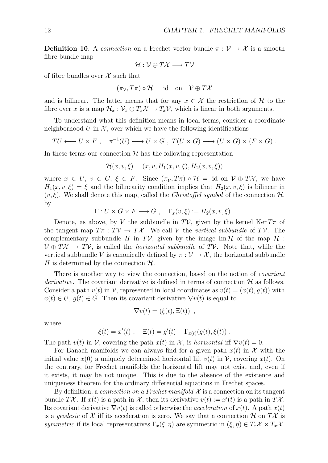**Definition 10.** A *connection* on a Frechet vector bundle  $\pi : \mathcal{V} \to \mathcal{X}$  is a smooth fibre bundle map

$$
\mathcal{H}:\mathcal{V}\oplus T\mathcal{X}\longrightarrow T\mathcal{V}
$$

of fibre bundles over *X* such that

$$
(\pi_{\mathcal{V}}, T\pi) \circ \mathcal{H} = \text{id} \quad \text{on} \quad \mathcal{V} \oplus T\mathcal{X}
$$

and is bilinear. The latter means that for any  $x \in \mathcal{X}$  the restriction of  $\mathcal{H}$  to the fibre over *x* is a map  $\mathcal{H}_x : \mathcal{V}_x \oplus T_x \mathcal{X} \to T_x \mathcal{V}$ , which is linear in both arguments.

To understand what this definition means in local terms, consider a coordinate neighborhood  $U$  in  $\mathcal{X}$ , over which we have the following identifications

$$
TU \longleftrightarrow U \times F , \quad \pi^{-1}(U) \longleftrightarrow U \times G , \ T(U \times G) \longleftrightarrow (U \times G) \times (F \times G) .
$$

In these terms our connection  $H$  has the following representation

$$
\mathcal{H}(x,v,\xi) = (x,v,H_1(x,v,\xi),H_2(x,v,\xi))
$$

where  $x \in U$ ,  $v \in G$ ,  $\xi \in F$ . Since  $(\pi_{\mathcal{V}} , T_{\pi}) \circ \mathcal{H} = \text{id}$  on  $\mathcal{V} \oplus T\mathcal{X}$ , we have  $H_1(x, v, \xi) = \xi$  and the bilinearity condition implies that  $H_2(x, v, \xi)$  is bilinear in  $(v, \xi)$ . We shall denote this map, called the *Christoffel symbol* of the connection  $H$ , by

$$
\Gamma: U \times G \times F \longrightarrow G , \quad \Gamma_x(v,\xi) := H_2(x,v,\xi) .
$$

Denote, as above, by *V* the subbundle in  $T\mathcal{V}$ , given by the kernel Ker  $T\pi$  of the tangent map  $T\pi : T\mathcal{V} \to T\mathcal{X}$ . We call V the *vertical subbundle* of  $T\mathcal{V}$ . The complementary subbundle *H* in *TV*, given by the image Im  $H$  of the map  $H$ : *V ⊕ TX → TV*, is called the *horizontal subbundle* of *TV*. Note that, while the vertical subbundle *V* is canonically defined by  $\pi : \mathcal{V} \to \mathcal{X}$ , the horizontal subbundle *H* is determined by the connection  $H$ .

There is another way to view the connection, based on the notion of *covariant derivative*. The covariant derivative is defined in terms of connection  $H$  as follows. Consider a path  $v(t)$  in  $\mathcal V$ , represented in local coordinates as  $v(t) = (x(t), g(t))$  with  $x(t) \in U$ ,  $g(t) \in G$ . Then its covariant derivative  $\nabla v(t)$  is equal to

$$
\nabla v(t) = (\xi(t), \Xi(t)) ,
$$

where

$$
\xi(t) = x'(t)
$$
,  $\Xi(t) = g'(t) - \Gamma_{x(t)}(g(t), \xi(t))$ .

The path  $v(t)$  in  $\mathcal{V}$ , covering the path  $x(t)$  in  $\mathcal{X}$ , is *horizontal* iff  $\nabla v(t) = 0$ .

For Banach manifolds we can always find for a given path  $x(t)$  in  $\mathcal X$  with the initial value  $x(0)$  a uniquely determined horizontal lift  $v(t)$  in  $\mathcal{V}$ , covering  $x(t)$ . On the contrary, for Frechet manifolds the horizontal lift may not exist and, even if it exists, it may be not unique. This is due to the absence of the existence and uniqueness theorem for the ordinary differential equations in Frechet spaces.

By definition, a *connection on a Frechet manifold*  $X$  is a connection on its tangent bundle  $T\mathcal{X}$ . If  $x(t)$  is a path in  $\mathcal{X}$ , then its derivative  $v(t) := x'(t)$  is a path in  $T\mathcal{X}$ . Its covariant derivative  $\nabla v(t)$  is called otherwise the *acceleration* of  $x(t)$ . A path  $x(t)$ is a *geodesic* of  $X$  iff its acceleration is zero. We say that a connection  $H$  on  $T X$  is *symmetric* if its local representatives  $\Gamma_x(\xi, \eta)$  are symmetric in  $(\xi, \eta) \in T_x \mathcal{X} \times T_x \mathcal{X}$ .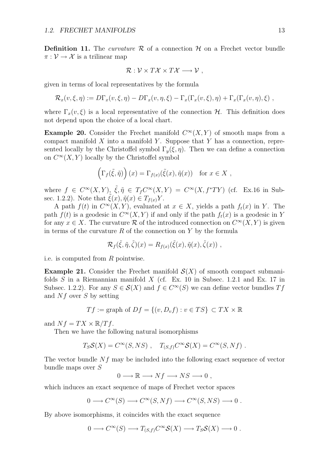**Definition 11.** The *curvature*  $\mathcal{R}$  of a connection  $\mathcal{H}$  on a Frechet vector bundle  $\pi : \mathcal{V} \to \mathcal{X}$  is a trilinear map

$$
\mathcal{R}: \mathcal{V} \times T\mathcal{X} \times T\mathcal{X} \longrightarrow \mathcal{V},
$$

given in terms of local representatives by the formula

$$
\mathcal{R}_x(v,\xi,\eta) := D\Gamma_x(v,\xi,\eta) - D\Gamma_x(v,\eta,\xi) - \Gamma_x(\Gamma_x(v,\xi),\eta) + \Gamma_x(\Gamma_x(v,\eta),\xi) ,
$$

where  $\Gamma_x(v,\xi)$  is a local representative of the connection *H*. This definition does not depend upon the choice of a local chart.

**Example 20.** Consider the Frechet manifold  $C^{\infty}(X, Y)$  of smooth maps from a compact manifold *X* into a manifold *Y* . Suppose that *Y* has a connection, represented locally by the Christoffel symbol  $\Gamma_{\eta}(\xi, \eta)$ . Then we can define a connection on  $C^{\infty}(X, Y)$  locally by the Christoffel symbol

$$
\left(\Gamma_f(\tilde{\xi},\tilde{\eta})\right)(x) = \Gamma_{f(x)}(\tilde{\xi}(x),\tilde{\eta}(x)) \text{ for } x \in X,
$$

where  $f \in C^{\infty}(X, Y)$ ,  $\xi, \tilde{\eta} \in T_f C^{\infty}(X, Y) = C^{\infty}(X, f^*TY)$  (cf. Ex.16 in Subsec. 1.2.2). Note that  $\xi(x), \tilde{\eta}(x) \in T_{f(x)}Y$ .

A path  $f(t)$  in  $C^{\infty}(X, Y)$ , evaluated at  $x \in X$ , yields a path  $f_t(x)$  in *Y*. The path  $f(t)$  is a geodesic in  $C^{\infty}(X, Y)$  if and only if the path  $f_t(x)$  is a geodesic in Y for any  $x \in X$ . The curvature R of the introduced connection on  $C^{\infty}(X, Y)$  is given in terms of the curvature *R* of the connection on *Y* by the formula

$$
\mathcal{R}_f(\tilde{\xi},\tilde{\eta},\tilde{\zeta})(x) = R_{f(x)}(\tilde{\xi}(x),\tilde{\eta}(x),\tilde{\zeta}(x)),
$$

i.e. is computed from *R* pointwise.

**Example 21.** Consider the Frechet manifold  $\mathcal{S}(X)$  of smooth compact submanifolds *S* in a Riemannian manifold *X* (cf. Ex. 10 in Subsec. 1.2.1 and Ex. 17 in Subsec. 1.2.2). For any  $S \in \mathcal{S}(X)$  and  $f \in C^{\infty}(S)$  we can define vector bundles  $Tf$ and *Nf* over *S* by setting

$$
Tf :=
$$
graph of  $Df = \{(v, D_v f) : v \in TS\} \subset TX \times \mathbb{R}$ 

and  $Nf = TX \times \mathbb{R}/Tf$ .

Then we have the following natural isomorphisms

$$
T_S S(X) = C^{\infty}(S, NS) , T_{(S,f)} C^{\infty} S(X) = C^{\infty}(S, Nf) .
$$

The vector bundle *Nf* may be included into the following exact sequence of vector bundle maps over *S*

$$
0 \longrightarrow \mathbb{R} \longrightarrow Nf \longrightarrow NS \longrightarrow 0 ,
$$

which induces an exact sequence of maps of Frechet vector spaces

$$
0 \longrightarrow C^{\infty}(S) \longrightarrow C^{\infty}(S, Nf) \longrightarrow C^{\infty}(S, NS) \longrightarrow 0.
$$

By above isomorphisms, it coincides with the exact sequence

$$
0 \longrightarrow C^{\infty}(S) \longrightarrow T_{(S,f)}C^{\infty}S(X) \longrightarrow T_SS(X) \longrightarrow 0.
$$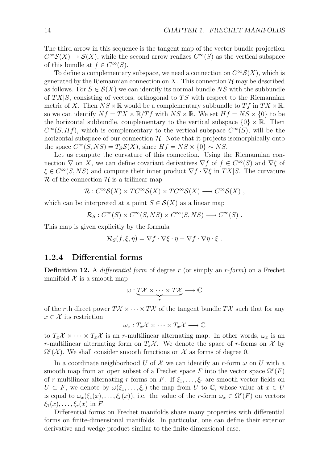The third arrow in this sequence is the tangent map of the vector bundle projection  $C^{\infty}S(X) \to S(X)$ , while the second arrow realizes  $C^{\infty}(S)$  as the vertical subspace of this bundle at  $f \in C^{\infty}(S)$ .

To define a complementary subspace, we need a connection on  $C^{\infty}S(X)$ , which is generated by the Riemannian connection on  $X$ . This connection  $H$  may be described as follows. For  $S \in \mathcal{S}(X)$  we can identify its normal bundle NS with the subbundle of *T X|S*, consisting of vectors, orthogonal to *T S* with respect to the Riemannian metric of *X*. Then  $NS \times \mathbb{R}$  would be a complementary subbundle to  $Tf$  in  $TX \times \mathbb{R}$ , so we can identify  $Nf = TX \times \mathbb{R}/Tf$  with  $NS \times \mathbb{R}$ . We set  $Hf = NS \times \{0\}$  to be the horizontal subbundle, complementary to the vertical subspace  $\{0\} \times \mathbb{R}$ . Then  $C^{\infty}(S, Hf)$ , which is complementary to the vertical subspace  $C^{\infty}(S)$ , will be the horizontal subspace of our connection  $H$ . Note that it projects isomorphically onto the space  $C^{\infty}(S, NS) = T_S S(X)$ , since  $Hf = NS \times \{0\} \sim NS$ .

Let us compute the curvature of this connection. Using the Riemannian connection  $\nabla$  on *X*, we can define covariant derivatives  $\nabla f$  of  $f \in C^{\infty}(S)$  and  $\nabla \xi$  of *ξ ∈ C<sup>∞</sup>*(*S, NS*) and compute their inner product *∇f · ∇ξ* in *T X|S*. The curvature  $\mathcal R$  of the connection  $\mathcal H$  is a trilinear map

$$
\mathcal{R}: C^{\infty}\mathcal{S}(X) \times TC^{\infty}\mathcal{S}(X) \times TC^{\infty}\mathcal{S}(X) \longrightarrow C^{\infty}\mathcal{S}(X) ,
$$

which can be interpreted at a point  $S \in \mathcal{S}(X)$  as a linear map

$$
\mathcal{R}_S: C^{\infty}(S) \times C^{\infty}(S, NS) \times C^{\infty}(S, NS) \longrightarrow C^{\infty}(S) .
$$

This map is given explicitly by the formula

$$
\mathcal{R}_S(f,\xi,\eta) = \nabla f \cdot \nabla \xi \cdot \eta - \nabla f \cdot \nabla \eta \cdot \xi.
$$

#### **1.2.4 Differential forms**

**Definition 12.** A *differential form* of degree *r* (or simply an *r*-*form*) on a Frechet manifold  $X$  is a smooth map

$$
\omega: \underbrace{T\mathcal{X}\times\cdots\times T\mathcal{X}}_{r}\longrightarrow \mathbb{C}
$$

of the *r*th direct power  $T\mathcal{X} \times \cdots \times T\mathcal{X}$  of the tangent bundle  $T\mathcal{X}$  such that for any  $x \in \mathcal{X}$  its restriction

$$
\omega_x: T_x\mathcal{X} \times \cdots \times T_x\mathcal{X} \longrightarrow \mathbb{C}
$$

to  $T_x \mathcal{X} \times \cdots \times T_x \mathcal{X}$  is an *r*-multilinear alternating map. In other words,  $\omega_x$  is an *r*-multilinear alternating form on  $T_x\mathcal{X}$ . We denote the space of *r*-forms on  $\mathcal{X}$  by  $\Omega^{r}(\mathcal{X})$ . We shall consider smooth functions on  $\mathcal{X}$  as forms of degree 0.

In a coordinate neighborhood *U* of  $\mathcal X$  we can identify an *r*-form  $\omega$  on *U* with a smooth map from an open subset of a Frechet space  $F$  into the vector space  $\Omega^r(F)$ of *r*-multilinear alternating *r*-forms on *F*. If  $\xi_1, \ldots, \xi_r$  are smooth vector fields on  $U \subset F$ , we denote by  $\omega(\xi_1, \ldots, \xi_r)$  the map from *U* to  $\mathbb C$ , whose value at  $x \in U$ is equal to  $\omega_x(\xi_1(x), \ldots, \xi_r(x))$ , i.e. the value of the *r*-form  $\omega_x \in \Omega^r(F)$  on vectors *ξ*1(*x*)*, . . . , ξr*(*x*) in *F*.

Differential forms on Frechet manifolds share many properties with differential forms on finite-dimensional manifolds. In particular, one can define their exterior derivative and wedge product similar to the finite-dimensional case.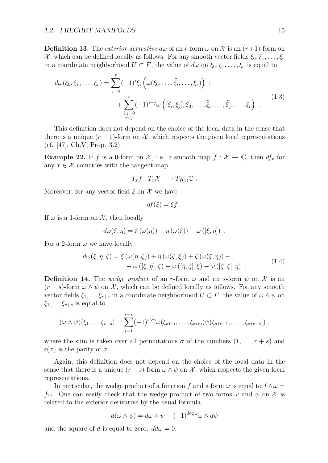**Definition 13.** The *exterior derivative*  $d\omega$  of an *r*-form  $\omega$  on X is an  $(r+1)$ -form on *X*, which can be defined locally as follows. For any smooth vector fields  $\xi_0, \xi_1, \ldots, \xi_r$ in a coordinate neighborhood  $U \subset F$ , the value of  $d\omega$  on  $\xi_0, \xi_1, \ldots, \xi_r$  is equal to

$$
d\omega(\xi_0, \xi_1, ..., \xi_r) = \sum_{i=0}^r (-1)^i \xi_i \left( \omega(\xi_0, ..., \hat{\xi}_i, ..., \xi_r) \right) + \sum_{\substack{i,j=0 \ i\n(1.3)
$$

This definition does not depend on the choice of the local data in the sense that there is a unique  $(r + 1)$ -form on X, which respects the given local representations (cf. [47], Ch.V, Prop. 3.2).

**Example 22.** If *f* is a 0-form on *X*, i.e. a smooth map  $f : \mathcal{X} \to \mathbb{C}$ , then  $df_x$  for any  $x \in \mathcal{X}$  coincides with the tangent map

$$
T_x f : T_x \mathcal{X} \longrightarrow T_{f(x)} \mathbb{C} .
$$

Moreover, for any vector field  $\xi$  on  $\mathcal X$  we have

$$
df(\xi) = \xi f.
$$

If  $\omega$  is a 1-form on  $\mathcal{X}$ , then locally

$$
d\omega(\xi,\eta) = \xi(\omega(\eta)) - \eta(\omega(\xi)) - \omega([\xi,\eta]) .
$$

For a 2-form  $\omega$  we have locally

$$
d\omega(\xi, \eta, \zeta) = \xi(\omega(\eta, \zeta)) + \eta(\omega(\zeta, \xi)) + \zeta(\omega(\xi, \eta)) -
$$
  
- 
$$
\omega([\xi, \eta], \zeta) - \omega([\eta, \zeta], \xi) - \omega([\zeta, \xi], \eta) .
$$
 (1.4)

**Definition 14.** The *wedge product* of an *r*-form  $\omega$  and an *s*-form  $\psi$  on X is an  $(r + s)$ -form  $\omega \wedge \psi$  on  $\mathcal{X}$ , which can be defined locally as follows. For any smooth vector fields  $\xi_1, \ldots, \xi_{r+s}$  in a coordinate neighborhood  $U \subset F$ , the value of  $\omega \wedge \psi$  on  $\xi_1, \ldots, \xi_{r+s}$  is equal to

$$
(\omega \wedge \psi)(\xi_1, \ldots \xi_{r+s}) = \sum_{i=1}^{r+s} (-1)^{\epsilon(\sigma)} \omega(\xi_{\sigma(1)}, \ldots, \xi_{\sigma(r)}) \psi(\xi_{\sigma(r+1)}, \ldots, \xi_{\sigma(r+s)}) ,
$$

where the sum is taken over all permutations  $\sigma$  of the numbers  $(1, \ldots, r + s)$  and  $\epsilon(\sigma)$  is the parity of  $\sigma$ .

Again, this definition does not depend on the choice of the local data in the sense that there is a unique  $(r + s)$ -form  $\omega \wedge \psi$  on X, which respects the given local representations.

In particular, the wedge product of a function *f* and a form  $\omega$  is equal to  $f \wedge \omega =$ *f* $\omega$ . One can easily check that the wedge product of two forms  $\omega$  and  $\psi$  on  $\mathcal X$  is related to the exterior derivative by the usual formula

$$
d(\omega \wedge \psi) = d\omega \wedge \psi + (-1)^{\deg \omega} \omega \wedge d\psi
$$

and the square of *d* is equal to zero:  $dd\omega = 0$ .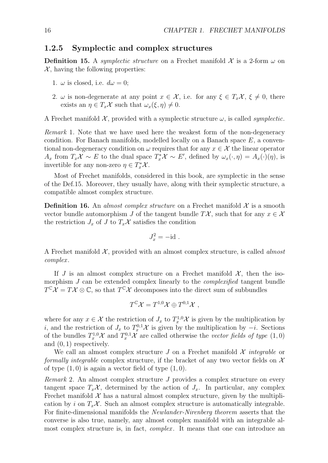#### **1.2.5 Symplectic and complex structures**

**Definition 15.** A *symplectic structure* on a Frechet manifold  $\mathcal{X}$  is a 2-form  $\omega$  on  $X$ , having the following properties:

- 1.  $\omega$  is closed, i.e.  $d\omega = 0$ ;
- 2. *ω* is non-degenerate at any point  $x \in \mathcal{X}$ , i.e. for any  $\xi \in T_x\mathcal{X}, \xi \neq 0$ , there exists an  $\eta \in T_x \mathcal{X}$  such that  $\omega_x(\xi, \eta) \neq 0$ .

A Frechet manifold  $X$ , provided with a symplectic structure  $\omega$ , is called *symplectic*.

*Remark* 1*.* Note that we have used here the weakest form of the non-degeneracy condition. For Banach manifolds, modelled locally on a Banach space *E*, a conventional non-degeneracy condition on  $\omega$  requires that for any  $x \in \mathcal{X}$  the linear operator  $A_x$  from  $T_xX \sim E$  to the dual space  $T_x^*\mathcal{X} \sim E'$ , defined by  $\omega_x(\cdot, \eta) = A_x(\cdot)(\eta)$ , is invertible for any non-zero  $\eta \in T_x^* \mathcal{X}$ .

Most of Frechet manifolds, considered in this book, are symplectic in the sense of the Def.15. Moreover, they usually have, along with their symplectic structure, a compatible almost complex structure.

**Definition 16.** An *almost complex structure* on a Frechet manifold  $\mathcal{X}$  is a smooth vector bundle automorphism *J* of the tangent bundle  $T\mathcal{X}$ , such that for any  $x \in \mathcal{X}$ the restriction  $J_x$  of  $J$  to  $T_x\mathcal{X}$  satisfies the condition

$$
J_x^2 = -id.
$$

A Frechet manifold *X* , provided with an almost complex structure, is called *almost complex* .

If *J* is an almost complex structure on a Frechet manifold  $\mathcal{X}$ , then the isomorphism *J* can be extended complex linearly to the *complexified* tangent bundle  $T^{\mathbb{C}}\mathcal{X}=T\mathcal{X}\otimes\mathbb{C}$ , so that  $T^{\mathbb{C}}\mathcal{X}$  decomposes into the direct sum of subbundles

$$
T^{\mathbb{C}}\mathcal{X}=T^{1,0}\mathcal{X}\oplus T^{0,1}\mathcal{X},
$$

where for any  $x \in \mathcal{X}$  the restriction of  $J_x$  to  $T_x^{1,0}\mathcal{X}$  is given by the multiplication by *i*, and the restriction of  $J_x$  to  $T_x^{0,1}$  *x* is given by the multiplication by *−i*. Sections of the bundles  $T_x^{1,0} \mathcal{X}$  and  $T_x^{0,1} \mathcal{X}$  are called otherwise the *vector fields of type*  $(1,0)$ and (0*,* 1) respectively.

We call an almost complex structure  $J$  on a Frechet manifold  $\mathcal X$  *integrable* or *formally integrable* complex structure, if the bracket of any two vector fields on *X* of type  $(1,0)$  is again a vector field of type  $(1,0)$ .

*Remark* 2*.* An almost complex structure *J* provides a complex structure on every tangent space  $T_x \mathcal{X}$ , determined by the action of  $J_x$ . In particular, any complex Frechet manifold  $\mathcal X$  has a natural almost complex structure, given by the multiplication by *i* on  $T_x \mathcal{X}$ . Such an almost complex structure is automatically integrable. For finite-dimensional manifolds the *Newlander-Nirenberg theorem* asserts that the converse is also true, namely, any almost complex manifold with an integrable almost complex structure is, in fact, *complex* . It means that one can introduce an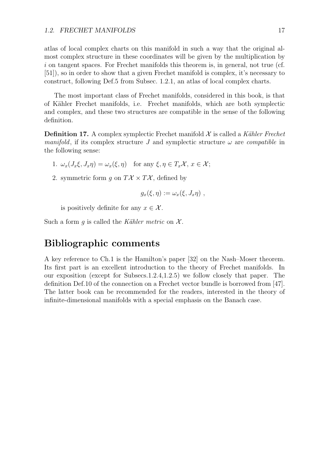atlas of local complex charts on this manifold in such a way that the original almost complex structure in these coordinates will be given by the multiplication by *i* on tangent spaces. For Frechet manifolds this theorem is, in general, not true (cf. [51]), so in order to show that a given Frechet manifold is complex, it's necessary to construct, following Def.5 from Subsec. 1.2.1, an atlas of local complex charts.

The most important class of Frechet manifolds, considered in this book, is that of K¨ahler Frechet manifolds, i.e. Frechet manifolds, which are both symplectic and complex, and these two structures are compatible in the sense of the following definition.

**Definition 17.** A complex symplectic Frechet manifold  $\mathcal{X}$  is called a *K* $\ddot{\text{a}}$ *k* $\ddot{\text{b}}$ *k* $\text{c}}$ *Frechet manifold*, if its complex structure *J* and symplectic structure  $\omega$  are *compatible* in the following sense:

- 1.  $\omega_x(J_x\xi, J_x\eta) = \omega_x(\xi, \eta)$  for any  $\xi, \eta \in T_x\mathcal{X}, x \in \mathcal{X}$ ;
- 2. symmetric form *q* on  $T\mathcal{X} \times T\mathcal{X}$ , defined by

$$
g_x(\xi,\eta):=\omega_x(\xi,J_x\eta)\;,
$$

is positively definite for any  $x \in \mathcal{X}$ .

Such a form  $g$  is called the *K*ähler metric on  $\mathcal{X}$ .

### **Bibliographic comments**

A key reference to Ch.1 is the Hamilton's paper [32] on the Nash–Moser theorem. Its first part is an excellent introduction to the theory of Frechet manifolds. In our exposition (except for Subsecs.1.2.4,1.2.5) we follow closely that paper. The definition Def.10 of the connection on a Frechet vector bundle is borrowed from [47]. The latter book can be recommended for the readers, interested in the theory of infinite-dimensional manifolds with a special emphasis on the Banach case.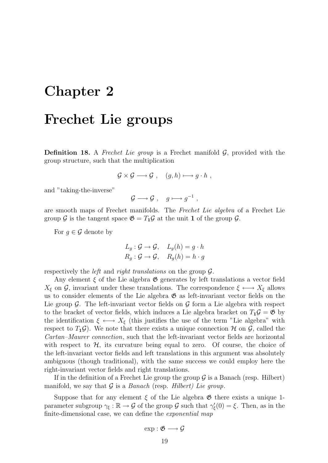# **Chapter 2**

## **Frechet Lie groups**

**Definition 18.** A *Frechet Lie group* is a Frechet manifold *G*, provided with the group structure, such that the multiplication

$$
\mathcal{G} \times \mathcal{G} \longrightarrow \mathcal{G} , (g, h) \longmapsto g \cdot h ,
$$

and "taking-the-inverse"

$$
\mathcal{G} \longrightarrow \mathcal{G} , \quad g \longmapsto g^{-1} ,
$$

are smooth maps of Frechet manifolds. The *Frechet Lie algebra* of a Frechet Lie group  $\mathcal G$  is the tangent space  $\mathfrak{G} = T_1 \mathcal G$  at the unit **1** of the group  $\mathcal G$ .

For  $g \in \mathcal{G}$  denote by

$$
L_g: \mathcal{G} \to \mathcal{G}, \quad L_g(h) = g \cdot h
$$
  

$$
R_g: \mathcal{G} \to \mathcal{G}, \quad R_g(h) = h \cdot g
$$

respectively the *left* and *right translations* on the group *G*.

Any element  $\xi$  of the Lie algebra  $\mathfrak{G}$  generates by left translations a vector field *X*<sup>*ξ*</sup> on *G*, invariant under these translations. The correspondence *ξ* ←→ *X*<sup>*ξ*</sup> allows us to consider elements of the Lie algebra  $\mathfrak{G}$  as left-invariant vector fields on the Lie group *G*. The left-invariant vector fields on *G* form a Lie algebra with respect to the bracket of vector fields, which induces a Lie algebra bracket on  $T_1 \mathcal{G} = \mathfrak{G}$  by the identification  $\xi \leftrightarrow X_{\xi}$  (this justifies the use of the term "Lie algebra" with respect to  $T_1 \mathcal{G}$ ). We note that there exists a unique connection  $\mathcal{H}$  on  $\mathcal{G}$ , called the *Cartan–Maurer connection*, such that the left-invariant vector fields are horizontal with respect to  $H$ , its curvature being equal to zero. Of course, the choice of the left-invariant vector fields and left translations in this argument was absolutely ambiguous (though traditional), with the same success we could employ here the right-invariant vector fields and right translations.

If in the definition of a Frechet Lie group the group  $\mathcal G$  is a Banach (resp. Hilbert) manifold, we say that *G* is a *Banach* (resp. *Hilbert) Lie group*.

Suppose that for any element  $\xi$  of the Lie algebra  $\mathfrak G$  there exists a unique 1parameter subgroup  $\gamma_{\xi} : \mathbb{R} \to \mathcal{G}$  of the group  $\mathcal{G}$  such that  $\gamma'_{\xi}(0) = \xi$ . Then, as in the finite-dimensional case, we can define the *exponential map*

$$
\exp:\mathfrak{G}\longrightarrow\mathcal{G}
$$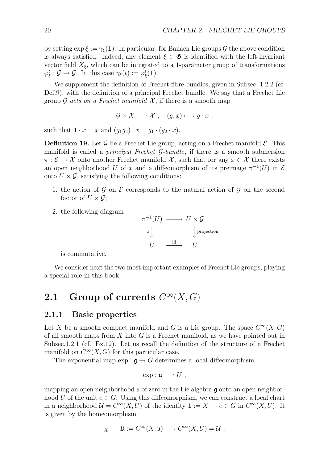by setting  $\exp \xi := \gamma_{\xi}(1)$ . In particular, for Banach Lie groups *G* the above condition is always satisfied. Indeed, any element  $\xi \in \mathfrak{G}$  is identified with the left-invariant vector field  $X_{\xi}$ , which can be integrated to a 1-parameter group of transformations  $\varphi_{\xi}^{t} : \mathcal{G} \to \mathcal{G}$ . In this case  $\gamma_{\xi}(t) := \varphi_{\xi}^{t}(\mathbf{1})$ .

We supplement the definition of Frechet fibre bundles, given in Subsec. 1.2.2 (cf. Def.9), with the definition of a principal Frechet bundle. We say that a Frechet Lie group  $G$  *acts on a Frechet manifold*  $X$ , if there is a smooth map

$$
\mathcal{G} \times \mathcal{X} \longrightarrow \mathcal{X} \ , \quad (g, x) \longmapsto g \cdot x \ ,
$$

such that  $\mathbf{1} \cdot x = x$  and  $(g_1 g_2) \cdot x = g_1 \cdot (g_2 \cdot x)$ .

**Definition 19.** Let  $\mathcal{G}$  be a Frechet Lie group, acting on a Frechet manifold  $\mathcal{E}$ . This manifold is called a *principal Frechet G*-*bundle*, if there is a smooth submersion  $\pi : \mathcal{E} \to \mathcal{X}$  onto another Frechet manifold  $\mathcal{X}$ , such that for any  $x \in \mathcal{X}$  there exists an open neighborhood *U* of *x* and a diffeomorphism of its preimage  $\pi^{-1}(U)$  in  $\mathcal E$ onto  $U \times \mathcal{G}$ , satisfying the following conditions:

- 1. the action of *G* on *E* corresponds to the natural action of *G* on the second factor of  $U \times \mathcal{G}$ ;
- 2. the following diagram

$$
\pi^{-1}(U) \longrightarrow U \times \mathcal{G}
$$
  

$$
\pi \downarrow \qquad \qquad \downarrow \text{projection}
$$
  

$$
U \longrightarrow U
$$

is commutative.

We consider next the two most important examples of Frechet Lie groups, playing a special role in this book.

### **2.1** Group of currents  $C^{\infty}(X, G)$

#### **2.1.1 Basic properties**

Let *X* be a smooth compact manifold and *G* is a Lie group. The space  $C^{\infty}(X, G)$ of all smooth maps from *X* into *G* is a Frechet manifold, as we have pointed out in Subsec.1.2.1 (cf. Ex.12). Let us recall the definition of the structure of a Frechet manifold on  $C^{\infty}(X, G)$  for this particular case.

The exponential map  $\exp : \mathfrak{g} \to G$  determines a local diffeomorphism

$$
\exp: \mathfrak{u} \longrightarrow U ,
$$

mapping an open neighborhood  $\mu$  of zero in the Lie algebra  $\mu$  onto an open neighborhood *U* of the unit  $e \in G$ . Using this diffeomorphism, we can construct a local chart in a neighborhood  $\mathcal{U} = C^{\infty}(X, U)$  of the identity  $\mathbf{1} := X \to e \in G$  in  $C^{\infty}(X, U)$ . It is given by the homeomorphism

$$
\chi: \quad \mathfrak{U}:=C^{\infty}(X,\mathfrak{u})\longrightarrow C^{\infty}(X,U)=\mathcal{U},
$$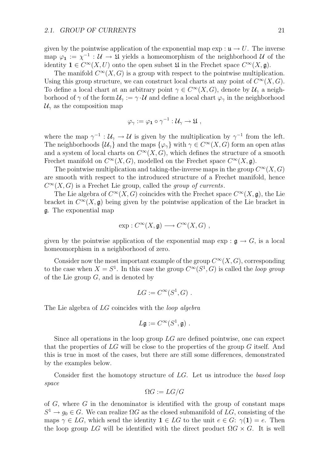given by the pointwise application of the exponential map  $\exp: \mathfrak{u} \to U$ . The inverse map  $\varphi_1 := \chi^{-1} : \mathcal{U} \to \mathfrak{U}$  yields a homeomorphism of the neighborhood  $\mathcal{U}$  of the identity **1**  $\in C^{\infty}(X, U)$  onto the open subset **1** in the Frechet space  $C^{\infty}(X, \mathfrak{g})$ .

The manifold  $C^{\infty}(X, G)$  is a group with respect to the pointwise multiplication. Using this group structure, we can construct local charts at any point of  $C^{\infty}(X, G)$ . To define a local chart at an arbitrary point  $\gamma \in C^{\infty}(X, G)$ , denote by  $\mathcal{U}_{\gamma}$  a neighborhood of  $\gamma$  of the form  $\mathcal{U}_{\gamma} := \gamma \cdot \mathcal{U}$  and define a local chart  $\varphi_{\gamma}$  in the neighborhood  $\mathcal{U}_{\gamma}$  as the composition map

$$
\varphi_{\gamma} := \varphi_1 \circ \gamma^{-1} : \mathcal{U}_{\gamma} \to \mathfrak{U} ,
$$

where the map  $\gamma^{-1}$  :  $\mathcal{U}_{\gamma} \to \mathcal{U}$  is given by the multiplication by  $\gamma^{-1}$  from the left. The neighborhoods  $\{\mathcal{U}_{\gamma}\}\$  and the maps  $\{\varphi_{\gamma}\}\$  with  $\gamma \in C^{\infty}(X, G)$  form an open atlas and a system of local charts on  $C^{\infty}(X, G)$ , which defines the structure of a smooth Frechet manifold on  $C^{\infty}(X, G)$ , modelled on the Frechet space  $C^{\infty}(X, \mathfrak{g})$ .

The pointwise multiplication and taking-the-inverse maps in the group  $C^{\infty}(X, G)$ are smooth with respect to the introduced structure of a Frechet manifold, hence  $C^{\infty}(X, G)$  is a Frechet Lie group, called the *group of currents*.

The Lie algebra of  $C^{\infty}(X, G)$  coincides with the Frechet space  $C^{\infty}(X, \mathfrak{g})$ , the Lie bracket in  $C^{\infty}(X, \mathfrak{g})$  being given by the pointwise application of the Lie bracket in g. The exponential map

$$
\exp: C^{\infty}(X, \mathfrak{g}) \longrightarrow C^{\infty}(X, G) ,
$$

given by the pointwise application of the exponential map  $\exp : \mathfrak{g} \to G$ , is a local homeomorphism in a neighborhood of zero.

Consider now the most important example of the group  $C^{\infty}(X, G)$ , corresponding to the case when  $X = S^1$ . In this case the group  $C^{\infty}(S^1, G)$  is called the *loop group* of the Lie group *G*, and is denoted by

$$
LG := C^{\infty}(S^1, G) .
$$

The Lie algebra of *LG* coincides with the *loop algebra*

$$
L\mathfrak{g} := C^{\infty}(S^1, \mathfrak{g}) \ .
$$

Since all operations in the loop group *LG* are defined pointwise, one can expect that the properties of *LG* will be close to the properties of the group *G* itself. And this is true in most of the cases, but there are still some differences, demonstrated by the examples below.

Consider first the homotopy structure of *LG*. Let us introduce the *based loop space*

$$
\Omega G:=LG/G
$$

of *G*, where *G* in the denominator is identified with the group of constant maps  $S^1 \rightarrow g_0 \in G$ . We can realize  $\Omega G$  as the closed submanifold of  $LG$ , consisting of the maps  $\gamma \in LG$ , which send the identity  $\mathbf{1} \in LG$  to the unit  $e \in G$ :  $\gamma(\mathbf{1}) = e$ . Then the loop group  $LG$  will be identified with the direct product  $\Omega G \times G$ . It is well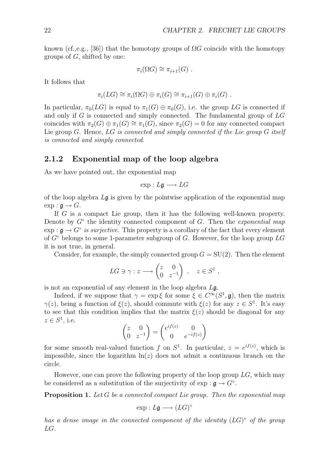known (cf.,e.g., [36]) that the homotopy groups of  $\Omega G$  coincide with the homotopy groups of *G*, shifted by one:

$$
\pi_i(\Omega G) \cong \pi_{i+1}(G) .
$$

It follows that

$$
\pi_i(LG) \cong \pi_i(\Omega G) \oplus \pi_i(G) \cong \pi_{i+1}(G) \oplus \pi_i(G) .
$$

In particular,  $\pi_0(LG)$  is equal to  $\pi_1(G) \oplus \pi_0(G)$ , i.e. the group LG is connected if and only if *G* is connected and simply connected. The fundamental group of *LG* coincides with  $\pi_2(G) \oplus \pi_1(G) \cong \pi_1(G)$ , since  $\pi_2(G) = 0$  for any connected compact Lie group *G*. Hence, *LG is connected and simply connected if the Lie group G itself is connected and simply connected*.

#### **2.1.2 Exponential map of the loop algebra**

As we have pointed out, the exponential map

exp : *L*g *−→ LG*

of the loop algebra *L*g is given by the pointwise application of the exponential map  $\exp : \mathfrak{g} \to G$ .

If *G* is a compact Lie group, then it has the following well-known property. Denote by *G◦* the identity connected component of *G*. Then the *exponential map*  $\exp: \mathfrak{g} \to G^{\circ}$  *is surjective*. This property is a corollary of the fact that every element of *G◦* belongs to some 1-parameter subgroup of *G*. However, for the loop group *LG* it is not true, in general.

Consider, for example, the simply connected group  $G = SU(2)$ . Then the element

$$
LG \ni \gamma : z \longrightarrow \begin{pmatrix} z & 0 \\ 0 & z^{-1} \end{pmatrix} , \quad z \in S^1 ,
$$

is not an exponential of any element in the loop algebra *L*g.

Indeed, if we suppose that  $\gamma = \exp \xi$  for some  $\xi \in C^{\infty}(S^1, \mathfrak{g})$ , then the matrix *γ*(*z*), being a function of  $ξ(z)$ , should commute with  $ξ(z)$  for any  $z ∈ S<sup>1</sup>$ . It's easy to see that this condition implies that the matrix  $\xi(z)$  should be diagonal for any  $z \in S^1$ , i.e.

$$
\begin{pmatrix} z & 0 \ 0 & z^{-1} \end{pmatrix} = \begin{pmatrix} e^{if(z)} & 0 \ 0 & e^{-if(z)} \end{pmatrix}
$$

for some smooth real-valued function *f* on  $S^1$ . In particular,  $z = e^{if(z)}$ , which is impossible, since the logarithm  $\ln(z)$  does not admit a continuous branch on the circle.

However, one can prove the following property of the loop group *LG*, which may be considered as a substitution of the surjectivity of  $\exp : \mathfrak{g} \to G^\circ$ .

**Proposition 1.** *Let G be a connected compact Lie group. Then the exponential map*

$$
\exp: L\mathfrak{g} \longrightarrow (LG)^{\circ}
$$

*has a dense image in the connected component of the identity* (*LG*)*◦ of the group LG.*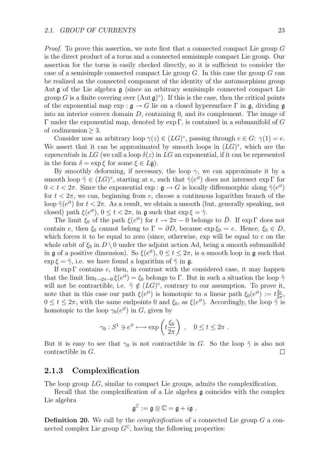*Proof.* To prove this assertion, we note first that a connected compact Lie group *G* is the direct product of a torus and a connected semisimple compact Lie group. Our assertion for the torus is easily checked directly, so it is sufficient to consider the case of a semisimple connected compact Lie group *G*. In this case the group *G* can be realized as the connected component of the identity of the automorphism group Aut  $\mathfrak g$  of the Lie algebra  $\mathfrak g$  (since an arbitrary semisimple connected compact Lie group *G* is a finite covering over  $(Aut \mathfrak{g})^\circ$ ). If this is the case, then the critical points of the exponential map  $\exp : \mathfrak{g} \to G$  lie on a closed hypersurface  $\Gamma$  in  $\mathfrak{g}$ , dividing  $\mathfrak{g}$ into an interior convex domain *D*, containing 0, and its complement. The image of Γ under the exponential map, denoted by exp Γ, is contained in a submanifold of *G* of codimension *≥* 3.

Consider now an arbitrary loop  $\gamma(z) \in (LG)^{\circ}$ , passing through  $e \in G$ :  $\gamma(1) = e$ . We assert that it can be approximated by smooth loops in (*LG*)*◦*, which are the *exponentials* in LG (we call a loop  $\delta(z)$  in LG an exponential, if it can be represented in the form  $\delta = \exp \xi$  for some  $\xi \in L\mathfrak{g}$ ).

By smoothly deforming, if necessary, the loop  $\gamma$ , we can approximate it by a smooth loop  $\tilde{\gamma} \in (LG)^\circ$ , starting at *e*, such that  $\tilde{\gamma}(e^{it})$  does not intersect exp Γ for  $0 < t < 2\pi$ . Since the exponential exp :  $\mathfrak{g} \to G$  is locally diffeomorphic along  $\tilde{\gamma}(e^{it})$ for  $t < 2\pi$ , we can, beginning from *e*, choose a continuous logarithm branch of the loop  $\tilde{\gamma}(e^{it})$  for  $t < 2\pi$ . As a result, we obtain a smooth (but, generally speaking, not closed) path  $\xi(e^{it})$ ,  $0 \le t \le 2\pi$ , in g such that  $\exp \xi = \tilde{\gamma}$ .

The limit  $\xi_0$  of the path  $\xi(e^{it})$  for  $t \to 2\pi - 0$  belongs to  $\overline{D}$ . If exp  $\Gamma$  does not contain *e*, then  $\xi_0$  cannot belong to  $\Gamma = \partial D$ , because  $\exp \xi_0 = e$ . Hence,  $\xi_0 \in D$ , which forces it to be equal to zero (since, otherwise, exp will be equal to *e* on the whole orbit of  $\xi_0$  in  $D \setminus 0$  under the adjoint action Ad, being a smooth submanifold in g of a positive dimension). So  $\xi(e^{it})$ ,  $0 \le t \le 2\pi$ , is a smooth loop in g such that exp  $\xi = \tilde{\gamma}$ , i.e. we have found a logarithm of  $\tilde{\gamma}$  in g.

If exp Γ contains *e*, then, in contrast with the considered case, it may happen that the limit  $\lim_{t\to 2\pi-0} \xi(e^{it}) = \xi_0$  belongs to Γ. But in such a situation the loop  $\tilde{\gamma}$ will not be contractible, i.e.  $\tilde{\gamma} \notin (LG)^\circ$ , contrary to our assumption. To prove it, note that in this case our path  $\xi(e^{it})$  is homotopic to a linear path  $\xi_0(e^{it}) := t \frac{\xi_0}{2\pi}$ ,  $0 \le t \le 2\pi$ , with the same endpoints 0 and  $\xi_0$ , as  $\xi(e^{it})$ . Accordingly, the loop  $\tilde{\gamma}$  is homotopic to the loop  $\gamma_0(e^{it})$  in *G*, given by

$$
\gamma_0: S^1 \ni e^{it} \longmapsto \exp\left(t \frac{\xi_0}{2\pi}\right) , \quad 0 \le t \le 2\pi .
$$

But it is easy to see that  $\gamma_0$  is not contractible in *G*. So the loop  $\tilde{\gamma}$  is also not contractible in *G*.  $\Box$ 

#### **2.1.3 Complexification**

The loop group *LG*, similar to compact Lie groups, admits the complexification.

Recall that the complexification of a Lie algebra  $\frak{g}$  coincides with the complex Lie algebra

$$
\mathfrak{g}^{\mathbb{C}}:=\mathfrak{g}\otimes\mathbb{C}=\mathfrak{g}+i\mathfrak{g}.
$$

**Definition 20.** We call by the *complexification* of a connected Lie group *G* a connected complex Lie group  $G^{\mathbb{C}}$ , having the following properties: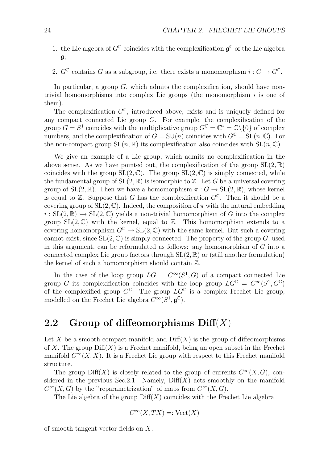- 1. the Lie algebra of  $G^{\mathbb{C}}$  coincides with the complexification  $\mathfrak{a}^{\mathbb{C}}$  of the Lie algebra  $\mathfrak{g}$ ;
- 2.  $G^{\mathbb{C}}$  contains *G* as a subgroup, i.e. there exists a monomorphism  $i: G \to G^{\mathbb{C}}$ .

In particular, a group *G*, which admits the complexification, should have nontrivial homomorphisms into complex Lie groups (the monomorphism *i* is one of them).

The complexification  $G^{\mathbb{C}}$ , introduced above, exists and is uniquely defined for any compact connected Lie group *G*. For example, the complexification of the group  $G = S^1$  coincides with the multiplicative group  $G^{\mathbb{C}} = \mathbb{C}^* = \mathbb{C} \setminus \{0\}$  of complex numbers, and the complexification of  $G = SU(n)$  coincides with  $G^{\mathbb{C}} = SL(n, \mathbb{C})$ . For the non-compact group  $SL(n, \mathbb{R})$  its complexification also coincides with  $SL(n, \mathbb{C})$ .

We give an example of a Lie group, which admits no complexification in the above sense. As we have pointed out, the complexification of the group  $SL(2,\mathbb{R})$ coincides with the group  $SL(2,\mathbb{C})$ . The group  $SL(2,\mathbb{C})$  is simply connected, while the fundamental group of  $SL(2,\mathbb{R})$  is isomorphic to  $\mathbb{Z}$ . Let *G* be a universal covering group of  $SL(2,\mathbb{R})$ . Then we have a homomorphism  $\pi: G \to SL(2,\mathbb{R})$ , whose kernel is equal to  $\mathbb{Z}$ . Suppose that *G* has the complexification  $G^{\mathbb{C}}$ . Then it should be a covering group of  $SL(2,\mathbb{C})$ . Indeed, the composition of  $\pi$  with the natural embedding  $i: SL(2,\mathbb{R}) \hookrightarrow SL(2,\mathbb{C})$  yields a non-trivial homomorphism of *G* into the complex group  $SL(2,\mathbb{C})$  with the kernel, equal to  $\mathbb{Z}$ . This homomorphism extends to a covering homomorphism  $G^{\mathbb{C}} \to SL(2, \mathbb{C})$  with the same kernel. But such a covering cannot exist, since  $SL(2,\mathbb{C})$  is simply connected. The property of the group *G*, used in this argument, can be reformulated as follows: any homomorphism of *G* into a connected complex Lie group factors through  $SL(2,\mathbb{R})$  or (still another formulation) the kernel of such a homomorphism should contain Z.

In the case of the loop group  $LG = C^{\infty}(S^1, G)$  of a compact connected Lie group *G* its complexification coincides with the loop group  $LG^{\mathbb{C}} = C^{\infty}(S^1, G^{\mathbb{C}})$ of the complexified group  $G^{\mathbb{C}}$ . The group  $LG^{\mathbb{C}}$  is a complex Frechet Lie group, modelled on the Frechet Lie algebra  $C^{\infty}(S^1, \mathfrak{g}^{\mathbb{C}})$ .

### **2.2 Group of diffeomorphisms Diff**(*X*)

Let X be a smooth compact manifold and  $\text{Diff}(X)$  is the group of diffeomorphisms of *X*. The group  $\text{Diff}(X)$  is a Frechet manifold, being an open subset in the Frechet manifold  $C^{\infty}(X, X)$ . It is a Frechet Lie group with respect to this Frechet manifold structure.

The group  $Diff(X)$  is closely related to the group of currents  $C^{\infty}(X, G)$ , considered in the previous Sec.2.1. Namely,  $\text{Diff}(X)$  acts smoothly on the manifold  $C^{\infty}(X, G)$  by the "reparametrization" of maps from  $C^{\infty}(X, G)$ .

The Lie algebra of the group  $\text{Diff}(X)$  coincides with the Frechet Lie algebra

$$
C^{\infty}(X, TX) =: \text{Vect}(X)
$$

of smooth tangent vector fields on *X*.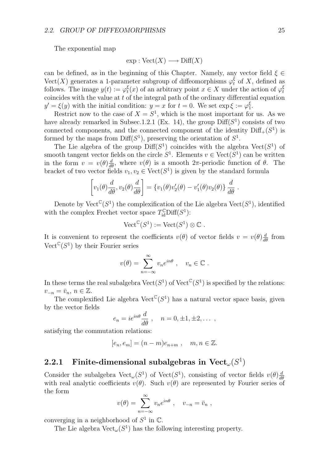The exponential map

$$
exp: Vect(X) \longrightarrow Diff(X)
$$

can be defined, as in the beginning of this Chapter. Namely, any vector field *ξ ∈* Vect(*X*) generates a 1-parameter subgroup of diffeomorphisms  $\varphi_t^{\xi}$  of *X*, defined as follows. The image  $y(t) := \varphi_t^{\xi}(x)$  of an arbitrary point  $x \in X$  under the action of  $\varphi_t^{\xi}$ coincides with the value at *t* of the integral path of the ordinary differential equation  $y' = \xi(y)$  with the initial condition:  $y = x$  for  $t = 0$ . We set  $\exp \xi := \varphi_1^{\xi}$ .

Restrict now to the case of  $X = S^1$ , which is the most important for us. As we have already remarked in Subsec.1.2.1 (Ex. 14), the group  $\text{Diff}(S^1)$  consists of two connected components, and the connected component of the identity  $\text{Diff}_+(S^1)$  is formed by the maps from  $Diff(S^1)$ , preserving the orientation of  $S^1$ .

The Lie algebra of the group  $\text{Diff}(S^1)$  coincides with the algebra  $\text{Vect}(S^1)$  of smooth tangent vector fields on the circle  $S^1$ . Elements  $v \in \text{Vect}(S^1)$  can be written in the form  $v = v(\theta) \frac{d}{d\theta}$ , where  $v(\theta)$  is a smooth  $2\pi$ -periodic function of  $\theta$ . The bracket of two vector fields  $v_1, v_2 \in \text{Vect}(S^1)$  is given by the standard formula

$$
\left[v_1(\theta)\frac{d}{d\theta},v_2(\theta)\frac{d}{d\theta}\right] = \left\{v_1(\theta)v_2'(\theta) - v_1'(\theta)v_2(\theta)\right\}\frac{d}{d\theta}.
$$

Denote by Vect<sup>C</sup>( $S^1$ ) the complexification of the Lie algebra Vect( $S^1$ ), identified with the complex Frechet vector space  $T_{\text{id}}^{\mathbb{C}}$ Diff( $S^1$ ):

$$
\mathrm{Vect}^{\mathbb{C}}(S^1) := \mathrm{Vect}(S^1) \otimes \mathbb{C} .
$$

It is convenient to represent the coefficients  $v(\theta)$  of vector fields  $v = v(\theta) \frac{d}{d\theta}$  from Vect<sup> $\mathbb{C}(S^1)$ </sup> by their Fourier series

$$
v(\theta) = \sum_{n=-\infty}^{\infty} v_n e^{in\theta} , \quad v_n \in \mathbb{C} .
$$

In these terms the real subalgebra  $Vect(S^1)$  of  $Vect^C(S^1)$  is specified by the relations:  $v_{-n} = \bar{v}_n, n \in \mathbb{Z}$ .

The complexified Lie algebra  $\mathrm{Vect}^{\mathbb{C}}(S^1)$  has a natural vector space basis, given by the vector fields

$$
e_n = ie^{in\theta} \frac{d}{d\theta} , \quad n = 0, \pm 1, \pm 2, \dots ,
$$

satisfying the commutation relations:

$$
[e_n, e_m] = (n-m)e_{n+m} , \quad m, n \in \mathbb{Z}.
$$

### **2.2.1 Finite-dimensional subalgebras in Vect<sub>** $\omega$ **</sub>** $(S^1)$

Consider the subalgebra  $Vect_\omega(S^1)$  of  $Vect(S^1)$ , consisting of vector fields  $v(\theta) \frac{d}{d\theta}$ with real analytic coefficients  $v(\theta)$ . Such  $v(\theta)$  are represented by Fourier series of the form

$$
v(\theta) = \sum_{n=-\infty}^{\infty} v_n e^{in\theta} , \quad v_{-n} = \bar{v}_n ,
$$

converging in a neighborhood of  $S^1$  in  $\mathbb{C}$ .

The Lie algebra  $Vect_\omega(S^1)$  has the following interesting property.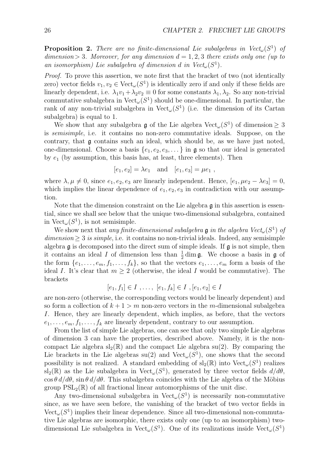**Proposition 2.** *There are no finite-dimensional Lie subalgebras in Vectω*(*S*<sup>1</sup>) *of*  $dimension > 3$ *. Moreover, for any dimension*  $d = 1, 2, 3$  *there exists only one (up to an isomorphism)* Lie subalgebra of dimension *d* in  $Vect_\omega(S^1)$ .

*Proof.* To prove this assertion, we note first that the bracket of two (not identically zero) vector fields  $v_1, v_2 \in \text{Vect}_{\omega}(S^1)$  is identically zero if and only if these fields are linearly dependent, i.e.  $\lambda_1 v_1 + \lambda_2 v_2 \equiv 0$  for some constants  $\lambda_1, \lambda_2$ . So any non-trivial commutative subalgebra in  $Vect_\omega(S^1)$  should be one-dimensional. In particular, the rank of any non-trivial subalgebra in Vect<sub>ω</sub> $(S^1)$  (i.e. the dimension of its Cartan subalgebra) is equal to 1.

We show that any subalgebra  $\mathfrak g$  of the Lie algebra  $\mathrm{Vect}_\omega(S^1)$  of dimension  $\geq 3$ is *semisimple*, i.e. it contains no non-zero commutative ideals. Suppose, on the contrary, that g contains such an ideal, which should be, as we have just noted, one-dimensional. Choose a basis  $\{e_1, e_2, e_3, \ldots\}$  in g so that our ideal is generated by *e*<sup>1</sup> (by assumption, this basis has, at least, three elements). Then

$$
[e_1, e_2] = \lambda e_1
$$
 and  $[e_1, e_3] = \mu e_1$ ,

where  $\lambda, \mu \neq 0$ , since  $e_1, e_2, e_3$  are linearly independent. Hence,  $[e_1, \mu e_2 - \lambda e_3] = 0$ , which implies the linear dependence of  $e_1, e_2, e_3$  in contradiction with our assumption.

Note that the dimension constraint on the Lie algebra  $\mathfrak g$  in this assertion is essential, since we shall see below that the unique two-dimensional subalgebra, contained in  $Vect_\omega(S^1)$ , is not semisimple.

We show next that *any finite-dimensional subalgebra* g *in the algebra Vect*<sub> $\omega$ </sub>( $S^1$ ) *of*  $dimension \geq 3$  *is simple*, i.e. it contains no non-trivial ideals. Indeed, any semisimple algebra  $\mathfrak g$  is decomposed into the direct sum of simple ideals. If  $\mathfrak g$  is not simple, then it contains an ideal *I* of dimension less than  $\frac{1}{2}$  dim **g**. We choose a basis in **g** of the form  $\{e_1, \ldots, e_m, f_1, \ldots, f_k\}$ , so that the vectors  $e_1, \ldots, e_m$  form a basis of the ideal *I*. It's clear that  $m \geq 2$  (otherwise, the ideal *I* would be commutative). The brackets

$$
[e_1, f_1] \in I , \ldots , [e_1, f_k] \in I , [e_1, e_2] \in I
$$

are non-zero (otherwise, the corresponding vectors would be linearly dependent) and so form a collection of  $k + 1 > m$  non-zero vectors in the *m*-dimensional subalgebra *I*. Hence, they are linearly dependent, which implies, as before, that the vectors  $e_1, \ldots, e_m, f_1, \ldots, f_k$  are linearly dependent, contrary to our assumption.

From the list of simple Lie algebras, one can see that only two simple Lie algebras of dimension 3 can have the properties, described above. Namely, it is the noncompact Lie algebra  $sl_2(\mathbb{R})$  and the compact Lie algebra  $su(2)$ . By comparing the Lie brackets in the Lie algebras  $su(2)$  and  $Vect_\omega(S^1)$ , one shows that the second possibility is not realized. A standard embedding of  $sl_2(\mathbb{R})$  into  $Vect_\omega(S^1)$  realizes sl<sub>2</sub>( $\mathbb{R}$ ) as the Lie subalgebra in Vect<sub>ω</sub>( $S^1$ ), generated by three vector fields  $d/d\theta$ ,  $\cos \theta \, d/d\theta$ ,  $\sin \theta \, d/d\theta$ . This subalgebra coincides with the Lie algebra of the Möbius group  $PSL_2(\mathbb{R})$  of all fractional linear automorphisms of the unit disc.

Any two-dimensional subalgebra in  $Vect_\omega(S^1)$  is necessarily non-commutative since, as we have seen before, the vanishing of the bracket of two vector fields in Vect*ω*(*S*<sup>1</sup>) implies their linear dependence. Since all two-dimensional non-commutative Lie algebras are isomorphic, there exists only one (up to an isomorphism) twodimensional Lie subalgebra in Vect<sub>ω</sub> $(S<sup>1</sup>)$ . One of its realizations inside Vect<sub>ω</sub> $(S<sup>1</sup>)$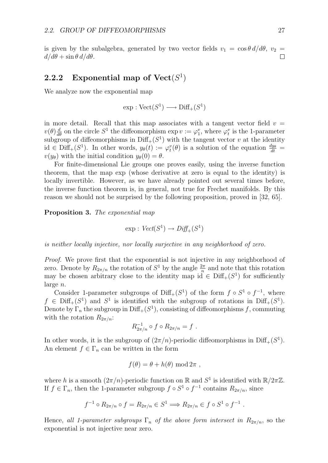is given by the subalgebra, generated by two vector fields  $v_1 = \cos \theta \, d/d\theta$ ,  $v_2 =$  $d/d\theta$  +  $\sin \theta \, d/d\theta$ .  $\Box$ 

### **2.2.2** Exponential map of  $Vect(S^1)$

We analyze now the exponential map

$$
\exp : \mathrm{Vect}(S^1) \longrightarrow \mathrm{Diff}_+(S^1)
$$

in more detail. Recall that this map associates with a tangent vector field  $v =$  $v(\theta) \frac{d}{d\theta}$  on the circle  $S^1$  the diffeomorphism  $\exp v := \varphi_1^v$ , where  $\varphi_t^v$  is the 1-parameter subgroup of diffeomorphisms in  $\text{Diff}_+(S^1)$  with the tangent vector *v* at the identity  $id \in \text{Diff}_+(S^1)$ . In other words,  $y_{\theta}(t) := \varphi_t^v(\theta)$  is a solution of the equation  $\frac{dy_{\theta}}{dt} =$  $v(y_{\theta})$  with the initial condition  $y_{\theta}(0) = \theta$ .

For finite-dimensional Lie groups one proves easily, using the inverse function theorem, that the map exp (whose derivative at zero is equal to the identity) is locally invertible. However, as we have already pointed out several times before, the inverse function theorem is, in general, not true for Frechet manifolds. By this reason we should not be surprised by the following proposition, proved in [32, 65].

**Proposition 3.** *The exponential map*

$$
\exp: \text{Vect}(S^1) \to \text{Diff}_+(S^1)
$$

*is neither locally injective, nor locally surjective in any neighborhood of zero.*

*Proof.* We prove first that the exponential is not injective in any neighborhood of zero. Denote by  $R_{2\pi/n}$  the rotation of  $S^1$  by the angle  $\frac{2\pi}{n}$  and note that this rotation may be chosen arbitrary close to the identity map  $\mathrm{id} \in \mathrm{Diff}_{+}(S^1)$  for sufficiently large *n*.

Consider 1-parameter subgroups of Diff<sub>+</sub>( $S^1$ ) of the form  $f \circ S^1 \circ f^{-1}$ , where  $f \in \text{Diff}_+(S^1)$  and  $S^1$  is identified with the subgroup of rotations in  $\text{Diff}_+(S^1)$ . Denote by  $\Gamma_n$  the subgroup in Diff<sub>+</sub>( $S^1$ ), consisting of diffeomorphisms *f*, commuting with the rotation  $R_{2\pi/n}$ :

$$
R_{2\pi/n}^{-1} \circ f \circ R_{2\pi/n} = f.
$$

In other words, it is the subgroup of  $(2\pi/n)$ -periodic diffeomorphisms in Diff<sub>+</sub>( $S^1$ ). An element  $f \in \Gamma_n$  can be written in the form

$$
f(\theta) = \theta + h(\theta) \bmod 2\pi ,
$$

where *h* is a smooth  $(2\pi/n)$ -periodic function on R and  $S^1$  is identified with  $\mathbb{R}/2\pi\mathbb{Z}$ . If  $f \in \Gamma_n$ , then the 1-parameter subgroup  $f \circ S^1 \circ f^{-1}$  contains  $R_{2\pi/n}$ , since

$$
f^{-1} \circ R_{2\pi/n} \circ f = R_{2\pi/n} \in S^1 \Longrightarrow R_{2\pi/n} \in f \circ S^1 \circ f^{-1} .
$$

Hence, all 1-parameter subgroups  $\Gamma_n$  of the above form intersect in  $R_{2\pi/n}$ , so the exponential is not injective near zero.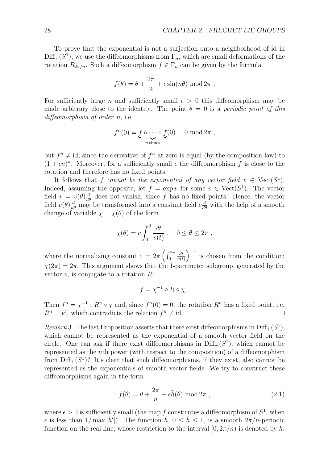To prove that the exponential is not a surjection onto a neighborhood of id in  $Diff_{+}(S^{1})$ , we use the diffeomorphisms from  $\Gamma_{n}$ , which are small deformations of the rotation  $R_{2\pi/n}$ . Such a diffeomorphism  $f \in \Gamma_n$  can be given by the formula

$$
f(\theta) = \theta + \frac{2\pi}{n} + \epsilon \sin(n\theta) \mod 2\pi
$$
.

For sufficiently large *n* and sufficiently small  $\epsilon > 0$  this diffeomorphism may be made arbitrary close to the identity. The point  $\theta = 0$  is a *periodic point of this diffeomorphism of order n*, i.e.

$$
f^{n}(0) = \underbrace{f \circ \cdots \circ f}_{n \text{ times}}(0) = 0 \mod 2\pi ,
$$

but  $f^n \neq id$ , since the derivative of  $f^n$  at zero is equal (by the composition law) to  $(1 + \epsilon n)^n$ . Moreover, for a sufficiently small  $\epsilon$  the diffeomorphism f is close to the rotation and therefore has no fixed points.

It follows that *f* cannot be the exponential of any vector field  $v \in \text{Vect}(S^1)$ . Indeed, assuming the opposite, let  $f = \exp v$  for some  $v \in \text{Vect}(S^1)$ . The vector field  $v = v(\theta) \frac{d}{d\theta}$  does not vanish, since f has no fixed points. Hence, the vector field  $v(\theta) \frac{d}{d\theta}$  may be transformed into a constant field  $c \frac{d}{d\theta}$  with the help of a smooth change of variable  $\chi = \chi(\theta)$  of the form

$$
\chi(\theta) = c \int_0^{\theta} \frac{dt}{v(t)} , \quad 0 \le \theta \le 2\pi ,
$$

where the normalizing constant  $c = 2\pi \left(\int_0^{2\pi} \frac{dt}{v(t)}\right)^{-1}$  is chosen from the condition:  $\chi(2\pi) = 2\pi$ . This argument shows that the 1-parameter subgroup, generated by the vector *v*, is conjugate to a rotation *R*:

$$
f = \chi^{-1} \circ R \circ \chi .
$$

Then  $f^n = \chi^{-1} \circ R^n \circ \chi$  and, since  $f^n(0) = 0$ , the rotation  $R^n$  has a fixed point, i.e.  $R^n = id$ , which contradicts the relation  $f^n \neq id$ .  $\Box$ 

*Remark* 3. The last Proposition asserts that there exist diffeomorphisms in  $\text{Diff}_+(S^1)$ , which cannot be represented as the exponential of a smooth vector field on the circle. One can ask if there exist diffeomorphisms in  $\text{Diff}_+(S^1)$ , which cannot be represented as the *n*th power (with respect to the composition) of a diffeomorphism from  $\text{Diff}_{+}(S^1)$ ? It's clear that such diffeomorphisms, if they exist, also cannot be represented as the exponentials of smooth vector fields. We try to construct these diffeomorphisms again in the form

$$
f(\theta) = \theta + \frac{2\pi}{n} + \epsilon \tilde{h}(\theta) \mod 2\pi , \qquad (2.1)
$$

where  $\epsilon > 0$  is sufficiently small (the map f constitutes a diffeomorphism of  $S^1$ , when  $\epsilon$  is less than  $1/\max|\tilde{h}'|$ . The function  $\tilde{h}$ ,  $0 \leq \tilde{h} \leq 1$ , is a smooth  $2\pi/n$ -periodic function on the real line, whose restriction to the interval  $[0, 2\pi/n)$  is denoted by *h*.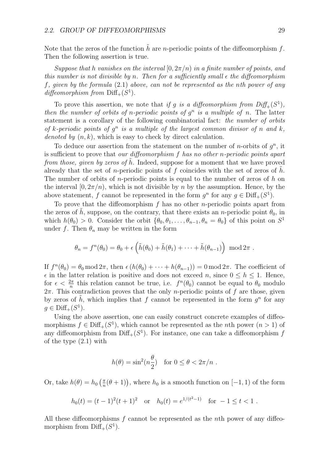Note that the zeros of the function  $\tilde{h}$  are *n*-periodic points of the diffeomorphism  $f$ . Then the following assertion is true.

*Suppose that h vanishes on the interval*  $[0, 2\pi/n)$  *in a finite number of points, and this number is not divisible by n. Then for a sufficiently small ϵ the diffeomorphism f, given by the formula* (2.1) *above, can not be represented as the nth power of any*  $diffeomorphism from  $\text{Diff}_{+}(S^1)$ .$ 

To prove this assertion, we note that *if g is a diffeomorphism from*  $Diff_{+}(S^{1})$ *, then the number of orbits of n-periodic points of*  $g^n$  *is a multiple of n.* The latter statement is a corollary of the following combinatorial fact: *the number of orbits of k*-periodic points of  $q^n$  is a multiple of the largest common divisor of *n* and *k*, *denoted by* (*n, k*), which is easy to check by direct calculation.

To deduce our assertion from the statement on the number of *n*-orbits of  $q^n$ , it is sufficient to prove that *our diffeomorphism f has no other n-periodic points apart from those, given by zeros of h*. Indeed, suppose for a moment that we have proved already that the set of *n*-periodic points of f coincides with the set of zeros of h. The number of orbits of *n*-periodic points is equal to the number of zeros of *h* on the interval  $[0, 2\pi/n)$ , which is not divisible by *n* by the assumption. Hence, by the above statement, *f* cannot be represented in the form  $g^n$  for any  $g \in \text{Diff}_+(S^1)$ .

To prove that the diffeomorphism *f* has no other *n*-periodic points apart from the zeros of  $\tilde{h}$ , suppose, on the contrary, that there exists an *n*-periodic point  $\theta_0$ , in which  $h(\theta_0) > 0$ . Consider the orbit  $\{\theta_0, \theta_1, \ldots, \theta_{n-1}, \theta_n = \theta_0\}$  of this point on  $S^1$ under *f*. Then  $\theta_n$  may be written in the form

$$
\theta_n = f^n(\theta_0) = \theta_0 + \epsilon \left( \tilde{h}(\theta_0) + \tilde{h}(\theta_1) + \cdots + \tilde{h}(\theta_{n-1}) \right) \mod 2\pi.
$$

If  $f^{n}(\theta_{0}) = \theta_{0} \mod 2\pi$ , then  $\epsilon(h(\theta_{0}) + \cdots + h(\theta_{n-1})) = 0 \mod 2\pi$ . The coefficient of  $\epsilon$  in the latter relation is positive and does not exceed *n*, since  $0 \leq h \leq 1$ . Hence, for  $\epsilon < \frac{2\pi}{n}$  this relation cannot be true, i.e.  $f^n(\theta_0)$  cannot be equal to  $\theta_0$  modulo 2*π*. This contradiction proves that the only *n*-periodic points of *f* are those, given by zeros of h, which implies that f cannot be represented in the form  $q^n$  for any *g* ∈ Diff<sub>+</sub> $(S<sup>1</sup>)$ .

Using the above assertion, one can easily construct concrete examples of diffeomorphisms  $f \in \text{Diff}_+(S^1)$ , which cannot be represented as the *n*th power  $(n > 1)$  of any diffeomorphism from  $\text{Diff}_+(S^1)$ . For instance, one can take a diffeomorphism *f* of the type (2.1) with

$$
h(\theta) = \sin^2(n\frac{\theta}{2}) \quad \text{for } 0 \le \theta < 2\pi/n \; .
$$

Or, take  $h(\theta) = h_0\left(\frac{\pi}{n}(\theta+1)\right)$ , where  $h_0$  is a smooth function on [−1, 1) of the form

$$
h_0(t) = (t-1)^2(t+1)^2
$$
 or  $h_0(t) = e^{1/(t^2-1)}$  for  $-1 \le t < 1$ .

All these diffeomorphisms *f* cannot be represented as the *n*th power of any diffeomorphism from  $\text{Diff}_+(S^1)$ .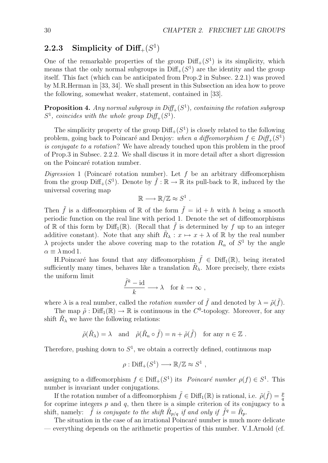### **2.2.3** Simplicity of Diff<sub>+</sub> $(S<sup>1</sup>)$

One of the remarkable properties of the group  $\text{Diff}_+(S^1)$  is its simplicity, which means that the only normal subgroups in  $\text{Diff}_+(S^1)$  are the identity and the group itself. This fact (which can be anticipated from Prop.2 in Subsec. 2.2.1) was proved by M.R.Herman in [33, 34]. We shall present in this Subsection an idea how to prove the following, somewhat weaker, statement, contained in [33].

**Proposition 4.** Any normal subgroup in  $Diff_{+}(S^{1})$ , containing the rotation subgroup  $S^1$ *, coincides with the whole group*  $Diff_{+}(S^1)$ *.* 

The simplicity property of the group  $\text{Diff}_+(S^1)$  is closely related to the following problem, going back to Poincaré and Denjoy: *when a diffeomorphism*  $f \in Diff_+(S^1)$ *is conjugate to a rotation*? We have already touched upon this problem in the proof of Prop.3 in Subsec. 2.2.2. We shall discuss it in more detail after a short digression on the Poincaré rotation number.

 $Digression 1$  (Poincaré rotation number). Let  $f$  be an arbitrary diffeomorphism from the group  $\text{Diff}_+(S^1)$ . Denote by  $\tilde{f}: \mathbb{R} \to \mathbb{R}$  its pull-back to  $\mathbb{R}$ , induced by the universal covering map

 $\mathbb{R} \longrightarrow \mathbb{R}/\mathbb{Z} \approx S^1$ .

Then  $\tilde{f}$  is a diffeomorphism of R of the form  $\tilde{f} = id + h$  with h being a smooth periodic function on the real line with period 1. Denote the set of diffeomorphisms of R of this form by Diff<sub>1</sub>(R). (Recall that  $\tilde{f}$  is determined by f up to an integer additive constant). Note that any shift  $\tilde{R}_{\lambda}: x \mapsto x + \lambda$  of R by the real number *λ* projects under the above covering map to the rotation  $R_\alpha$  of  $S^1$  by the angle  $\alpha \equiv \lambda \mod 1$ .

H.Poincaré has found that any diffeomorphism  $\tilde{f} \in \text{Diff}_1(\mathbb{R})$ , being iterated sufficiently many times, behaves like a translation  $\tilde{R}_{\lambda}$ . More precisely, there exists *f*  $\mu$  *k k k*  $\mu$  *k niform limit* 

$$
\frac{\hat{f}^k - \mathrm{id}}{k} \longrightarrow \lambda \quad \text{for } k \to \infty ,
$$

where  $\lambda$  is a real number, called the *rotation number* of  $\tilde{f}$  and denoted by  $\lambda = \tilde{\rho}(\tilde{f})$ .

The map  $\tilde{\rho}$ : Diff<sub>1</sub>( $\mathbb{R}$ )  $\rightarrow \mathbb{R}$  is continuous in the *C*<sup>0</sup>-topology. Moreover, for any shift  $R_{\lambda}$  we have the following relations:

$$
\tilde{\rho}(\tilde{R}_{\lambda}) = \lambda \text{ and } \tilde{\rho}(\tilde{R}_{n} \circ \tilde{f}) = n + \tilde{\rho}(\tilde{f}) \text{ for any } n \in \mathbb{Z}.
$$

Therefore, pushing down to  $S^1$ , we obtain a correctly defined, continuous map

$$
\rho : \text{Diff}_+(S^1) \longrightarrow \mathbb{R}/\mathbb{Z} \approx S^1 ,
$$

assigning to a diffeomorphism  $f \in \text{Diff}_+(S^1)$  its *Poincaré number*  $\rho(f) \in S^1$ . This number is invariant under conjugations.

If the rotation number of a diffeomorphism  $\tilde{f} \in \text{Diff}_1(\mathbb{R})$  is rational, i.e.  $\tilde{\rho}(\tilde{f}) = \frac{p}{q}$ for coprime integers  $p$  and  $q$ , then there is a simple criterion of its conjugacy to a shift, namely: *f is conjugate to the shift*  $R_{p/q}$  *if and only if*  $f^q = R_p$ .

The situation in the case of an irrational Poincaré number is much more delicate — everything depends on the arithmetic properties of this number. V.I.Arnold (cf.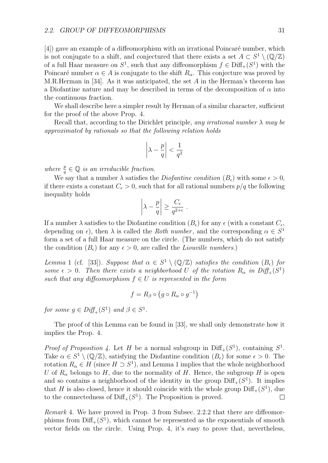$[4]$ ) gave an example of a diffeomorphism with an irrational Poincaré number, which is not conjugate to a shift, and conjectured that there exists a set  $A \subset S^1 \setminus (\mathbb{Q}/\mathbb{Z})$ of a full Haar measure on  $S^1$ , such that any diffeomorphism  $f \in \text{Diff}_+(S^1)$  with the Poincaré number  $\alpha \in A$  is conjugate to the shift  $R_\alpha$ . This conjecture was proved by M.R.Herman in [34]. As it was anticipated, the set *A* in the Herman's theorem has a Diofantine nature and may be described in terms of the decomposition of  $\alpha$  into the continuous fraction.

We shall describe here a simpler result by Herman of a similar character, sufficient for the proof of the above Prop. 4.

Recall that, according to the Dirichlet principle, *any irrational number λ may be approximated by rationals so that the following relation holds*

$$
\left|\lambda - \frac{p}{q}\right| < \frac{1}{q^2}
$$

*where*  $\frac{p}{q} \in \mathbb{Q}$  *is an irreducible fraction.* 

We say that a number  $\lambda$  satisfies the *Diofantine condition*  $(B_{\epsilon})$  with some  $\epsilon > 0$ , if there exists a constant  $C_{\epsilon} > 0$ , such that for all rational numbers  $p/q$  the following inequality holds

$$
\left|\lambda - \frac{p}{q}\right| \ge \frac{C_{\epsilon}}{q^{2+\epsilon}}.
$$

If a number  $\lambda$  satisfies to the Diofantine condition  $(B_{\epsilon})$  for any  $\epsilon$  (with a constant  $C_{\epsilon}$ , depending on  $\epsilon$ ), then  $\lambda$  is called the *Roth number*, and the corresponding  $\alpha \in S^1$ form a set of a full Haar measure on the circle. (The numbers, which do not satisfy the condition  $(B_{\epsilon})$  for any  $\epsilon > 0$ , are called the *Liouville numbers*.)

*Lemma* 1 (cf. [33])*. Suppose that*  $\alpha \in S^1 \setminus (\mathbb{Q}/\mathbb{Z})$  *satisfies the condition*  $(B_{\epsilon})$  *for some*  $\epsilon > 0$ . Then there exists a neighborhood U of the rotation  $R_\alpha$  in  $Diff_+(S^1)$ *such that any diffeomorphism*  $f \in U$  *is represented in the form* 

$$
f = R_{\beta} \circ (g \circ R_{\alpha} \circ g^{-1})
$$

*for some*  $q \in Diff_{+}(S^{1})$  *and*  $\beta \in S^{1}$ *.* 

The proof of this Lemma can be found in [33], we shall only demonstrate how it implies the Prop. 4.

*Proof of Proposition 4.* Let *H* be a normal subgroup in  $\text{Diff}_+(S^1)$ , containing  $S^1$ . Take  $\alpha \in S^1 \setminus (\mathbb{Q}/\mathbb{Z})$ , satisfying the Diofantine condition  $(B_\epsilon)$  for some  $\epsilon > 0$ . The rotation  $R_\alpha \in H$  (since  $H \supset S^1$ ), and Lemma 1 implies that the whole neighborhood *U* of  $R_\alpha$  belongs to *H*, due to the normality of *H*. Hence, the subgroup *H* is open and so contains a neighborhood of the identity in the group  $\text{Diff}_+(S^1)$ . It implies that *H* is also closed, hence it should coincide with the whole group  $Diff_{+}(S^{1})$ , due to the connectedness of  $\text{Diff}_+(S^1)$ . The Proposition is proved.  $\Box$ 

*Remark* 4*.* We have proved in Prop. 3 from Subsec. 2.2.2 that there are diffeomorphisms from  $\text{Diff}_+(S^1)$ , which cannot be represented as the exponentials of smooth vector fields on the circle. Using Prop. 4, it's easy to prove that, nevertheless,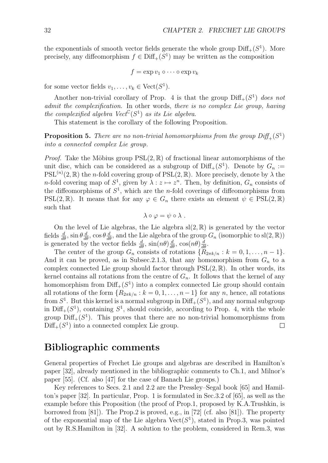the exponentials of smooth vector fields generate the whole group  $\text{Diff}_+(S^1)$ . More precisely, any diffeomorphism  $f \in \text{Diff}_+(S^1)$  may be written as the composition

$$
f = \exp v_1 \circ \cdots \circ \exp v_k
$$

for some vector fields  $v_1, \ldots, v_k \in \text{Vect}(S^1)$ .

Another non-trivial corollary of Prop. 4 is that the group  $\text{Diff}_+(S^1)$  *does not admit the complexification*. In other words, *there is no complex Lie group, having the complexified algebra*  $Vect^{\mathbb{C}}(S^1)$  *as its Lie algebra.* 

This statement is the corollary of the following Proposition.

**Proposition 5.** There are no non-trivial homomorphisms from the group  $Diff_{+}(S^1)$ *into a connected complex Lie group.*

*Proof.* Take the Möbius group  $PSL(2,\mathbb{R})$  of fractional linear automorphisms of the unit disc, which can be considered as a subgroup of  $\text{Diff}_+(S^1)$ . Denote by  $G_n$  :=  $PSL^{(n)}(2,\mathbb{R})$  the *n*-fold covering group of  $PSL(2,\mathbb{R})$ . More precisely, denote by  $\lambda$  the *n*-fold covering map of  $S^1$ , given by  $\lambda : z \mapsto z^n$ . Then, by definition,  $G_n$  consists of the diffeomorphisms of  $S^1$ , which are the *n*-fold coverings of diffeomorphisms from PSL(2, R). It means that for any  $\varphi \in G_n$  there exists an element  $\psi \in \text{PSL}(2,\mathbb{R})$ such that

$$
\lambda \circ \varphi = \psi \circ \lambda .
$$

On the level of Lie algebras, the Lie algebra  $sl(2,\mathbb{R})$  is generated by the vector fields  $\frac{d}{d\theta}$ ,  $\sin \theta \frac{d}{d\theta}$ ,  $\cos \theta \frac{d}{d\theta}$ , and the Lie algebra of the group  $G_n$  (isomorphic to sl(2, R)) is generated by the vector fields  $\frac{d}{d\theta}$ ,  $\sin(n\theta) \frac{d}{d\theta}$ ,  $\cos(n\theta) \frac{d}{d\theta}$ .

The center of the group  $G_n$  consists of rotations  $\{\tilde{R}_{2\pi k/n} : k = 0, 1, \ldots, n-1\}$ . And it can be proved, as in Subsec.2.1.3, that any homomorphism from  $G_n$  to a complex connected Lie group should factor through  $PSL(2,\mathbb{R})$ . In other words, its kernel contains all rotations from the centre of  $G_n$ . It follows that the kernel of any homomorphism from  $\text{Diff}_+(S^1)$  into a complex connected Lie group should contain all rotations of the form  ${R_{2\pi k/n} : k = 0, 1, \ldots, n-1}$  for any *n*, hence, all rotations from  $S^1$ . But this kernel is a normal subgroup in  $\text{Diff}_+(S^1)$ , and any normal subgroup in  $\text{Diff}_+(S^1)$ , containing  $S^1$ , should coincide, according to Prop. 4, with the whole group  $\text{Diff}_+(S^1)$ . This proves that there are no non-trivial homomorphisms from  $Diff_{+}(S^{1})$  into a connected complex Lie group.  $\Box$ 

### **Bibliographic comments**

General properties of Frechet Lie groups and algebras are described in Hamilton's paper [32], already mentioned in the bibliographic comments to Ch.1, and Milnor's paper [55]. (Cf. also [47] for the case of Banach Lie groups.)

Key references to Secs. 2.1 and 2.2 are the Pressley–Segal book [65] and Hamilton's paper [32]. In particular, Prop. 1 is formulated in Sec.3.2 of [65], as well as the example before this Proposition (the proof of Prop.1, proposed by K.A.Trushkin, is borrowed from [81]). The Prop.2 is proved, e.g., in [72] (cf. also [81]). The property of the exponential map of the Lie algebra  $Vect(S<sup>1</sup>)$ , stated in Prop.3, was pointed out by R.S.Hamilton in [32]. A solution to the problem, considered in Rem.3, was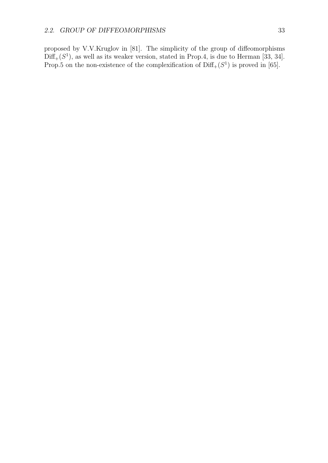proposed by V.V.Kruglov in [81]. The simplicity of the group of diffeomorphisms  $Diff<sub>+</sub>(S<sup>1</sup>)$ , as well as its weaker version, stated in Prop.4, is due to Herman [33, 34]. Prop.5 on the non-existence of the complexification of  $\text{Diff}_+(S^1)$  is proved in [65].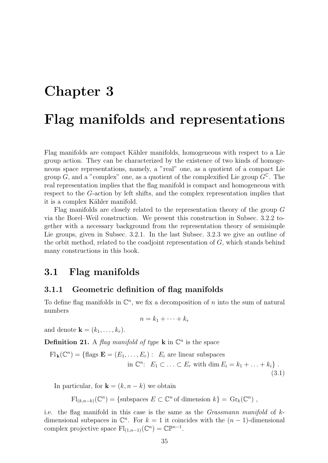# **Chapter 3**

# **Flag manifolds and representations**

Flag manifolds are compact Kähler manifolds, homogeneous with respect to a Lie group action. They can be characterized by the existence of two kinds of homogeneous space representations, namely, a "real" one, as a quotient of a compact Lie group *G*, and a "complex" one, as a quotient of the complexified Lie group  $G^{\mathbb{C}}$ . The real representation implies that the flag manifold is compact and homogeneous with respect to the *G*-action by left shifts, and the complex representation implies that it is a complex Kähler manifold.

Flag manifolds are closely related to the representation theory of the group *G* via the Borel–Weil construction. We present this construction in Subsec. 3.2.2 together with a necessary background from the representation theory of semisimple Lie groups, given in Subsec. 3.2.1. In the last Subsec. 3.2.3 we give an outline of the orbit method, related to the coadjoint representation of *G*, which stands behind many constructions in this book.

### **3.1 Flag manifolds**

### **3.1.1 Geometric definition of flag manifolds**

To define flag manifolds in  $\mathbb{C}^n$ , we fix a decomposition of *n* into the sum of natural numbers

$$
n=k_1+\cdots+k_r
$$

and denote  $\mathbf{k} = (k_1, \ldots, k_r)$ .

**Definition 21.** A *flag manifold of type* **k** in  $\mathbb{C}^n$  is the space

$$
\mathrm{Fl}_{\mathbf{k}}(\mathbb{C}^n) = \{ \text{flags } \mathbf{E} = (E_1, \dots, E_r) : E_i \text{ are linear subspaces} \\ \text{in } \mathbb{C}^n : E_1 \subset \dots \subset E_r \text{ with } \dim E_i = k_1 + \dots + k_i \} .
$$
\n(3.1)

In particular, for  $\mathbf{k} = (k, n-k)$  we obtain

 $\text{Fl}_{(k,n-k)}(\mathbb{C}^n) = \{\text{subspaces } E \subset \mathbb{C}^n \text{ of dimension } k\} = \text{Gr}_k(\mathbb{C}^n) ,$ 

i.e. the flag manifold in this case is the same as the *Grassmann manifold* of *k*dimensional subspaces in  $\mathbb{C}^n$ . For  $k = 1$  it coincides with the  $(n - 1)$ -dimensional complex projective space  $\mathrm{Fl}_{(1,n-1)}(\mathbb{C}^n) = \mathbb{C}\mathbb{P}^{n-1}.$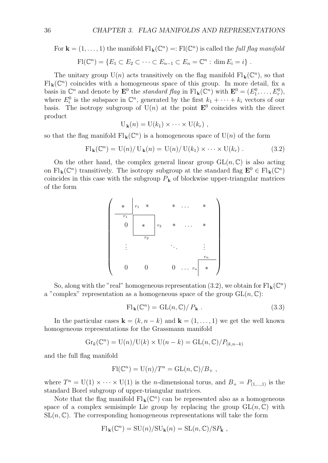For  $\mathbf{k} = (1, \ldots, 1)$  the manifold  $\mathrm{Fl}_{\mathbf{k}}(\mathbb{C}^n) =: \mathrm{Fl}(\mathbb{C}^n)$  is called the *full flag manifold* 

$$
\mathrm{Fl}(\mathbb{C}^n) = \{ E_1 \subset E_2 \subset \cdots \subset E_{n-1} \subset E_n = \mathbb{C}^n : \dim E_i = i \} .
$$

The unitary group  $U(n)$  acts transitively on the flag manifold  $Fl_k(\mathbb{C}^n)$ , so that  $\mathrm{Fl}_{k}(\mathbb{C}^{n})$  coincides with a homogeneous space of this group. In more detail, fix a basis in  $\mathbb{C}^n$  and denote by  $\mathbf{E}^0$  the *standard flag* in  $\mathrm{Fl}_{\mathbf{k}}(\mathbb{C}^n)$  with  $\mathbf{E}^0 = (E_1^0, \ldots, E_r^0)$ , where  $E_i^0$  is the subspace in  $\mathbb{C}^n$ , generated by the first  $k_1 + \cdots + k_i$  vectors of our basis. The isotropy subgroup of  $U(n)$  at the point  $\mathbf{E}^0$  coincides with the direct product

$$
U_{\mathbf{k}}(n) = U(k_1) \times \cdots \times U(k_r) ,
$$

so that the flag manifold  $\mathrm{Fl}_{k}(\mathbb{C}^{n})$  is a homogeneous space of  $\mathrm{U}(n)$  of the form

$$
\mathrm{Fl}_{\mathbf{k}}(\mathbb{C}^n) = \mathrm{U}(n) / \mathrm{U}_{\mathbf{k}}(n) = \mathrm{U}(n) / \mathrm{U}(k_1) \times \cdots \times \mathrm{U}(k_r) . \tag{3.2}
$$

On the other hand, the complex general linear group  $GL(n,\mathbb{C})$  is also acting on  $\text{Fl}_{\mathbf{k}}(\mathbb{C}^n)$  transitively. The isotropy subgroup at the standard flag  $\mathbf{E}^0 \in \text{Fl}_{\mathbf{k}}(\mathbb{C}^n)$ coincides in this case with the subgroup  $P_{\bf k}$  of blockwise upper-triangular matrices of the form



So, along with the "real" homogeneous representation (3.2), we obtain for  $\mathrm{Fl}_{\mathbf{k}}(\mathbb{C}^n)$ a "complex" representation as a homogeneous space of the group  $GL(n, \mathbb{C})$ :

$$
\mathrm{Fl}_{\mathbf{k}}(\mathbb{C}^n) = \mathrm{GL}(n,\mathbb{C})/P_{\mathbf{k}}.
$$
\n(3.3)

In the particular cases  $\mathbf{k} = (k, n - k)$  and  $\mathbf{k} = (1, \ldots, 1)$  we get the well known homogeneous representations for the Grassmann manifold

$$
Gr_k(\mathbb{C}^n) = U(n)/U(k) \times U(n-k) = GL(n,\mathbb{C})/P_{(k,n-k)}
$$

and the full flag manifold

$$
Fl(\mathbb{C}^n) = U(n)/T^n = GL(n,\mathbb{C})/B_+,
$$

where  $T^n = U(1) \times \cdots \times U(1)$  is the *n*-dimensional torus, and  $B_+ = P_{(1,\ldots,1)}$  is the standard Borel subgroup of upper-triangular matrices.

Note that the flag manifold  $Fl_k(\mathbb{C}^n)$  can be represented also as a homogeneous space of a complex semisimple Lie group by replacing the group  $GL(n, \mathbb{C})$  with  $SL(n, \mathbb{C})$ . The corresponding homogeneous representations will take the form

$$
\mathrm{Fl}_{\mathbf{k}}(\mathbb{C}^n) = \mathrm{SU}(n)/\mathrm{SU}_{\mathbf{k}}(n) = \mathrm{SL}(n,\mathbb{C})/\mathrm{S}P_{\mathbf{k}},
$$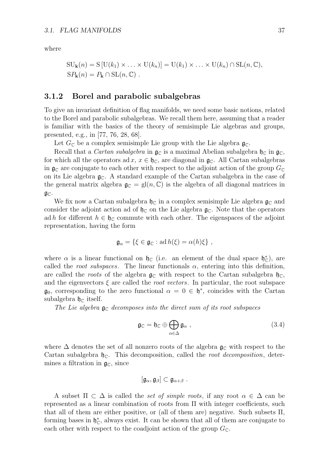where

$$
SU_{\mathbf{k}}(n) = S[U(k_1) \times \ldots \times U(k_n)] = U(k_1) \times \ldots \times U(k_n) \cap SL(n, \mathbb{C}),
$$
  
\n
$$
SP_{\mathbf{k}}(n) = P_{\mathbf{k}} \cap SL(n, \mathbb{C}).
$$

#### **3.1.2 Borel and parabolic subalgebras**

To give an invariant definition of flag manifolds, we need some basic notions, related to the Borel and parabolic subalgebras. We recall them here, assuming that a reader is familiar with the basics of the theory of semisimple Lie algebras and groups, presented, e.g., in [77, 76, 28, 68].

Let  $G_{\mathbb{C}}$  be a complex semisimple Lie group with the Lie algebra  $\mathfrak{g}_{\mathbb{C}}$ .

Recall that a *Cartan subalgebra* in  $\mathfrak{g}_{\mathbb{C}}$  is a maximal Abelian subalgebra  $\mathfrak{h}_{\mathbb{C}}$  in  $\mathfrak{g}_{\mathbb{C}}$ . for which all the operators ad  $x, x \in \mathfrak{h}_{\mathbb{C}}$ , are diagonal in  $\mathfrak{g}_{\mathbb{C}}$ . All Cartan subalgebras in  $\mathfrak{g}_{\mathbb{C}}$  are conjugate to each other with respect to the adjoint action of the group  $G_{\mathbb{C}}$ on its Lie algebra  $\mathfrak{g}_\mathbb{C}$ . A standard example of the Cartan subalgebra in the case of the general matrix algebra  $\mathfrak{g}_{\mathbb{C}} = gl(n, \mathbb{C})$  is the algebra of all diagonal matrices in  $\mathfrak{g}_\mathbb{C}$ .

We fix now a Cartan subalgebra  $\mathfrak{h}_\mathbb{C}$  in a complex semisimple Lie algebra  $\mathfrak{g}_\mathbb{C}$  and consider the adjoint action ad of  $\mathfrak{h}_\mathbb{C}$  on the Lie algebra  $\mathfrak{g}_\mathbb{C}$ . Note that the operators ad *h* for different  $h \in \mathfrak{h}_{\mathbb{C}}$  commute with each other. The eigenspaces of the adjoint representation, having the form

$$
\mathfrak{g}_{\alpha} = \{ \xi \in \mathfrak{g}_{\mathbb{C}} : \mathrm{ad}\, h(\xi) = \alpha(h)\xi \},
$$

where  $\alpha$  is a linear functional on  $\mathfrak{h}_{\mathbb{C}}$  (i.e. an element of the dual space  $\mathfrak{h}_{\mathbb{C}}^*$ ), are called the *root subspaces*. The linear functionals  $\alpha$ , entering into this definition, are called the *roots* of the algebra  $\mathfrak{g}_{\mathbb{C}}$  with respect to the Cartan subalgebra  $\mathfrak{h}_{\mathbb{C}}$ , and the eigenvectors  $\xi$  are called the *root vectors*. In particular, the root subspace  $\mathfrak{g}_0$ , corresponding to the zero functional  $\alpha = 0 \in \mathfrak{h}^*$ , coincides with the Cartan subalgebra  $\mathfrak{h}_{\mathbb{C}}$  itself.

*The Lie algebra*  $\mathfrak{g}_{\mathbb{C}}$  *decomposes into the direct sum of its root subspaces* 

$$
\mathfrak{g}_{\mathbb{C}} = \mathfrak{h}_{\mathbb{C}} \oplus \bigoplus_{\alpha \in \Delta} \mathfrak{g}_{\alpha} , \qquad (3.4)
$$

where  $\Delta$  denotes the set of all nonzero roots of the algebra  $\mathfrak{g}_{\mathbb{C}}$  with respect to the Cartan subalgebra  $\mathfrak{h}_{\mathbb{C}}$ . This decomposition, called the *root decomposition*, determines a filtration in  $\mathfrak{g}_{\mathbb{C}}$ , since

$$
[\mathfrak{g}_{\alpha},\mathfrak{g}_{\beta}]\subset \mathfrak{g}_{\alpha+\beta}.
$$

A subset  $\Pi \subset \Delta$  is called the *set of simple roots*, if any root  $\alpha \in \Delta$  can be represented as a linear combination of roots from Π with integer coefficients, such that all of them are either positive, or (all of them are) negative. Such subsets Π, forming bases in  $\mathfrak{h}_{\mathbb{C}}^*$ , always exist. It can be shown that all of them are conjugate to each other with respect to the coadjoint action of the group  $G_{\mathbb{C}}$ .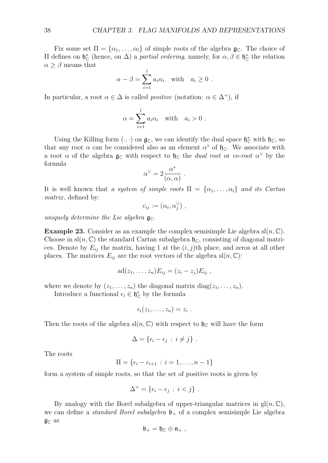Fix some set  $\Pi = {\alpha_1, \ldots, \alpha_l}$  of simple roots of the algebra  $\mathfrak{g}_\mathbb{C}$ . The choice of  $\Pi$  defines on  $\mathfrak{h}_{\mathbb{C}}^*$  (hence, on Δ) a *partial ordering*, namely, for  $\alpha, \beta \in \mathfrak{h}_{\mathbb{C}}^*$  the relation  $\alpha \geq \beta$  means that

$$
\alpha - \beta = \sum_{i=1}^{l} a_i \alpha_i \quad \text{with} \quad a_i \ge 0 \; .
$$

In particular, a root  $\alpha \in \Delta$  is called *positive* (notation:  $\alpha \in \Delta^+$ ), if

$$
\alpha = \sum_{i=1}^{l} a_i \alpha_i \quad \text{with} \quad a_i > 0 \; .
$$

Using the Killing form  $(\cdot, \cdot)$  on  $\mathfrak{g}_{\mathbb{C}}$ , we can identify the dual space  $\mathfrak{h}_{\mathbb{C}}^*$  with  $\mathfrak{h}_{\mathbb{C}}$ , so that any root  $\alpha$  can be considered also as an element  $\alpha^*$  of  $\mathfrak{h}_\mathbb{C}$ . We associate with a root  $\alpha$  of the algebra  $\mathfrak{g}_{\mathbb{C}}$  with respect to  $\mathfrak{h}_{\mathbb{C}}$  the *dual root* or *co-root*  $\alpha^{\vee}$  by the formula

$$
\alpha^{\vee} = 2 \frac{\alpha^*}{(\alpha, \alpha)}.
$$

It is well known that *a system of simple roots*  $\Pi = {\alpha_1, \ldots, \alpha_l}$  *and its Cartan matrix* , defined by:

$$
c_{ij} := (\alpha_i, \alpha_j^{\vee}) ,
$$

*uniquely determine the Lie algebra*  $\mathfrak{g}_{\mathbb{C}}$ .

**Example 23.** Consider as an example the complex semisimple Lie algebra  $\text{sl}(n, \mathbb{C})$ . Choose in  $\text{sl}(n,\mathbb{C})$  the standard Cartan subalgebra  $\mathfrak{h}_\mathbb{C}$ , consisting of diagonal matrices. Denote by  $E_{ij}$  the matrix, having 1 at the  $(i, j)$ th place, and zeros at all other places. The matrices  $E_{ij}$  are the root vectors of the algebra  $\text{sl}(n, \mathbb{C})$ :

$$
ad(z_1,\ldots,z_n)E_{ij}=(z_i-z_j)E_{ij},
$$

where we denote by  $(z_1, \ldots, z_n)$  the diagonal matrix diag $(z_1, \ldots, z_n)$ .

Introduce a functional  $\epsilon_i \in \mathfrak{h}_{\mathbb{C}}^*$  by the formula

$$
\epsilon_i(z_1,\ldots,z_n)=z_i.
$$

Then the roots of the algebra  $\text{sl}(n,\mathbb{C})$  with respect to  $\mathfrak{h}_{\mathbb{C}}$  will have the form

$$
\Delta = \{\epsilon_i - \epsilon_j \, : \, i \neq j\} \; .
$$

The roots

$$
\Pi = \{\epsilon_i - \epsilon_{i+1} : i = 1, \ldots, n-1\}
$$

form a system of simple roots, so that the set of positive roots is given by

$$
\Delta^+ = \{ \epsilon_i - \epsilon_j \, : \, i < j \} \, .
$$

By analogy with the Borel subalgebra of upper-triangular matrices in  $gl(n, \mathbb{C}),$ we can define a *standard Borel subalgebra*  $\mathfrak{b}_+$  of a complex semisimple Lie algebra  $\mathfrak{g}_\mathbb{C}$  as

$$
\mathfrak{b}_+=\mathfrak{h}_\mathbb{C}\oplus\mathfrak{n}_+\ ,
$$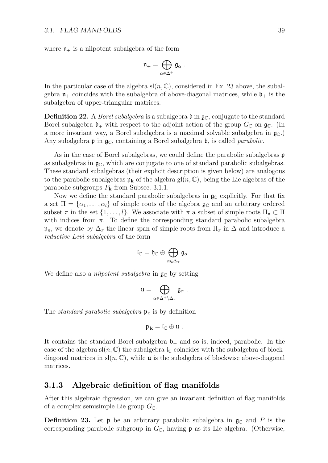where  $\mathfrak{n}_+$  is a nilpotent subalgebra of the form

$$
\mathfrak{n}_+ = \bigoplus_{\alpha \in \Delta^+} \mathfrak{g}_\alpha \; .
$$

In the particular case of the algebra  $\text{sl}(n, \mathbb{C})$ , considered in Ex. 23 above, the subalgebra  $\mathfrak{n}_+$  coincides with the subalgebra of above-diagonal matrices, while  $\mathfrak{b}_+$  is the subalgebra of upper-triangular matrices.

**Definition 22.** A *Borel subalgebra* is a subalgebra  $\mathfrak{b}$  in  $\mathfrak{g}_\mathbb{C}$ , conjugate to the standard Borel subalgebra  $\mathfrak{b}_+$  with respect to the adjoint action of the group  $G_{\mathbb{C}}$  on  $\mathfrak{g}_{\mathbb{C}}$ . (In a more invariant way, a Borel subalgebra is a maximal solvable subalgebra in  $\mathfrak{g}_{\mathbb{C}}$ . Any subalgebra  $\mathfrak p$  in  $\mathfrak g_{\mathbb C}$ , containing a Borel subalgebra  $\mathfrak b$ , is called *parabolic*.

As in the case of Borel subalgebras, we could define the parabolic subalgebras **p** as subalgebras in  $\mathfrak{g}_{\mathbb{C}}$ , which are conjugate to one of standard parabolic subalgebras. These standard subalgebras (their explicit description is given below) are analogous to the parabolic subalgebras  $\mathfrak{p}_k$  of the algebra gl $(n, \mathbb{C})$ , being the Lie algebras of the parabolic subgroups *P***<sup>k</sup>** from Subsec. 3.1.1.

Now we define the standard parabolic subalgebras in  $\mathfrak{g}_{\mathbb{C}}$  explicitly. For that fix a set  $\Pi = \{\alpha_1, \ldots, \alpha_l\}$  of simple roots of the algebra  $\mathfrak{g}_{\mathbb{C}}$  and an arbitrary ordered subset  $\pi$  in the set  $\{1,\ldots,l\}$ . We associate with  $\pi$  a subset of simple roots  $\Pi_{\pi} \subset \Pi$ with indices from  $\pi$ . To define the corresponding standard parabolic subalgebra  $\mathfrak{p}_{\pi}$ , we denote by  $\Delta_{\pi}$  the linear span of simple roots from  $\Pi_{\pi}$  in  $\Delta$  and introduce a *reductive Levi subalgebra* of the form

$$
\frak{l}_\mathbb{C}=\frak{h}_\mathbb{C}\oplus\bigoplus_{\alpha\in\Delta_\pi}\frak{g}_\alpha\ .
$$

We define also a *nilpotent subalgebra* in  $\mathfrak{g}_{\mathbb{C}}$  by setting

$$
\mathfrak{u}=\bigoplus_{\alpha\in\Delta^+\setminus\Delta_\pi}\mathfrak{g}_\alpha\;.
$$

The *standard parabolic subalgebra*  $\mathfrak{p}_{\pi}$  is by definition

$$
\mathfrak{p}_k=\mathfrak{l}_\mathbb{C}\oplus\mathfrak{u}\;.
$$

It contains the standard Borel subalgebra  $\mathfrak{b}_+$  and so is, indeed, parabolic. In the case of the algebra  $\text{sl}(n,\mathbb{C})$  the subalgebra  $\mathfrak{l}_{\mathbb{C}}$  coincides with the subalgebra of blockdiagonal matrices in  $sl(n, \mathbb{C})$ , while u is the subalgebra of blockwise above-diagonal matrices.

#### **3.1.3 Algebraic definition of flag manifolds**

After this algebraic digression, we can give an invariant definition of flag manifolds of a complex semisimple Lie group  $G_{\mathbb{C}}$ .

**Definition 23.** Let **p** be an arbitrary parabolic subalgebra in  $\mathfrak{g}_{\mathbb{C}}$  and P is the corresponding parabolic subgroup in  $G_{\mathbb{C}}$ , having **p** as its Lie algebra. (Otherwise,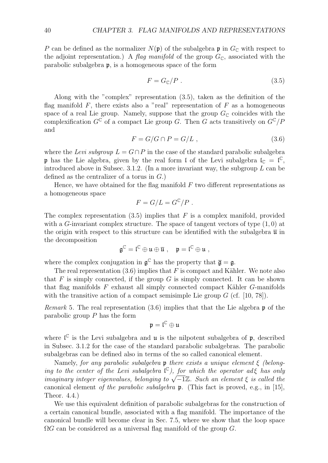*P* can be defined as the normalizer  $N(\mathfrak{p})$  of the subalgebra  $\mathfrak{p}$  in  $G_{\mathbb{C}}$  with respect to the adjoint representation.) A *flag manifold* of the group  $G_{\mathbb{C}}$ , associated with the parabolic subalgebra p, is a homogeneous space of the form

$$
F = G_{\mathbb{C}}/P \tag{3.5}
$$

Along with the "complex" representation (3.5), taken as the definition of the flag manifold  $F$ , there exists also a "real" representation of  $F$  as a homogeneous space of a real Lie group. Namely, suppose that the group  $G_{\mathbb{C}}$  coincides with the complexification  $G^{\mathbb{C}}$  of a compact Lie group *G*. Then *G* acts transitively on  $G^{\mathbb{C}}$ /*P* and

$$
F = G/G \cap P = G/L , \qquad (3.6)
$$

where the *Levi subgroup*  $L = G \cap P$  in the case of the standard parabolic subalgebra **p** has the Lie algebra, given by the real form  $\mathfrak l$  of the Levi subalgebra  $\mathfrak l_{\mathbb C} = \mathfrak l^{\mathbb C}$ , introduced above in Subsec. 3.1.2. (In a more invariant way, the subgroup *L* can be defined as the centralizer of a torus in *G*.)

Hence, we have obtained for the flag manifold *F* two different representations as a homogeneous space

$$
F = G/L = G^{\mathbb{C}}/P.
$$

The complex representation  $(3.5)$  implies that *F* is a complex manifold, provided with a *G*-invariant complex structure. The space of tangent vectors of type (1*,* 0) at the origin with respect to this structure can be identified with the subalgebra  $\bar{u}$  in the decomposition

$$
\mathfrak{g}^{\mathbb{C}} = \mathfrak{l}^{\mathbb{C}} \oplus \mathfrak{u} \oplus \overline{\mathfrak{u}} \ , \quad \mathfrak{p} = \mathfrak{l}^{\mathbb{C}} \oplus \mathfrak{u} \ ,
$$

where the complex conjugation in  $\mathfrak{g}^{\mathbb{C}}$  has the property that  $\overline{\mathfrak{g}} = \mathfrak{g}$ .

The real representation  $(3.6)$  implies that *F* is compact and Kähler. We note also that  $F$  is simply connected, if the group  $G$  is simply connected. It can be shown that flag manifolds *F* exhaust all simply connected compact Kähler *G*-manifolds with the transitive action of a compact semisimple Lie group  $G$  (cf. [10, 78]).

*Remark* 5*.* The real representation (3.6) implies that that the Lie algebra p of the parabolic group *P* has the form

$$
\mathfrak{p}=\mathfrak{l}^{\mathbb{C}}\oplus\mathfrak{u}
$$

where  $\mathfrak{l}^{\mathbb{C}}$  is the Levi subalgebra and **u** is the nilpotent subalgebra of **p**, described in Subsec. 3.1.2 for the case of the standard parabolic subalgebras. The parabolic subalgebras can be defined also in terms of the so called canonical element.

Namely, *for any parabolic subalgebra* p *there exists a unique element ξ (belonging to the center of the Levi subalgebra*  $\mathfrak{l}^{\mathbb{C}}$ *), for which the operator ad ξ has only imaginary integer eigenvalues, belonging to*  $\sqrt{-1}Z$ *. Such an element*  $\xi$  *is called the* canonical element *of the parabolic subalgebra* p. (This fact is proved, e.g., in [15], Theor. 4.4.)

We use this equivalent definition of parabolic subalgebras for the construction of a certain canonical bundle, associated with a flag manifold. The importance of the canonical bundle will become clear in Sec. 7.5, where we show that the loop space Ω*G* can be considered as a universal flag manifold of the group *G*.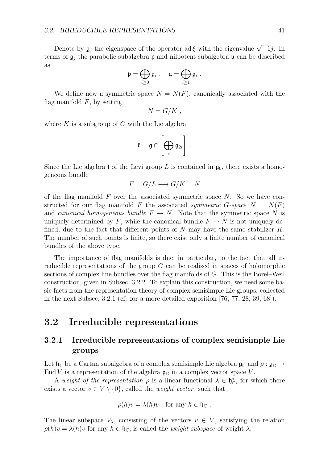Denote by  $\mathfrak{g}_i$  the eigenspace of the operator ad  $\xi$  with the eigenvalue  $\sqrt{-1}$ *j*. In terms of  $\mathfrak{g}_j$  the parabolic subalgebra **p** and nilpotent subalgebra **u** can be described as

$$
\mathfrak{p} = \bigoplus_{i \geq 0} \mathfrak{g}_i \ , \quad \mathfrak{u} = \bigoplus_{i \geq 1} \mathfrak{g}_i \ .
$$

We define now a symmetric space  $N = N(F)$ , canonically associated with the flag manifold  $F$ , by setting

$$
N = G/K ,
$$

where  $K$  is a subgroup of  $G$  with the Lie algebra

$$
\mathfrak{k}=\mathfrak{g}\cap\left[\bigoplus_i\mathfrak{g}_{2i}\right]\ .
$$

Since the Lie algebra I of the Levi group L is contained in  $\mathfrak{g}_0$ , there exists a homogeneous bundle

$$
F = G/L \longrightarrow G/K = N
$$

of the flag manifold *F* over the associated symmetric space *N*. So we have constructed for our flag manifold F the associated *symmetric*  $G$ -space  $N = N(F)$ and *canonical homogeneous bundle*  $F \to N$ . Note that the symmetric space N is uniquely determined by  $F$ , while the canonical bundle  $F \to N$  is not uniquely defined, due to the fact that different points of *N* may have the same stabilizer *K*. The number of such points is finite, so there exist only a finite number of canonical bundles of the above type.

The importance of flag manifolds is due, in particular, to the fact that all irreducible representations of the group *G* can be realized in spaces of holomorphic sections of complex line bundles over the flag manifolds of *G*. This is the Borel–Weil construction, given in Subsec. 3.2.2. To explain this construction, we need some basic facts from the representation theory of complex semisimple Lie groups, collected in the next Subsec. 3.2.1 (cf. for a more detailed exposition [76, 77, 28, 39, 68]).

#### **3.2 Irreducible representations**

#### **3.2.1 Irreducible representations of complex semisimple Lie groups**

Let  $\mathfrak{h}_{\mathbb{C}}$  be a Cartan subalgebra of a complex semisimple Lie algebra  $\mathfrak{g}_{\mathbb{C}}$  and  $\rho : \mathfrak{g}_{\mathbb{C}} \to$ End *V* is a representation of the algebra  $\mathfrak{g}_{\mathbb{C}}$  in a complex vector space *V*.

A *weight of the representation*  $\rho$  is a linear functional  $\lambda \in \mathfrak{h}_{\mathbb{C}}^*$ , for which there exists a vector  $v \in V \setminus \{0\}$ , called the *weight vector*, such that

$$
\rho(h)v = \lambda(h)v \quad \text{for any } h \in \mathfrak{h}_{\mathbb{C}}.
$$

The linear subspace  $V_{\lambda}$ , consisting of the vectors  $v \in V$ , satisfying the relation  $\rho(h)v = \lambda(h)v$  for any  $h \in \mathfrak{h}_\mathbb{C}$ , is called the *weight subspace* of weight  $\lambda$ .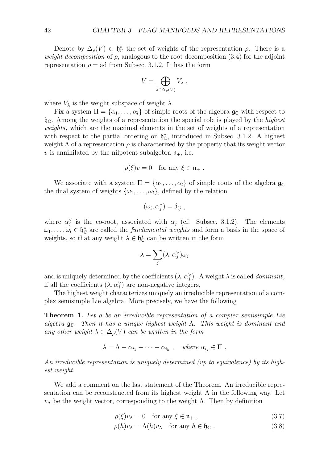Denote by  $\Delta_{\rho}(V) \subset \mathfrak{h}_{\mathbb{C}}^*$  the set of weights of the representation  $\rho$ . There is a *weight decomposition* of *ρ*, analogous to the root decomposition (3.4) for the adjoint representation  $\rho =$  ad from Subsec. 3.1.2. It has the form

$$
V = \bigoplus_{\lambda \in \Delta_{\rho}(V)} V_{\lambda} ,
$$

where  $V_{\lambda}$  is the weight subspace of weight  $\lambda$ .

Fix a system  $\Pi = {\alpha_1, \ldots, \alpha_l}$  of simple roots of the algebra  $\mathfrak{g}_\mathbb{C}$  with respect to  $\mathfrak{h}_{\mathbb{C}}$ . Among the weights of a representation the special role is played by the *highest weights*, which are the maximal elements in the set of weights of a representation with respect to the partial ordering on  $\mathfrak{h}_{\mathbb{C}}^*$ , introduced in Subsec. 3.1.2. A highest weight  $\Lambda$  of a representation  $\rho$  is characterized by the property that its weight vector *v* is annihilated by the nilpotent subalgebra  $\mathfrak{n}_+$ , i.e.

$$
\rho(\xi)v = 0 \quad \text{for any } \xi \in \mathfrak{n}_+ .
$$

We associate with a system  $\Pi = {\alpha_1, \ldots, \alpha_l}$  of simple roots of the algebra  $\mathfrak{g}_{\mathbb{C}}$ the dual system of weights  $\{\omega_1, \ldots, \omega_l\}$ , defined by the relation

$$
(\omega_i, \alpha_j^{\vee}) = \delta_{ij} ,
$$

where  $\alpha_j^{\vee}$  is the co-root, associated with  $\alpha_j$  (cf. Subsec. 3.1.2). The elements  $\omega_1, \ldots, \omega_l \in \mathfrak{h}_{\mathbb{C}}^*$  are called the *fundamental weights* and form a basis in the space of weights, so that any weight  $\lambda \in \mathfrak{h}_{\mathbb{C}}^*$  can be written in the form

$$
\lambda = \sum_j (\lambda, \alpha_j^{\vee}) \omega_j
$$

and is uniquely determined by the coefficients  $(\lambda, \alpha_j^{\vee})$ . A weight  $\lambda$  is called *dominant*, if all the coefficients  $(\lambda, \alpha_j^{\vee})$  are non-negative integers.

The highest weight characterizes uniquely an irreducible representation of a complex semisimple Lie algebra. More precisely, we have the following

**Theorem 1.** *Let ρ be an irreducible representation of a complex semisimple Lie algebra* gC*. Then it has a unique highest weight* Λ*. This weight is dominant and any other weight*  $\lambda \in \Delta_{\rho}(V)$  *can be written in the form* 

$$
\lambda = \Lambda - \alpha_{i_1} - \cdots - \alpha_{i_k} , \quad \text{where } \alpha_{i_j} \in \Pi .
$$

*An irreducible representation is uniquely determined (up to equivalence) by its highest weight.*

We add a comment on the last statement of the Theorem. An irreducible representation can be reconstructed from its highest weight  $\Lambda$  in the following way. Let *v*<sub>Λ</sub> be the weight vector, corresponding to the weight Λ. Then by definition

$$
\rho(\xi)v_{\Lambda} = 0 \quad \text{for any } \xi \in \mathfrak{n}_+ , \tag{3.7}
$$

$$
\rho(h)v_{\Lambda} = \Lambda(h)v_{\Lambda} \quad \text{for any } h \in \mathfrak{h}_{\mathbb{C}}.
$$
\n(3.8)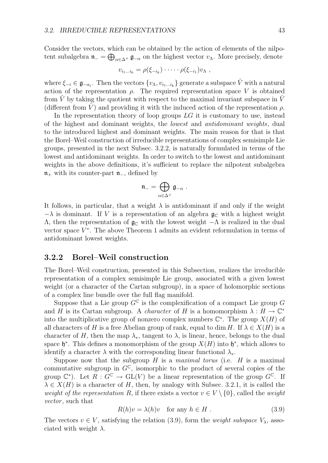Consider the vectors, which can be obtained by the action of elements of the nilpotent subalgebra n*<sup>−</sup>* = ⊕ *<sup>α</sup>∈*∆<sup>+</sup> g*−<sup>α</sup>* on the highest vector *v*Λ. More precisely, denote

$$
v_{i_1...i_k} = \rho(\xi_{-i_k}) \cdot \cdots \cdot \rho(\xi_{-i_1}) v_{\Lambda} ,
$$

where  $\xi_{-i} \in \mathfrak{g}_{-\alpha_i}$ . Then the vectors  $\{v_{\Lambda}, v_{i_1...i_k}\}$  generate a subspace  $\hat{V}$  with a natural action of the representation  $\rho$ . The required representation space *V* is obtained from  $\hat{V}$  by taking the quotient with respect to the maximal invariant subspace in  $\hat{V}$ (different from *V*) and providing it with the induced action of the representation  $\rho$ .

In the representation theory of loop groups *LG* it is customary to use, instead of the highest and dominant weights, the *lowest* and *antidominant weights*, dual to the introduced highest and dominant weights. The main reason for that is that the Borel–Weil construction of irreducible representations of complex semisimple Lie groups, presented in the next Subsec. 3.2.2, is naturally formulated in terms of the lowest and antidominant weights. In order to switch to the lowest and antidominant weights in the above definitions, it's sufficient to replace the nilpotent subalgebra n<sup>+</sup> with its counter-part n*−*, defined by

$$
\mathfrak{n}_- = \bigoplus_{\alpha \in \Delta^+} \mathfrak{g}_{-\alpha} \; .
$$

It follows, in particular, that a weight  $\lambda$  is antidominant if and only if the weight  $-\lambda$  is dominant. If *V* is a representation of an algebra  $\mathfrak{g}_{\mathbb{C}}$  with a highest weight Λ, then the representation of g<sup>C</sup> with the lowest weight *−*Λ is realized in the dual vector space  $V^*$ . The above Theorem 1 admits an evident reformulation in terms of antidominant lowest weights.

#### **3.2.2 Borel–Weil construction**

The Borel–Weil construction, presented in this Subsection, realizes the irreducible representation of a complex semisimple Lie group, associated with a given lowest weight (or a character of the Cartan subgroup), in a space of holomorphic sections of a complex line bundle over the full flag manifold.

Suppose that a Lie group  $G^{\mathbb{C}}$  is the complexification of a compact Lie group G and *H* is its Cartan subgroup. A *character* of *H* is a homomorphism  $\lambda : H \to \mathbb{C}^*$ into the multiplicative group of nonzero complex numbers  $\mathbb{C}^*$ . The group  $X(H)$  of all characters of *H* is a free Abelian group of rank, equal to dim *H*. If  $\lambda \in X(H)$  is a character of *H*, then the map  $\lambda_{*}$ , tangent to  $\lambda$ , is linear, hence, belongs to the dual space  $\mathfrak{h}^*$ . This defines a monomorphism of the group  $X(H)$  into  $\mathfrak{h}^*$ , which allows to identify a character  $\lambda$  with the corresponding linear functional  $\lambda_*$ .

Suppose now that the subgroup  $H$  is a *maximal torus* (i.e.  $H$  is a maximal commutative subgroup in  $G^{\mathbb{C}}$ , isomorphic to the product of several copies of the group  $\mathbb{C}^*$ ). Let  $\overline{R}: G^{\mathbb{C}} \to GL(V)$  be a linear representation of the group  $G^{\mathbb{C}}$ . If  $\lambda \in X(H)$  is a character of *H*, then, by analogy with Subsec. 3.2.1, it is called the *weight of the representation R*, if there exists a vector  $v \in V \setminus \{0\}$ , called the *weight vector* , such that

$$
R(h)v = \lambda(h)v \quad \text{for any } h \in H. \tag{3.9}
$$

The vectors  $v \in V$ , satisfying the relation (3.9), form the *weight subspace*  $V_{\lambda}$ , associated with weight *λ*.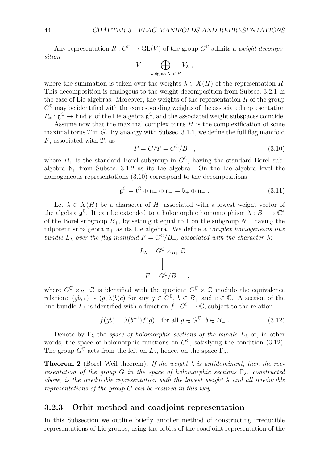Any representation  $R: G^{\mathbb{C}} \to \mathrm{GL}(V)$  of the group  $G^{\mathbb{C}}$  admits a *weight decomposition*

$$
V = \bigoplus_{\text{weights }\lambda \text{ of } R} V_{\lambda} ,
$$

where the summation is taken over the weights  $\lambda \in X(H)$  of the representation R. This decomposition is analogous to the weight decomposition from Subsec. 3.2.1 in the case of Lie algebras. Moreover, the weights of the representation *R* of the group  $G^{\mathbb{C}}$  may be identified with the corresponding weights of the associated representation  $R_* : \mathfrak{g}^{\mathbb{C}} \to \text{End } V$  of the Lie algebra  $\mathfrak{g}^{\mathbb{C}}$ , and the associated weight subspaces coincide.

Assume now that the maximal complex torus *H* is the complexification of some maximal torus *T* in *G*. By analogy with Subsec. 3.1.1, we define the full flag manifold *F*, associated with *T*, as

$$
F = G/T = G^{\mathbb{C}}/B_+, \qquad (3.10)
$$

where  $B_+$  is the standard Borel subgroup in  $G^{\mathbb{C}}$ , having the standard Borel subalgebra  $\mathfrak{b}_+$  from Subsec. 3.1.2 as its Lie algebra. On the Lie algebra level the homogeneous representations (3.10) correspond to the decompositions

$$
\mathfrak{g}^{\mathbb{C}} = \mathfrak{t}^{\mathbb{C}} \oplus \mathfrak{n}_{+} \oplus \mathfrak{n}_{-} = \mathfrak{b}_{+} \oplus \mathfrak{n}_{-} . \tag{3.11}
$$

Let  $\lambda \in X(H)$  be a character of *H*, associated with a lowest weight vector of the algebra  $\mathfrak{g}^{\mathbb{C}}$ . It can be extended to a holomorphic homomorphism  $\lambda : B_{+} \to \mathbb{C}^{*}$ of the Borel subgroup  $B_+$ , by setting it equal to 1 on the subgroup  $N_+$ , having the nilpotent subalgebra n<sup>+</sup> as its Lie algebra. We define a *complex homogeneous line bundle*  $L_{\lambda}$  *over the flag manifold*  $F = G^{\mathbb{C}}/B_+$ *, associated with the character*  $\lambda$ :

$$
L_{\lambda} = G^{\mathbb{C}} \times_{B_{+}} \mathbb{C}
$$

$$
\downarrow
$$

$$
F = G^{\mathbb{C}} / B_{+} ,
$$

where  $G^{\mathbb{C}} \times_{B_+} \mathbb{C}$  is identified with the quotient  $G^{\mathbb{C}} \times \mathbb{C}$  modulo the equivalence relation:  $(g, b, c) \sim (g, \lambda(b)c)$  for any  $g \in G^{\mathbb{C}}, b \in B_+$  and  $c \in \mathbb{C}$ . A section of the line bundle  $L_{\lambda}$  is identified with a function  $f: G^{\mathbb{C}} \to \mathbb{C}$ , subject to the relation

$$
f(gb) = \lambda(b^{-1})f(g) \quad \text{for all } g \in G^{\mathbb{C}}, b \in B_+ .
$$
 (3.12)

Denote by  $\Gamma_{\lambda}$  the *space of holomorphic sections of the bundle*  $L_{\lambda}$  or, in other words, the space of holomorphic functions on  $G^{\mathbb{C}}$ , satisfying the condition (3.12). The group  $G^{\mathbb{C}}$  acts from the left on  $L_{\lambda}$ , hence, on the space  $\Gamma_{\lambda}$ .

**Theorem 2** (Borel–Weil theorem). If the weight  $\lambda$  is antidominant, then the rep*resentation of the group G in the space of holomorphic sections*  $\Gamma_{\lambda}$ *, constructed above, is the irreducible representation with the lowest weight λ and all irreducible representations of the group G can be realized in this way.*

#### **3.2.3 Orbit method and coadjoint representation**

In this Subsection we outline briefly another method of constructing irreducible representations of Lie groups, using the orbits of the coadjoint representation of the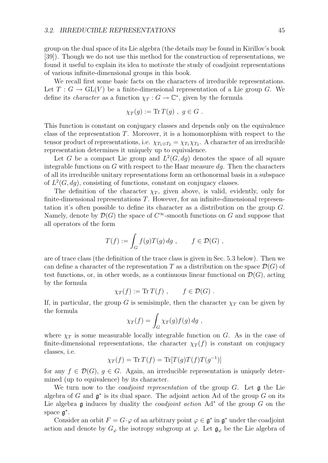group on the dual space of its Lie algebra (the details may be found in Kirillov's book [39]). Though we do not use this method for the construction of representations, we found it useful to explain its idea to motivate the study of coadjoint representations of various infinite-dimensional groups in this book.

We recall first some basic facts on the characters of irreducible representations. Let  $T: G \to GL(V)$  be a finite-dimensional representation of a Lie group G. We define its *character* as a function  $\chi_T : G \to \mathbb{C}^*$ , given by the formula

$$
\chi_T(g) := \mathrm{Tr}\, T(g) , \ g \in G .
$$

This function is constant on conjugacy classes and depends only on the equivalence class of the representation *T*. Moreover, it is a homomorphism with respect to the tensor product of representations, i.e.  $\chi_{T_1 \otimes T_2} = \chi_{T_1} \chi_{T_2}$ . A character of an irreducible representation determines it uniquely up to equivalence.

Let *G* be a compact Lie group and  $L^2(G, dg)$  denotes the space of all square integrable functions on  $G$  with respect to the Haar measure  $dq$ . Then the characters of all its irreducible unitary representations form an orthonormal basis in a subspace of  $L^2(G, dg)$ , consisting of functions, constant on conjugacy classes.

The definition of the character  $\chi_T$ , given above, is valid, evidently, only for finite-dimensional representations *T*. However, for an infinite-dimensional representation it's often possible to define its character as a distribution on the group *G*. Namely, denote by  $\mathcal{D}(G)$  the space of  $C^{\infty}$ -smooth functions on *G* and suppose that all operators of the form

$$
T(f) := \int_G f(g)T(g) \, dg \;, \qquad f \in \mathcal{D}(G) \;,
$$

are of trace class (the definition of the trace class is given in Sec. 5.3 below). Then we can define a character of the representation *T* as a distribution on the space  $\mathcal{D}(G)$  of test functions, or, in other words, as a continuous linear functional on  $\mathcal{D}(G)$ , acting by the formula

$$
\chi_T(f) := \text{Tr}\,T(f) , \qquad f \in \mathcal{D}(G) .
$$

If, in particular, the group *G* is semisimple, then the character  $\chi_T$  can be given by the formula

$$
\chi_T(f) = \int_G \chi_T(g) f(g) \, dg \;,
$$

where  $\chi_T$  is some measurable locally integrable function on *G*. As in the case of finite-dimensional representations, the character  $\chi_T(f)$  is constant on conjugacy classes, i.e.

$$
\chi_T(f) = \text{Tr}\,T(f) = \text{Tr}[T(g)T(f)T(g^{-1})]
$$

for any  $f \in \mathcal{D}(G)$ ,  $g \in G$ . Again, an irreducible representation is uniquely determined (up to equivalence) by its character.

We turn now to the *coadjoint representation* of the group *G*. Let g the Lie algebra of *G* and g*<sup>∗</sup>* is its dual space. The adjoint action Ad of the group *G* on its Lie algebra g induces by duality the *coadjoint action* Ad*<sup>∗</sup>* of the group *G* on the space g*<sup>∗</sup>*.

Consider an orbit  $F = G \cdot \varphi$  of an arbitrary point  $\varphi \in \mathfrak{g}^*$  in  $\mathfrak{g}^*$  under the coadjoint action and denote by  $G_{\varphi}$  the isotropy subgroup at  $\varphi$ . Let  $\mathfrak{g}_{\varphi}$  be the Lie algebra of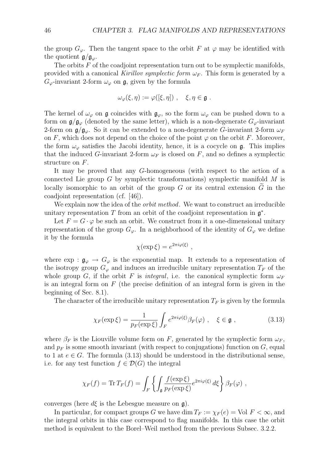the group  $G_\varphi$ . Then the tangent space to the orbit *F* at  $\varphi$  may be identified with the quotient  $g/g_\varphi$ .

The orbits *F* of the coadjoint representation turn out to be symplectic manifolds, provided with a canonical *Kirillov symplectic form*  $\omega_F$ . This form is generated by a  $G_{\varphi}$ -invariant 2-form  $\omega_{\varphi}$  on **g**, given by the formula

$$
\omega_{\varphi}(\xi,\eta) := \varphi([\xi,\eta]) \ , \quad \xi,\eta \in \mathfrak{g} \ .
$$

The kernel of  $\omega_{\varphi}$  on g coincides with  $\mathfrak{g}_{\varphi}$ , so the form  $\omega_{\varphi}$  can be pushed down to a form on  $\mathfrak{g}/\mathfrak{g}_{\varphi}$  (denoted by the same letter), which is a non-degenerate  $G_{\varphi}$ -invariant 2-form on  $\mathfrak{g}/\mathfrak{g}_{\varphi}$ . So it can be extended to a non-degenerate *G*-invariant 2-form  $\omega_F$ on  $F$ , which does not depend on the choice of the point  $\varphi$  on the orbit  $F$ . Moreover, the form  $\omega_{\varphi}$  satisfies the Jacobi identity, hence, it is a cocycle on  $\mathfrak{g}$ . This implies that the induced *G*-invariant 2-form  $\omega_F$  is closed on *F*, and so defines a symplectic structure on *F*.

It may be proved that any *G*-homogeneous (with respect to the action of a connected Lie group *G* by symplectic transformations) symplectic manifold *M* is locally isomorphic to an orbit of the group *G* or its central extension  $\tilde{G}$  in the coadjoint representation (cf. [46]).

We explain now the idea of the *orbit method*. We want to construct an irreducible unitary representation *T* from an orbit of the coadjoint representation in g*<sup>∗</sup>*.

Let  $F = G \cdot \varphi$  be such an orbit. We construct from it a one-dimensional unitary representation of the group  $G_{\varphi}$ . In a neighborhood of the identity of  $G_{\varphi}$  we define it by the formula

$$
\chi(\exp \xi) = e^{2\pi i \varphi(\xi)} ,
$$

where  $\exp: \mathfrak{g}_{\varphi} \to G_{\varphi}$  is the exponential map. It extends to a representation of the isotropy group  $G_{\varphi}$  and induces an irreducible unitary representation  $T_F$  of the whole group *G*, if the orbit *F* is *integral*, i.e. the canonical symplectic form  $\omega_F$ is an integral form on *F* (the precise definition of an integral form is given in the beginning of Sec. 8.1).

The character of the irreducible unitary representation  $T_F$  is given by the formula

$$
\chi_F(\exp \xi) = \frac{1}{p_F(\exp \xi)} \int_F e^{2\pi i \varphi(\xi)} \beta_F(\varphi) , \quad \xi \in \mathfrak{g} ,
$$
 (3.13)

where  $\beta_F$  is the Liouville volume form on *F*, generated by the symplectic form  $\omega_F$ , and  $p_F$  is some smooth invariant (with respect to conjugations) function on  $G$ , equal to 1 at  $e \in G$ . The formula (3.13) should be understood in the distributional sense, i.e. for any test function  $f \in \mathcal{D}(G)$  the integral

$$
\chi_F(f) = \text{Tr}\,T_F(f) = \int_F \left\{ \int_{\mathfrak{g}} \frac{f(\exp\xi)}{p_F(\exp\xi)} e^{2\pi i \varphi(\xi)} d\xi \right\} \beta_F(\varphi) ,
$$

converges (here  $d\xi$  is the Lebesgue measure on  $\mathfrak{g}$ ).

In particular, for compact groups *G* we have dim  $T_F := \chi_F(e) = \text{Vol } F < \infty$ , and the integral orbits in this case correspond to flag manifolds. In this case the orbit method is equivalent to the Borel–Weil method from the previous Subsec. 3.2.2.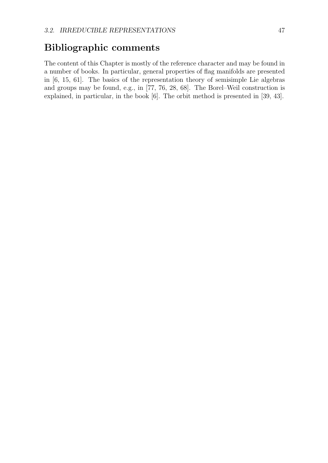### **Bibliographic comments**

The content of this Chapter is mostly of the reference character and may be found in a number of books. In particular, general properties of flag manifolds are presented in [6, 15, 61]. The basics of the representation theory of semisimple Lie algebras and groups may be found, e.g., in [77, 76, 28, 68]. The Borel–Weil construction is explained, in particular, in the book [6]. The orbit method is presented in [39, 43].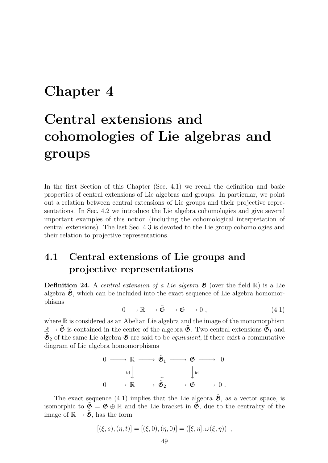## **Chapter 4**

# **Central extensions and cohomologies of Lie algebras and groups**

In the first Section of this Chapter (Sec. 4.1) we recall the definition and basic properties of central extensions of Lie algebras and groups. In particular, we point out a relation between central extensions of Lie groups and their projective representations. In Sec. 4.2 we introduce the Lie algebra cohomologies and give several important examples of this notion (including the cohomological interpretation of central extensions). The last Sec. 4.3 is devoted to the Lie group cohomologies and their relation to projective representations.

### **4.1 Central extensions of Lie groups and projective representations**

**Definition 24.** A *central extension of a Lie algebra*  $\mathfrak{G}$  (over the field  $\mathbb{R}$ ) is a Lie algebra  $\mathfrak{G}$ , which can be included into the exact sequence of Lie algebra homomorphisms

$$
0 \longrightarrow \mathbb{R} \longrightarrow \tilde{\mathfrak{G}} \longrightarrow \mathfrak{G} \longrightarrow 0 , \qquad (4.1)
$$

where  $\mathbb R$  is considered as an Abelian Lie algebra and the image of the monomorphism  $\mathbb{R} \to \mathfrak{G}$  is contained in the center of the algebra  $\mathfrak{G}$ . Two central extensions  $\mathfrak{G}_1$  and  $\mathfrak{G}_2$  of the same Lie algebra  $\mathfrak{G}$  are said to be *equivalent*, if there exist a commutative diagram of Lie algebra homomorphisms



The exact sequence (4.1) implies that the Lie algebra  $\tilde{\mathfrak{G}}$ , as a vector space, is isomorphic to  $\mathfrak{G} = \mathfrak{G} \oplus \mathbb{R}$  and the Lie bracket in  $\mathfrak{G}$ , due to the centrality of the image of  $\mathbb{R} \to \mathfrak{G}$ , has the form

$$
[(\xi, s), (\eta, t)] = [(\xi, 0), (\eta, 0)] = ([\xi, \eta], \omega(\xi, \eta)) ,
$$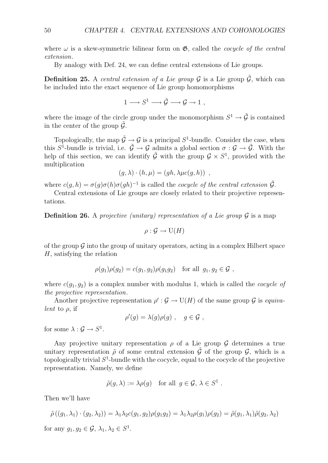where  $\omega$  is a skew-symmetric bilinear form on  $\mathfrak{G}$ , called the *cocycle of the central extension*.

By analogy with Def. 24, we can define central extensions of Lie groups.

**Definition 25.** A *central extension of a Lie group*  $\mathcal G$  is a Lie group  $\mathcal G$ , which can be included into the exact sequence of Lie group homomorphisms

$$
1 \longrightarrow S^1 \longrightarrow \tilde{\mathcal{G}} \longrightarrow \mathcal{G} \longrightarrow 1 ,
$$

where the image of the circle group under the monomorphism  $S^1 \rightarrow \tilde{G}$  is contained in the center of the group  $\tilde{\mathcal{G}}$ .

Topologically, the map  $\tilde{\mathcal{G}} \to \mathcal{G}$  is a principal  $S^1$ -bundle. Consider the case, when this  $S^1$ -bundle is trivial, i.e.  $\tilde{G} \to G$  admits a global section  $\sigma : G \to \tilde{G}$ . With the help of this section, we can identify  $\tilde{G}$  with the group  $G \times S^1$ , provided with the multiplication

$$
(g, \lambda) \cdot (h, \mu) = (gh, \lambda \mu c(g, h)) ,
$$

where  $c(g, h) = \sigma(g)\sigma(h)\sigma(gh)^{-1}$  is called the *cocycle of the central extension*  $\tilde{G}$ .

Central extensions of Lie groups are closely related to their projective representations.

**Definition 26.** A *projective (unitary) representation of a Lie group*  $\mathcal{G}$  is a map

$$
\rho : \mathcal{G} \to \mathrm{U}(H)
$$

of the group  $\mathcal G$  into the group of unitary operators, acting in a complex Hilbert space *H*, satisfying the relation

$$
\rho(g_1)\rho(g_2) = c(g_1, g_2)\rho(g_1g_2) \text{ for all } g_1, g_2 \in \mathcal{G},
$$

where  $c(q_1, q_2)$  is a complex number with modulus 1, which is called the *cocycle of the projective representation*.

Another projective representation  $\rho' : \mathcal{G} \to U(H)$  of the same group  $\mathcal{G}$  is *equivalent* to *ρ*, if

$$
\rho'(g) = \lambda(g)\rho(g) , \quad g \in \mathcal{G} ,
$$

for some  $\lambda: \mathcal{G} \to S^1$ .

Any projective unitary representation  $\rho$  of a Lie group  $\mathcal G$  determines a true unitary representation  $\tilde{\rho}$  of some central extension  $\tilde{\mathcal{G}}$  of the group  $\mathcal{G}$ , which is a topologically trivial *S*<sup>1</sup>-bundle with the cocycle, equal to the cocycle of the projective representation. Namely, we define

$$
\tilde{\rho}(g,\lambda) := \lambda \rho(g) \quad \text{for all } g \in \mathcal{G}, \lambda \in S^1.
$$

Then we'll have

$$
\tilde{\rho}((g_1,\lambda_1)\cdot(g_2,\lambda_2))=\lambda_1\lambda_2c(g_1,g_2)\rho(g_1g_2)=\lambda_1\lambda_2\rho(g_1)\rho(g_2)=\tilde{\rho}(g_1,\lambda_1)\tilde{\rho}(g_2,\lambda_2)
$$

for any  $q_1, q_2 \in \mathcal{G}, \lambda_1, \lambda_2 \in S^1$ .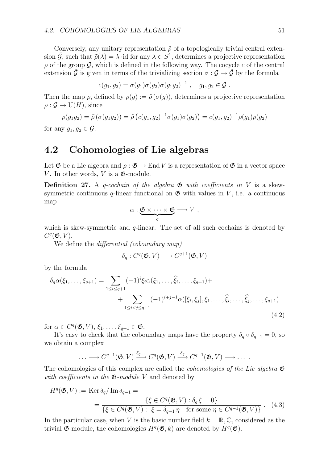Conversely, any unitary representation  $\tilde{\rho}$  of a topologically trivial central extension  $\tilde{G}$ , such that  $\tilde{\rho}(\lambda) = \lambda \cdot id$  for any  $\lambda \in S^1$ , determines a projective representation  $\rho$  of the group  $\mathcal{G}$ , which is defined in the following way. The cocycle  $c$  of the central extension  $\tilde{\mathcal{G}}$  is given in terms of the trivializing section  $\sigma : \mathcal{G} \to \tilde{\mathcal{G}}$  by the formula

$$
c(g_1, g_2) = \sigma(g_1)\sigma(g_2)\sigma(g_1g_2)^{-1} , \quad g_1, g_2 \in \mathcal{G} .
$$

Then the map  $\rho$ , defined by  $\rho(g) := \tilde{\rho}(\sigma(g))$ , determines a projective representation  $\rho: \mathcal{G} \to U(H)$ , since

$$
\rho(g_1g_2) = \tilde{\rho}(\sigma(g_1g_2)) = \tilde{\rho}(c(g_1, g_2)^{-1}\sigma(g_1)\sigma(g_2)) = c(g_1, g_2)^{-1}\rho(g_1)\rho(g_2)
$$

for any  $g_1, g_2 \in \mathcal{G}$ .

#### **4.2 Cohomologies of Lie algebras**

Let  $\mathfrak{G}$  be a Lie algebra and  $\rho : \mathfrak{G} \to \text{End } V$  is a representation of  $\mathfrak{G}$  in a vector space *V*. In other words, *V* is a  $\mathfrak{G}\text{-module.}$ 

**Definition 27.** A *q-cochain of the algebra* G *with coefficients in V* is a skewsymmetric continuous  $q$ -linear functional on  $\mathfrak{G}$  with values in *V*, i.e. a continuous map

$$
\alpha: \underbrace{\mathfrak{G} \times \cdots \times \mathfrak{G}}_{q} \longrightarrow V ,
$$

which is skew-symmetric and *q*-linear. The set of all such cochains is denoted by  $C^q(\mathfrak{G}, V)$ .

We define the *differential (coboundary map)*

$$
\delta_q: C^q(\mathfrak{G}, V) \longrightarrow C^{q+1}(\mathfrak{G}, V)
$$

by the formula

$$
\delta_q \alpha(\xi_1, \dots, \xi_{q+1}) = \sum_{1 \le i \le q+1} (-1)^i \xi_i \alpha(\xi_1, \dots, \widehat{\xi}_i, \dots, \xi_{q+1}) + \sum_{1 \le i < j \le q+1} (-1)^{i+j-1} \alpha([\xi_i, \xi_j], \xi_1, \dots, \widehat{\xi}_i, \dots, \widehat{\xi}_j, \dots, \xi_{q+1}) \tag{4.2}
$$

for  $\alpha \in C^q(\mathfrak{G}, V), \xi_1, \ldots, \xi_{q+1} \in \mathfrak{G}.$ 

It's easy to check that the coboundary maps have the property  $\delta_q \circ \delta_{q-1} = 0$ , so we obtain a complex

$$
\ldots \longrightarrow C^{q-1}(\mathfrak{G}, V) \stackrel{\delta_{q-1}}{\longrightarrow} C^q(\mathfrak{G}, V) \stackrel{\delta_q}{\longrightarrow} C^{q+1}(\mathfrak{G}, V) \longrightarrow \ldots
$$

The cohomologies of this complex are called the *cohomologies of the Lie algebra* G *with coefficients in the* G*-module V* and denoted by

$$
H^{q}(\mathfrak{G}, V) := \operatorname{Ker} \delta_{q} / \operatorname{Im} \delta_{q-1} =
$$
  
= 
$$
\frac{\{\xi \in C^{q}(\mathfrak{G}, V) : \delta_{q} \xi = 0\}}{\{\xi \in C^{q}(\mathfrak{G}, V) : \xi = \delta_{q-1} \eta \text{ for some } \eta \in C^{q-1}(\mathfrak{G}, V)\}}.
$$
 (4.3)

In the particular case, when *V* is the basic number field  $k = \mathbb{R}, \mathbb{C}$ , considered as the trivial  $\mathfrak{G}\text{-module}$ , the cohomologies  $H^q(\mathfrak{G}, k)$  are denoted by  $H^q(\mathfrak{G})$ .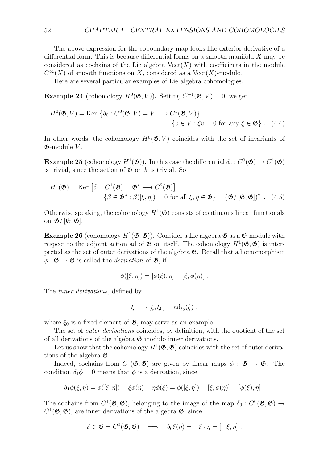The above expression for the coboundary map looks like exterior derivative of a differential form. This is because differential forms on a smooth manifold *X* may be considered as cochains of the Lie algebra  $Vect(X)$  with coefficients in the module  $C^{\infty}(X)$  of smooth functions on *X*, considered as a Vect(*X*)-module.

Here are several particular examples of Lie algebra cohomologies.

**Example 24** (cohomology  $H^0(\mathfrak{G}, V)$ ). Setting  $C^{-1}(\mathfrak{G}, V) = 0$ , we get

$$
H^{0}(\mathfrak{G}, V) = \text{Ker } \{ \delta_{0} : C^{0}(\mathfrak{G}, V) = V \longrightarrow C^{1}(\mathfrak{G}, V) \}
$$
  
=  $\{ v \in V : \xi v = 0 \text{ for any } \xi \in \mathfrak{G} \} .$  (4.4)

In other words, the cohomology  $H^0(\mathfrak{G}, V)$  coincides with the set of invariants of G-module *V* .

**Example 25** (cohomology  $H^1(\mathfrak{G})$ ). In this case the differential  $\delta_0 : C^0(\mathfrak{G}) \to C^1(\mathfrak{G})$ is trivial, since the action of  $\mathfrak{G}$  on  $k$  is trivial. So

$$
H^{1}(\mathfrak{G}) = \text{Ker} \left[ \delta_{1} : C^{1}(\mathfrak{G}) = \mathfrak{G}^{*} \longrightarrow C^{2}(\mathfrak{G}) \right]
$$
  
=  $\{ \beta \in \mathfrak{G}^{*} : \beta([\xi, \eta]) = 0 \text{ for all } \xi, \eta \in \mathfrak{G} \} = (\mathfrak{G}/[\mathfrak{G}, \mathfrak{G}])^{*} . (4.5)$ 

Otherwise speaking, the cohomology  $H^1(\mathfrak{G})$  consists of continuous linear functionals on G/ [G*,* G].

**Example 26** (cohomology  $H^1(\mathfrak{G}; \mathfrak{G})$ ). Consider a Lie algebra  $\mathfrak{G}$  as a  $\mathfrak{G}$ -module with respect to the adjoint action ad of  $\mathfrak G$  on itself. The cohomology  $H^1(\mathfrak G,\mathfrak G)$  is interpreted as the set of outer derivations of the algebra  $\mathfrak{G}$ . Recall that a homomorphism  $\phi : \mathfrak{G} \to \mathfrak{G}$  is called the *derivation* of  $\mathfrak{G}$ , if

$$
\phi([\xi, \eta]) = [\phi(\xi), \eta] + [\xi, \phi(\eta)].
$$

The *inner derivations*, defined by

$$
\xi \longmapsto [\xi,\xi_0] = \mathrm{ad}_{\xi_0}(\xi) ,
$$

where  $\xi_0$  is a fixed element of  $\mathfrak{G}$ , may serve as an example.

The set of *outer derivations* coincides, by definition, with the quotient of the set of all derivations of the algebra  $\mathfrak{G}$  modulo inner derivations.

Let us show that the cohomology  $H^1(\mathfrak{G}, \mathfrak{G})$  coincides with the set of outer derivations of the algebra G.

Indeed, cochains from  $C^1(\mathfrak{G}, \mathfrak{G})$  are given by linear maps  $\phi : \mathfrak{G} \to \mathfrak{G}$ . The condition  $\delta_1 \phi = 0$  means that  $\phi$  is a derivation, since

$$
\delta_1 \phi(\xi, \eta) = \phi([\xi, \eta]) - \xi \phi(\eta) + \eta \phi(\xi) = \phi([\xi, \eta]) - [\xi, \phi(\eta)] - [\phi(\xi), \eta].
$$

The cochains from  $C^1(\mathfrak{G}, \mathfrak{G})$ , belonging to the image of the map  $\delta_0 : C^0(\mathfrak{G}, \mathfrak{G}) \to$  $C^1(\mathfrak{G}, \mathfrak{G})$ , are inner derivations of the algebra  $\mathfrak{G}$ , since

$$
\xi \in \mathfrak{G} = C^0(\mathfrak{G}, \mathfrak{G}) \quad \Longrightarrow \quad \delta_0 \xi(\eta) = -\xi \cdot \eta = [-\xi, \eta] \; .
$$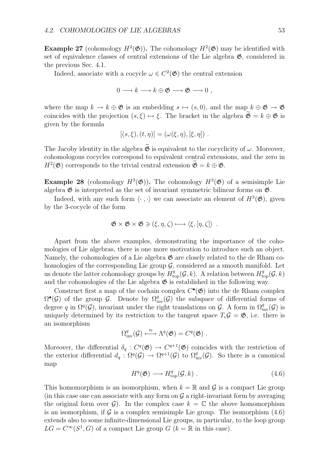**Example 27** (cohomology  $H^2(\mathfrak{G})$ ). The cohomology  $H^2(\mathfrak{G})$  may be identified with set of equivalence classes of central extensions of the Lie algebra  $\mathfrak{G}$ , considered in the previous Sec. 4.1.

Indeed, associate with a cocycle  $\omega \in C^2(\mathfrak{G})$  the central extension

 $0 \longrightarrow k \longrightarrow k \oplus \mathfrak{G} \longrightarrow \mathfrak{G} \longrightarrow 0$ ,

where the map  $k \to k \oplus \mathfrak{G}$  is an embedding  $s \mapsto (s, 0)$ , and the map  $k \oplus \mathfrak{G} \to \mathfrak{G}$ coincides with the projection  $(s, \xi) \mapsto \xi$ . The bracket in the algebra  $\widetilde{\mathfrak{G}} = k \oplus \mathfrak{G}$  is given by the formula

$$
[(s,\xi),(t,\eta)]=(\omega(\xi,\eta),[\xi,\eta])\ .
$$

The Jacoby identity in the algebra  $\mathfrak{G}$  is equivalent to the cocyclicity of  $\omega$ . Moreover, cohomologous cocycles correspond to equivalent central extensions, and the zero in  $H^2(\mathfrak{G})$  corresponds to the trivial central extension  $\mathfrak{G} = k \oplus \mathfrak{G}$ .

**Example 28** (cohomology  $H^3(\mathfrak{G})$ ). The cohomology  $H^3(\mathfrak{G})$  of a semisimple Lie algebra  $\mathfrak G$  is interpreted as the set of invariant symmetric bilinear forms on  $\mathfrak G$ .

Indeed, with any such form  $\langle \cdot, \cdot \rangle$  we can associate an element of  $H^3(\mathfrak{G})$ , given by the 3-cocycle of the form

$$
\mathfrak{G} \times \mathfrak{G} \times \mathfrak{G} \ni (\xi, \eta, \zeta) \longmapsto \langle \xi, [\eta, \zeta] \rangle .
$$

Apart from the above examples, demonstrating the importance of the cohomologies of Lie algebras, there is one more motivation to introduce such an object. Namely, the cohomologies of a Lie algebra  $\mathfrak{G}$  are closely related to the de Rham cohomologies of the corresponding Lie group  $\mathcal{G}$ , considered as a smooth manifold. Let us denote the latter cohomology groups by  $H^q_{\text{top}}(\mathcal{G}, k)$ . A relation between  $H^q_{\text{top}}(\mathcal{G}, k)$ and the cohomologies of the Lie algebra  $\mathfrak G$  is established in the following way.

Construct first a map of the cochain complex  $C^{\bullet}(\mathfrak{G})$  into the de Rham complex  $\Omega^{\bullet}(\mathcal{G})$  of the group  $\mathcal{G}$ . Denote by  $\Omega^q_{\text{inv}}(\mathcal{G})$  the subspace of differential forms of degree *q* in  $\Omega^q(\mathcal{G})$ , invariant under the right translations on  $\mathcal{G}$ . A form in  $\Omega^q_{\text{inv}}(\mathcal{G})$  is uniquely determined by its restriction to the tangent space  $T_e \mathcal{G} = \mathfrak{G}$ , i.e. there is an isomorphism

$$
\Omega^q_{\text{inv}}(\mathcal{G}) \stackrel{\approx}{\longleftrightarrow} \Lambda^q(\mathfrak{G}) = C^q(\mathfrak{G}) \ .
$$

Moreover, the differential  $\delta_q: C^q(\mathfrak{G}) \to C^{q+1}(\mathfrak{G})$  coincides with the restriction of the exterior differential  $d_q: \Omega^q(\mathcal{G}) \to \Omega^{q+1}(\mathcal{G})$  to  $\Omega^q_{inv}(\mathcal{G})$ . So there is a canonical map

$$
H^q(\mathfrak{G}) \longrightarrow H^q_{\text{top}}(\mathcal{G}, k) . \tag{4.6}
$$

This homomorphism is an isomorphism, when  $k = \mathbb{R}$  and  $\mathcal{G}$  is a compact Lie group (in this case one can associate with any form on  $\mathcal G$  a right-invariant form by averaging the original form over  $\mathcal{G}$ ). In the complex case  $k = \mathbb{C}$  the above homomorphism is an isomorphism, if  $G$  is a complex semisimple Lie group. The isomorphism  $(4.6)$ extends also to some infinite-dimensional Lie groups, in particular, to the loop group  $LG = C^{\infty}(S^1, G)$  of a compact Lie group  $G$  ( $k = \mathbb{R}$  in this case).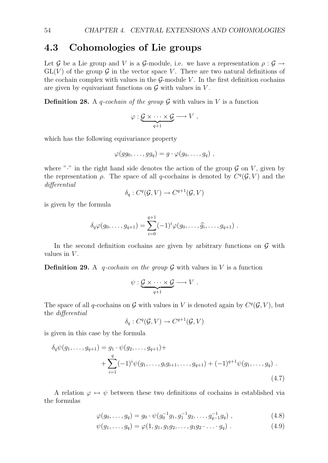### **4.3 Cohomologies of Lie groups**

Let *G* be a Lie group and *V* is a *G*-module, i.e. we have a representation  $\rho : \mathcal{G} \to$  $GL(V)$  of the group  $\mathcal G$  in the vector space V. There are two natural definitions of the cochain complex with values in the  $\mathcal{G}\text{-module }V$ . In the first definition cochains are given by equivariant functions on  $G$  with values in  $V$ .

**Definition 28.** A *q*-cochain of the group  $\mathcal G$  with values in  $V$  is a function

$$
\varphi: \underbrace{\mathcal{G} \times \cdots \times \mathcal{G}}_{q+1} \longrightarrow V ,
$$

which has the following equivariance property

$$
\varphi(gg_0,\ldots,gg_q)=g\cdot\varphi(g_0,\ldots,g_q)\;,
$$

where " $\cdot$ " in the right hand side denotes the action of the group  $\mathcal G$  on  $V$ , given by the representation  $\rho$ . The space of all *q*-cochains is denoted by  $C^q(G, V)$  and the *differential*

$$
\delta_q: C^q(\mathcal{G}, V) \to C^{q+1}(\mathcal{G}, V)
$$

is given by the formula

$$
\delta_q \varphi(g_0, \ldots, g_{q+1}) = \sum_{i=0}^{q+1} (-1)^i \varphi(g_0, \ldots, \widehat{g_i}, \ldots, g_{q+1}).
$$

In the second definition cochains are given by arbitrary functions on *G* with values in *V* .

**Definition 29.** A *q*-cochain on the group  $G$  with values in  $V$  is a function

$$
\psi: \underbrace{\mathcal{G} \times \cdots \times \mathcal{G}}_{q+1} \longrightarrow V \ .
$$

The space of all *q*-cochains on *G* with values in *V* is denoted again by  $C^q(G, V)$ , but the *differential*

$$
\delta_q: C^q(\mathcal{G}, V) \to C^{q+1}(\mathcal{G}, V)
$$

is given in this case by the formula

$$
\delta_q \psi(g_1, \dots, g_{q+1}) = g_1 \cdot \psi(g_2, \dots, g_{q+1}) +
$$
  
+ 
$$
\sum_{i=1}^q (-1)^i \psi(g_1, \dots, g_i g_{i+1}, \dots, g_{q+1}) + (-1)^{q+1} \psi(g_1, \dots, g_q)
$$
  
(4.7)

A relation  $\varphi \leftrightarrow \psi$  between these two definitions of cochains is established via the formulas

$$
\varphi(g_0, \dots, g_q) = g_0 \cdot \psi(g_0^{-1}g_1, g_1^{-1}g_2, \dots, g_{q-1}^{-1}g_q) , \qquad (4.8)
$$

$$
\psi(g_1, \ldots, g_q) = \varphi(1, g_1, g_1 g_2, \ldots, g_1 g_2 \cdot \ldots \cdot g_q) . \tag{4.9}
$$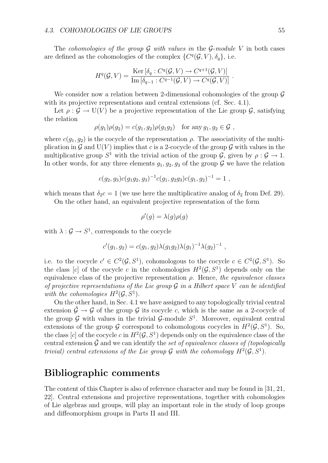The *cohomologies of the group G with values in* the *G*-*module V* in both cases are defined as the cohomologies of the complex  $\{C^q(\mathcal{G}, V), \delta_q\}$ , i.e.

$$
H^q(\mathcal{G}, V) = \frac{\mathrm{Ker}\left[\delta_q : C^q(\mathcal{G}, V) \to C^{q+1}(\mathcal{G}, V)\right]}{\mathrm{Im}\left[\delta_{q-1} : C^{q-1}(\mathcal{G}, V) \to C^q(\mathcal{G}, V)\right]}.
$$

We consider now a relation between 2-dimensional cohomologies of the group *G* with its projective representations and central extensions (cf. Sec. 4.1).

Let  $\rho: \mathcal{G} \to U(V)$  be a projective representation of the Lie group  $\mathcal{G}$ , satisfying the relation

$$
\rho(g_1)\rho(g_2) = c(g_1, g_2)\rho(g_1g_2) \text{ for any } g_1, g_2 \in \mathcal{G},
$$

where  $c(q_1, q_2)$  is the cocycle of the representation  $\rho$ . The associativity of the multiplication in  $\mathcal G$  and  $U(V)$  implies that *c* is a 2-cocycle of the group  $\mathcal G$  with values in the multiplicative group  $S^1$  with the trivial action of the group  $\mathcal{G}$ , given by  $\rho : \mathcal{G} \to 1$ . In other words, for any three elements  $g_1, g_2, g_3$  of the group  $\mathcal G$  we have the relation

$$
c(g_2, g_3)c(g_1g_2, g_3)^{-1}c(g_1, g_2g_3)c(g_1, g_2)^{-1} = 1,
$$

which means that  $\delta_2 c = 1$  (we use here the multiplicative analog of  $\delta_2$  from Def. 29).

On the other hand, an equivalent projective representation of the form

$$
\rho'(g) = \lambda(g)\rho(g)
$$

with  $\lambda: \mathcal{G} \to S^1$ , corresponds to the cocycle

$$
c'(g_1, g_2) = c(g_1, g_2) \lambda(g_1 g_2) \lambda(g_1)^{-1} \lambda(g_2)^{-1} ,
$$

i.e. to the cocycle  $c' \in C^2(\mathcal{G}, S^1)$ , cohomologous to the cocycle  $c \in C^2(\mathcal{G}, S^1)$ . So the class [*c*] of the cocycle *c* in the cohomologies  $H^2(\mathcal{G}, S^1)$  depends only on the equivalence class of the projective representation *ρ*. Hence, *the equivalence classes of projective representations of the Lie group G in a Hilbert space V can be identified with the cohomologies*  $H^2(\mathcal{G}, S^1)$ .

On the other hand, in Sec. 4.1 we have assigned to any topologically trivial central extension  $\tilde{\mathcal{G}} \to \mathcal{G}$  of the group  $\mathcal{G}$  its cocycle *c*, which is the same as a 2-cocycle of the group  $G$  with values in the trivial  $G$ -module  $S<sup>1</sup>$ . Moreover, equivalent central extensions of the group *G* correspond to cohomologous cocycles in  $H^2(G, S^1)$ . So, the class  $[c]$  of the cocycle *c* in  $H^2(\mathcal{G}, S^1)$  depends only on the equivalence class of the central extension  $\hat{G}$  and we can identify the *set of equivalence classes of (topologically trivial)* central extensions of the Lie group  $\mathcal G$  with the cohomology  $H^2(\mathcal G, S^1)$ .

#### **Bibliographic comments**

The content of this Chapter is also of reference character and may be found in [31, 21, 22]. Central extensions and projective representations, together with cohomologies of Lie algebras and groups, will play an important role in the study of loop groups and diffeomorphism groups in Parts II and III.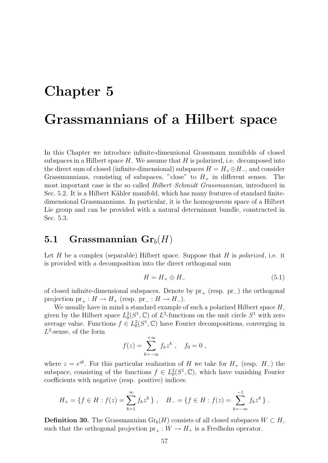## **Chapter 5**

# **Grassmannians of a Hilbert space**

In this Chapter we introduce infinite-dimensional Grassmann manifolds of closed subspaces in a Hilbert space  $H$ . We assume that  $H$  is polarized, i.e. decomposed into the direct sum of closed (infinite-dimensional) subspaces  $H = H_+ \oplus H_-$ , and consider Grassmannians, consisting of subspaces, "close" to  $H_+$  in different senses. The most important case is the so called *Hilbert–Schmidt Grassmannian*, introduced in Sec. 5.2. It is a Hilbert Kähler manifold, which has many features of standard finitedimensional Grassmannians. In particular, it is the homogeneous space of a Hilbert Lie group and can be provided with a natural determinant bundle, constructed in Sec. 5.3.

### **5.1 Grassmannian**  $\mathbf{Gr}_b(H)$

Let *H* be a complex (separable) Hilbert space. Suppose that *H* is *polarized*, i.e. it is provided with a decomposition into the direct orthogonal sum

$$
H = H_+ \oplus H_- \tag{5.1}
$$

of closed infinite-dimensional subspaces. Denote by pr<sub>+</sub> (resp. pr<sub>−</sub>) the orthogonal projection  $pr_+ : H \to H_+$  (resp.  $pr_- : H \to H_-$ ).

We usually have in mind a standard example of such a polarized Hilbert space *H*, given by the Hilbert space  $L_0^2(S^1, \mathbb{C})$  of  $L^2$ -functions on the unit circle  $S^1$  with zero average value. Functions  $f \in L_0^2(S^1, \mathbb{C})$  have Fourier decompositions, converging in *L*<sup>2</sup>-sense, of the form

$$
f(z) = \sum_{k=-\infty}^{+\infty} f_k z^k , \quad f_0 = 0 ,
$$

where  $z = e^{i\theta}$ . For this particular realization of *H* we take for  $H_+$  (resp.  $H_-\}$ ) the subspace, consisting of the functions  $f \in L_0^2(S^1, \mathbb{C})$ , which have vanishing Fourier coefficients with negative (resp. positive) indices:

$$
H_{+} = \{ f \in H : f(z) = \sum_{k=1}^{\infty} f_k z^k \}, \quad H_{-} = \{ f \in H : f(z) = \sum_{k=-\infty}^{-1} f_k z^k \}.
$$

**Definition 30.** The Grassmannian  $Gr_b(H)$  consists of all closed subspaces  $W \subset H$ , such that the orthogonal projection  $pr_+ : W \to H_+$  is a Fredholm operator.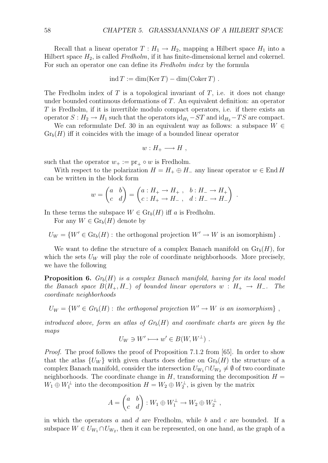Recall that a linear operator  $T: H_1 \to H_2$ , mapping a Hilbert space  $H_1$  into a Hilbert space *H*2, is called *Fredholm*, if it has finite-dimensional kernel and cokernel. For such an operator one can define its *Fredholm index* by the formula

$$
ind T := dim(Ker T) - dim(Coker T)
$$
.

The Fredholm index of *T* is a topological invariant of *T*, i.e. it does not change under bounded continuous deformations of *T*. An equivalent definition: an operator *T* is Fredholm, if it is invertible modulo compact operators, i.e. if there exists an operator  $S: H_2 \to H_1$  such that the operators  $\mathrm{id}_{H_1} - ST$  and  $\mathrm{id}_{H_2} - TS$  are compact.

We can reformulate Def. 30 in an equivalent way as follows: a subspace *W ∈*  $Gr_b(H)$  iff it coincides with the image of a bounded linear operator

$$
w: H_+ \longrightarrow H ,
$$

such that the operator  $w_+ := pr_+ \circ w$  is Fredholm.

With respect to the polarization  $H = H_+ \oplus H_-$  any linear operator  $w \in \text{End } H$ can be written in the block form

$$
w = \begin{pmatrix} a & b \\ c & d \end{pmatrix} = \begin{pmatrix} a: H_+ \to H_+ , b: H_- \to H_+ \\ c: H_+ \to H_- , d: H_- \to H_- \end{pmatrix} .
$$

In these terms the subspace  $W \in \mathrm{Gr}_b(H)$  iff *a* is Fredholm.

For any  $W \in \mathrm{Gr}_b(H)$  denote by

 $U_W = \{W' \in \text{Gr}_b(H) : \text{the orthogonal projection } W' \to W \text{ is an isomorphism}\}\$ .

We want to define the structure of a complex Banach manifold on  $\mathrm{Gr}_b(H)$ , for which the sets  $U_W$  will play the role of coordinate neighborhoods. More precisely, we have the following

**Proposition 6.** *Grb*(*H*) *is a complex Banach manifold, having for its local model the Banach space*  $B(H_+, H_-)$  *of bounded linear operators*  $w : H_+ \to H_-$ . The *coordinate neighborhoods*

 $U_W = \{W' \in Gr_b(H) : \text{the orthogonal projection } W' \to W \text{ is an isomorphism}\}\$ 

*introduced above, form an atlas of*  $Gr_b(H)$  *and coordinate charts are given by the maps*

$$
U_W \ni W' \longmapsto w' \in B(W, W^{\perp}).
$$

*Proof.* The proof follows the proof of Proposition 7.1.2 from [65]. In order to show that the atlas  ${U_W}$  with given charts does define on  $\mathrm{Gr}_b(H)$  the structure of a complex Banach manifold, consider the intersection  $U_{W_1} \cap U_{W_2} \neq \emptyset$  of two coordinate neighborhoods. The coordinate change in  $H$ , transforming the decomposition  $H =$  $W_1 \oplus W_1^{\perp}$  into the decomposition  $H = W_2 \oplus W_2^{\perp}$ , is given by the matrix

$$
A = \begin{pmatrix} a & b \\ c & d \end{pmatrix} : W_1 \oplus W_1^{\perp} \to W_2 \oplus W_2^{\perp} ,
$$

in which the operators *a* and *d* are Fredholm, while *b* and *c* are bounded. If a subspace  $W \in U_{W_1} \cap U_{W_2}$ , then it can be represented, on one hand, as the graph of a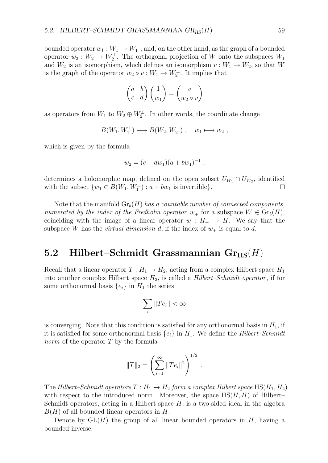bounded operator  $w_1 : W_1 \to W_1^{\perp}$ , and, on the other hand, as the graph of a bounded operator  $w_2 : W_2 \to W_2^{\perp}$ . The orthogonal projection of *W* onto the subspaces  $W_1$ and  $W_2$  is an isomorphism, which defines an isomorphism  $v : W_1 \to W_2$ , so that *W* is the graph of the operator  $w_2 \circ v : W_1 \to W_2^{\perp}$ . It implies that

$$
\begin{pmatrix} a & b \\ c & d \end{pmatrix} \begin{pmatrix} 1 \\ w_1 \end{pmatrix} = \begin{pmatrix} v \\ w_2 \circ v \end{pmatrix}
$$

as operators from  $W_1$  to  $W_2 \oplus W_2^{\perp}$ . In other words, the coordinate change

$$
B(W_1, W_1^{\perp}) \longrightarrow B(W_2, W_2^{\perp}), \quad w_1 \longmapsto w_2 ,
$$

which is given by the formula

$$
w_2 = (c + dw_1)(a + bw_1)^{-1} ,
$$

determines a holomorphic map, defined on the open subset  $U_{W_1} \cap U_{W_2}$ , identified with the subset  $\{w_1 \in B(W_1, W_1^{\perp}) : a + bw_1 \text{ is invertible}\}.$  $\Box$ 

Note that the manifold  $\mathrm{Gr}_b(H)$  *has a countable number of connected components. numerated by the index of the Fredholm operator*  $w_+$  for a subspace  $W \in \mathrm{Gr}_b(H)$ , coinciding with the image of a linear operator  $w : H_+ \to H$ . We say that the subspace *W* has the *virtual dimension d*, if the index of  $w_+$  is equal to *d*.

### **5.2** Hilbert–Schmidt Grassmannian Gr<sub>HS</sub> $(H)$

Recall that a linear operator  $T : H_1 \to H_2$ , acting from a complex Hilbert space  $H_1$ into another complex Hilbert space *H*2, is called a *Hilbert–Schmidt operator* , if for some orthonormal basis  $\{e_i\}$  in  $H_1$  the series

$$
\sum_{i} \|Te_i\| < \infty
$$

is converging. Note that this condition is satisfied for any orthonormal basis in  $H_1$ , if it is satisfied for some orthonormal basis  $\{e_i\}$  in  $H_1$ . We define the *Hilbert–Schmidt norm* of the operator *T* by the formula

$$
||T||_2 = \left(\sum_{i=1}^{\infty} ||Te_i||^2\right)^{1/2}
$$

*.*

The *Hilbert–Schmidt operators*  $T: H_1 \to H_2$  *form a complex Hilbert space* HS( $H_1, H_2$ ) with respect to the introduced norm. Moreover, the space  $\text{HS}(H, H)$  of Hilbert– Schmidt operators, acting in a Hilbert space  $H$ , is a two-sided ideal in the algebra *B*(*H*) of all bounded linear operators in *H*.

Denote by  $GL(H)$  the group of all linear bounded operators in  $H$ , having a bounded inverse.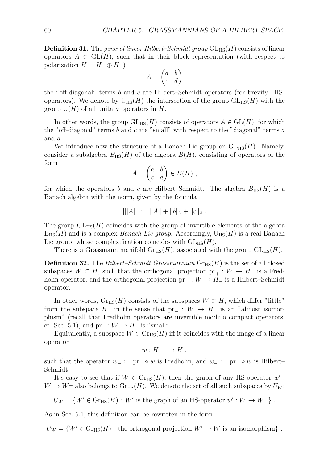**Definition 31.** The *general linear Hilbert–Schmidt group*  $GL<sub>HS</sub>(H)$  consists of linear operators  $A \in GL(H)$ , such that in their block representation (with respect to polarization  $H = H_+ \oplus H_-$ 

$$
A = \begin{pmatrix} a & b \\ c & d \end{pmatrix}
$$

the "off-diagonal" terms *b* and *c* are Hilbert–Schmidt operators (for brevity: HSoperators). We denote by  $U_{\text{HS}}(H)$  the intersection of the group  $GL_{\text{HS}}(H)$  with the group  $U(H)$  of all unitary operators in  $H$ .

In other words, the group  $GL_{HS}(H)$  consists of operators  $A \in GL(H)$ , for which the "off-diagonal" terms *b* and *c* are "small" with respect to the "diagonal" terms *a* and *d*.

We introduce now the structure of a Banach Lie group on  $GL_{HS}(H)$ . Namely, consider a subalgebra  $B_{\text{HS}}(H)$  of the algebra  $B(H)$ , consisting of operators of the form

$$
A = \begin{pmatrix} a & b \\ c & d \end{pmatrix} \in B(H) ,
$$

for which the operators *b* and *c* are Hilbert–Schmidt. The algebra  $B_{\text{HS}}(H)$  is a Banach algebra with the norm, given by the formula

$$
|||A||| := ||A|| + ||b||_2 + ||c||_2.
$$

The group  $GL_{HS}(H)$  coincides with the group of invertible elements of the algebra  $B_{\text{HS}}(H)$  and is a complex *Banach Lie group*. Accordingly,  $U_{\text{HS}}(H)$  is a real Banach Lie group, whose complexification coincides with  $GL_{HS}(H)$ .

There is a Grassmann manifold  $\mathrm{Gr}_{\text{HS}}(H)$ , associated with the group  $\mathrm{GL}_{\text{HS}}(H)$ .

**Definition 32.** The *Hilbert–Schmidt Grassmannian*  $G_{\text{HIS}}(H)$  is the set of all closed subspaces  $W \subset H$ , such that the orthogonal projection  $pr_+ : W \to H_+$  is a Fredholm operator, and the orthogonal projection pr*<sup>−</sup>* : *W → H<sup>−</sup>* is a Hilbert–Schmidt operator.

In other words,  $Gr_{HS}(H)$  consists of the subspaces  $W \subset H$ , which differ "little" from the subspace  $H_+$  in the sense that  $pr_+ : W \to H_+$  is an "almost isomorphism" (recall that Fredholm operators are invertible modulo compact operators, cf. Sec. 5.1), and pr<sub>−</sub> :  $W \rightarrow H_-\$  is "small".

Equivalently, a subspace  $W \in \mathrm{Gr}_{\mathrm{HS}}(H)$  iff it coincides with the image of a linear operator

$$
w: H_+ \longrightarrow H ,
$$

such that the operator  $w_+ := \text{pr}_+ \circ w$  is Fredholm, and  $w_- := \text{pr}_- \circ w$  is Hilbert– Schmidt.

It's easy to see that if  $W \in \text{Gr}_{HS}(H)$ , then the graph of any HS-operator  $w'$ :  $W \to W^{\perp}$  also belongs to  $\text{Gr}_{\text{HS}}(H)$ . We denote the set of all such subspaces by  $U_W$ :

$$
U_W = \{W' \in \text{Gr}_{HS}(H) : W' \text{ is the graph of an HS-operator } w' : W \to W^{\perp}\}.
$$

As in Sec. 5.1, this definition can be rewritten in the form

 $U_W = \{W' \in \text{Gr}_{HS}(H) : \text{the orthogonal projection } W' \to W \text{ is an isomorphism}\}\$ .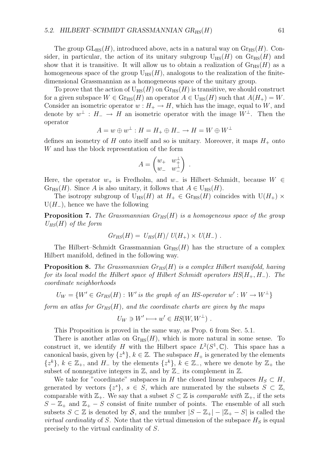The group  $GL_{HS}(H)$ , introduced above, acts in a natural way on  $Gr_{HS}(H)$ . Consider, in particular, the action of its unitary subgroup  $U_{\text{HS}}(H)$  on  $\text{Gr}_{\text{HS}}(H)$  and show that it is transitive. It will allow us to obtain a realization of  $\mathrm{Gr}_{HS}(H)$  as a homogeneous space of the group  $U_{HS}(H)$ , analogous to the realization of the finitedimensional Grassmannian as a homogeneous space of the unitary group.

To prove that the action of  $U_{\text{HS}}(H)$  on  $\text{Gr}_{\text{HS}}(H)$  is transitive, we should construct for a given subspace  $W \in \mathrm{Gr}_{\mathrm{HS}}(H)$  an operator  $A \in \mathrm{U}_{\mathrm{HS}}(H)$  such that  $A(H_+) = W$ . Consider an isometric operator  $w : H_+ \to H$ , which has the image, equal to *W*, and denote by  $w^{\perp}: H_{-} \to H$  an isometric operator with the image  $W^{\perp}$ . Then the operator

$$
A = w \oplus w^{\perp} : H = H_+ \oplus H_- \to H = W \oplus W^{\perp}
$$

defines an isometry of  $H$  onto itself and so is unitary. Moreover, it maps  $H_{+}$  onto *W* and has the block representation of the form

$$
A = \begin{pmatrix} w_+ & w_+^{\perp} \\ w_- & w_-^{\perp} \end{pmatrix} .
$$

Here, the operator *w*<sup>+</sup> is Fredholm, and *w<sup>−</sup>* is Hilbert–Schmidt, because *W ∈*  $Gr_{HS}(H)$ . Since *A* is also unitary, it follows that  $A \in U_{HS}(H)$ .

The isotropy subgroup of  $U_{HS}(H)$  at  $H_+ \in \text{Gr}_{HS}(H)$  coincides with  $U(H_+) \times$ U(*H−*), hence we have the following

**Proposition 7.** *The Grassmannian GrHS*(*H*) *is a homogeneous space of the group UHS*(*H*) *of the form*

$$
Gr_{HS}(H) = U_{HS}(H)/U(H_+) \times U(H_-) .
$$

The Hilbert–Schmidt Grassmannian  $\mathrm{Gr}_{\mathrm{HS}}(H)$  has the structure of a complex Hilbert manifold, defined in the following way.

**Proposition 8.** *The Grassmannian GrHS*(*H*) *is a complex Hilbert manifold, having for its local model the Hilbert space of Hilbert Schmidt operators HS*(*H*+*, H−*)*. The coordinate neighborhoods*

$$
U_W = \{W' \in Gr_{HS}(H) : W' \text{ is the graph of an HS-operator } w' : W \to W^{\perp}\}\
$$

*form an atlas for*  $Gr_{HS}(H)$ *, and the coordinate charts are given by the maps* 

$$
U_W \ni W' \longmapsto w' \in HS(W, W^{\perp}) \ .
$$

This Proposition is proved in the same way, as Prop. 6 from Sec. 5.1.

There is another atlas on  $\mathrm{Gr}_{\text{HS}}(H)$ , which is more natural in some sense. To construct it, we identify *H* with the Hilbert space  $L^2(S^1, \mathbb{C})$ . This space has a canonical basis, given by  $\{z^k\}, k \in \mathbb{Z}$ . The subspace  $H_+$  is generated by the elements *{z<sup>k</sup>}*,  $k \in \mathbb{Z}_+$ , and  $H$ <sup>*−*</sup> by the elements  $\{z^k\}$ ,  $k \in \mathbb{Z}_-$ , where we denote by  $\mathbb{Z}_+$  the subset of nonnegative integers in  $\mathbb{Z}$ , and by  $\mathbb{Z}$ <sup>−</sup> its complement in  $\mathbb{Z}$ .

We take for "coordinate" subspaces in *H* the closed linear subspaces  $H_S \subset H$ , generated by vectors  $\{z^s\}$ ,  $s \in S$ , which are numerated by the subsets  $S \subset \mathbb{Z}$ , comparable with  $\mathbb{Z}_+$ . We say that a subset *S*  $\subset \mathbb{Z}$  is *comparable with*  $\mathbb{Z}_+$ , if the sets *S* −  $\mathbb{Z}_+$  and  $\mathbb{Z}_+$  − *S* consist of finite number of points. The ensemble of all such subsets  $S \subset \mathbb{Z}$  is denoted by  $S$ , and the number  $|S - \mathbb{Z}_+| - |\mathbb{Z}_+ - S|$  is called the *virtual cardinality* of *S*. Note that the virtual dimension of the subspace  $H<sub>S</sub>$  is equal precisely to the virtual cardinality of *S*.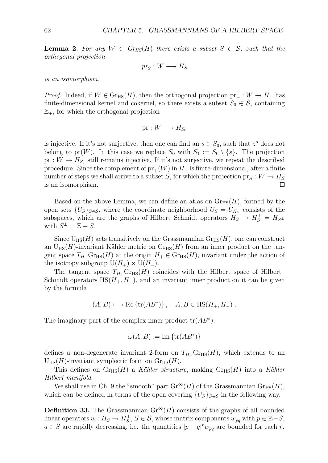**Lemma 2.** For any  $W \in Gr_{HS}(H)$  there exists a subset  $S \in \mathcal{S}$ , such that the *orthogonal projection*

$$
pr_S: W \longrightarrow H_S
$$

*is an isomorphism.*

*Proof.* Indeed, if  $W \in \mathrm{Gr}_{\mathrm{HS}}(H)$ , then the orthogonal projection  $pr_+ : W \to H_+$  has finite-dimensional kernel and cokernel, so there exists a subset  $S_0 \in \mathcal{S}$ , containing  $\mathbb{Z}_+$ , for which the orthogonal projection

$$
\text{pr}: W \longrightarrow H_{S_0}
$$

is injective. If it's not surjective, then one can find an  $s \in S_0$ , such that  $z^s$  does not belong to pr(*W*). In this case we replace  $S_0$  with  $S_1 := S_0 \setminus \{s\}$ . The projection pr :  $W \to H_{S_1}$  still remains injective. If it's not surjective, we repeat the described procedure. Since the complement of  $pr_{+}(W)$  in  $H_{+}$  is finite-dimensional, after a finite number of steps we shall arrive to a subset *S*, for which the projection  $pr_S: W \to H_S$ is an isomorphism.  $\Box$ 

Based on the above Lemma, we can define an atlas on  $\mathrm{Gr}_{\mathrm{HS}}(H)$ , formed by the open sets  ${U_s}_{s \in S}$ , where the coordinate neighborhood  $U_s = U_{H_s}$  consists of the subspaces, which are the graphs of Hilbert–Schmidt operators  $H_S \to H_S^{\perp} = H_{S^{\perp}}$ with  $S^{\perp} = \mathbb{Z} - S$ .

Since  $U_{\text{HS}}(H)$  acts transitively on the Grassmannian  $G_{\text{HS}}(H)$ , one can construct an  $U_{HS}(H)$ -invariant Kähler metric on  $G_{HS}(H)$  from an inner product on the tangent space  $T_{H_+}$  Gr<sub>HS</sub>(*H*) at the origin  $H_+ \in \text{Gr}_{HS}(H)$ , invariant under the action of the isotropy subgroup  $U(H_+) \times U(H_-)$ .

The tangent space  $T_{H_+}$  Gr<sub>HS</sub>(*H*) coincides with the Hilbert space of Hilbert– Schmidt operators  $\text{HS}(H_+, H_-)$ , and an invariant inner product on it can be given by the formula

$$
(A, B) \longrightarrow \text{Re}\left\{\text{tr}(AB^*)\right\}, \quad A, B \in \text{HS}(H_+, H_-) \ .
$$

The imaginary part of the complex inner product tr(*AB<sup>∗</sup>*):

$$
\omega(A, B) := \text{Im} \left\{ \text{tr}(AB^*) \right\}
$$

defines a non-degenerate invariant 2-form on  $T_{H_{+}}$  Gr<sub>HS</sub>(*H*), which extends to an  $U_{\text{HS}}(H)$ -invariant symplectic form on  $Gr_{\text{HS}}(H)$ .

This defines on  $\text{Gr}_{\text{HS}}(H)$  a *Kähler structure*, making  $\text{Gr}_{\text{HS}}(H)$  into a *Kähler Hilbert manifold*.

We shall use in Ch. 9 the "smooth" part  $\text{Gr}^{\infty}(H)$  of the Grassmannian  $\text{Gr}_{\text{HS}}(H)$ , which can be defined in terms of the open covering  ${U_s}_{s \in S}$  in the following way.

**Definition 33.** The Grassmannian  $Gr^{\infty}(H)$  consists of the graphs of all bounded linear operators  $w : H_S \to H_S^{\perp}$ ,  $S \in \mathcal{S}$ , whose matrix components  $w_{pq}$  with  $p \in \mathbb{Z} - S$ , *q*  $∈$  *S* are rapidly decreasing, i.e. the quantities  $|p - q|^r w_{pq}$  are bounded for each *r*.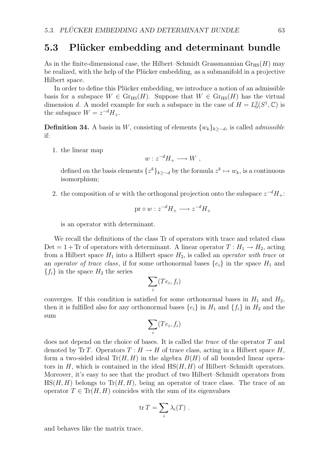#### **5.3 Plücker embedding and determinant bundle**

As in the finite-dimensional case, the Hilbert–Schmidt Grassmannian  $\text{Gr}_{\text{HS}}(H)$  may be realized, with the help of the Plücker embedding, as a submanifold in a projective Hilbert space.

In order to define this Plücker embedding, we introduce a notion of an admissible basis for a subspace  $W \in \mathrm{Gr}_{\text{HS}}(H)$ . Suppose that  $W \in \mathrm{Gr}_{\text{HS}}(H)$  has the virtual dimension *d*. A model example for such a subspace in the case of  $H = L_0^2(S^1, \mathbb{C})$  is the subspace  $W = z^{-d}H_+$ .

**Definition 34.** A basis in *W*, consisting of elements  $\{w_k\}_{k>-d}$ , is called *admissible* if:

1. the linear map

$$
w: z^{-d}H_{+} \longrightarrow W ,
$$

defined on the basis elements  $\{z^k\}_{k>-d}$  by the formula  $z^k \mapsto w_k$ , is a continuous isomorphism;

2. the composition of *w* with the orthogonal projection onto the subspace  $z^{-d}H_{+}$ :

$$
\text{pr} \circ w : z^{-d} H_+ \longrightarrow z^{-d} H_+
$$

is an operator with determinant.

We recall the definitions of the class Tr of operators with trace and related class Det = 1 + Tr of operators with determinant. A linear operator  $T: H_1 \to H_2$ , acting from a Hilbert space  $H_1$  into a Hilbert space  $H_2$ , is called an *operator with trace* or an *operator of trace class*, if for some orthonormal bases  $\{e_i\}$  in the space  $H_1$  and  ${f_i}$  in the space  $H_2$  the series

$$
\sum_i (Te_i, f_i)
$$

converges. If this condition is satisfied for some orthonormal bases in  $H_1$  and  $H_2$ , then it is fulfilled also for any orthonormal bases  $\{e_i\}$  in  $H_1$  and  $\{f_i\}$  in  $H_2$  and the sum

$$
\sum_i (Te_i, f_i)
$$

does not depend on the choice of bases. It is called the *trace* of the operator *T* and denoted by Tr *T*. Operators  $T : H \to H$  of trace class, acting in a Hilbert space H, form a two-sided ideal  $Tr(H, H)$  in the algebra  $B(H)$  of all bounded linear operators in  $H$ , which is contained in the ideal  $\text{HS}(H, H)$  of Hilbert–Schmidt operators. Moreover, it's easy to see that the product of two Hilbert–Schmidt operators from  $H\text{S}(H, H)$  belongs to  $\text{Tr}(H, H)$ , being an operator of trace class. The trace of an operator  $T \in \text{Tr}(H, H)$  coincides with the sum of its eigenvalues

$$
\operatorname{tr} T = \sum_i \lambda_i(T) .
$$

and behaves like the matrix trace.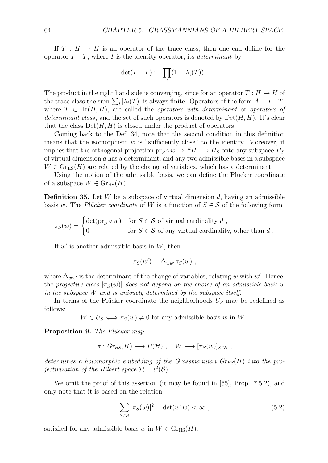If  $T : H \to H$  is an operator of the trace class, then one can define for the operator  $I - T$ , where  $I$  is the identity operator, its *determinant* by

$$
\det(I-T) := \prod_i (1 - \lambda_i(T)) \; .
$$

The product in the right hand side is converging, since for an operator  $T : H \to H$  of the trace class the sum  $\sum_i |\lambda_i(T)|$  is always finite. Operators of the form  $A = I - T$ , where  $T \in \text{Tr}(H, H)$ , are called the *operators with determinant* or *operators of determinant class,* and the set of such operators is denoted by  $Det(H, H)$ . It's clear that the class  $Det(H, H)$  is closed under the product of operators.

Coming back to the Def. 34, note that the second condition in this definition means that the isomorphism *w* is "sufficiently close" to the identity. Moreover, it implies that the orthogonal projection  $pr_S \circ w : z^{-d}H_+ \to H_S$  onto any subspace  $H_S$ of virtual dimension *d* has a determinant, and any two admissible bases in a subspace  $W \in \text{Gr}_{\text{HS}}(H)$  are related by the change of variables, which has a determinant.

Using the notion of the admissible basis, we can define the Plücker coordinate of a subspace  $W \in \mathrm{Gr}_{\mathrm{HS}}(H)$ .

**Definition 35.** Let *W* be a subspace of virtual dimension *d*, having an admissible basis *w*. The *Plücker coordinate* of *W* is a function of  $S \in \mathcal{S}$  of the following form

$$
\pi_S(w) = \begin{cases} \det(\text{pr}_S \circ w) & \text{for } S \in \mathcal{S} \text{ of virtual cardinality } d \\ 0 & \text{for } S \in \mathcal{S} \text{ of any virtual cardinality, other than } d \end{cases}.
$$

If *w′* is another admissible basis in *W*, then

$$
\pi_S(w') = \Delta_{ww'} \pi_S(w) ,
$$

where  $\Delta_{ww'}$  is the determinant of the change of variables, relating w with w'. Hence, the *projective class*  $[\pi_S(w)]$  *does not depend on the choice of an admissible basis w in the subspace W and is uniquely determined by the subspace itself*.

In terms of the Plücker coordinate the neighborhoods  $U<sub>S</sub>$  may be redefined as follows:

 $W \in U_s \Longleftrightarrow \pi_S(w) \neq 0$  for any admissible basis *w* in *W*.

**Proposition 9.** *The Plücker map* 

$$
\pi : Gr_{HS}(H) \longrightarrow P(\mathcal{H}), \quad W \longmapsto [\pi_S(w)]_{S \in \mathcal{S}}
$$

*determines a holomorphic embedding of the Grassmannian GrHS*(*H*) *into the projectivization of the Hilbert space*  $\mathcal{H} = l^2(\mathcal{S})$ *.* 

We omit the proof of this assertion (it may be found in [65], Prop. 7.5.2), and only note that it is based on the relation

$$
\sum_{S \in \mathcal{S}} |\pi_S(w)|^2 = \det(w^*w) < \infty \;, \tag{5.2}
$$

satisfied for any admissible basis *w* in  $W \in \mathrm{Gr}_{\text{HS}}(H)$ .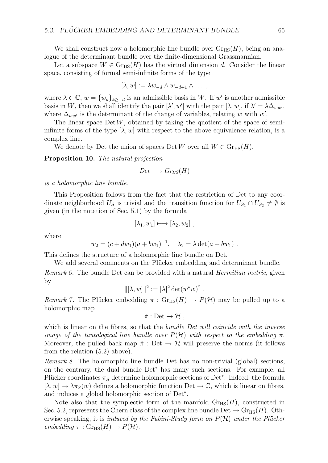We shall construct now a holomorphic line bundle over  $\mathrm{Gr}_{\text{HS}}(H)$ , being an analogue of the determinant bundle over the finite-dimensional Grassmannian.

Let a subspace  $W \in \mathrm{Gr}_{HS}(H)$  has the virtual dimension d. Consider the linear space, consisting of formal semi-infinite forms of the type

$$
[\lambda, w] := \lambda w_{-d} \wedge w_{-d+1} \wedge \dots,
$$

where  $\lambda \in \mathbb{C}$ ,  $w = \{w_k\}_{k>-d}$  is an admissible basis in W. If w' is another admissible basis in *W*, then we shall identify the pair  $[\lambda', w']$  with the pair  $[\lambda, w]$ , if  $\lambda' = \lambda \Delta_{ww'}$ , where  $\Delta_{ww'}$  is the determinant of the change of variables, relating *w* with  $w'$ .

The linear space  $Det W$ , obtained by taking the quotient of the space of semiinfinite forms of the type  $[\lambda, w]$  with respect to the above equivalence relation, is a complex line.

We denote by Det the union of spaces Det *W* over all  $W \in \mathrm{Gr}_{\text{HS}}(H)$ .

**Proposition 10.** *The natural projection*

$$
Det \longrightarrow Gr_{HS}(H)
$$

*is a holomorphic line bundle.*

This Proposition follows from the fact that the restriction of Det to any coordinate neighborhood  $U_S$  is trivial and the transition function for  $U_{S_1} \cap U_{S_2} \neq \emptyset$  is given (in the notation of Sec. 5.1) by the formula

$$
[\lambda_1, w_1] \longmapsto [\lambda_2, w_2],
$$

where

$$
w_2 = (c + dw_1)(a + bw_1)^{-1}, \quad \lambda_2 = \lambda \det(a + bw_1).
$$

This defines the structure of a holomorphic line bundle on Det.

We add several comments on the Plücker embedding and determinant bundle.

*Remark* 6*.* The bundle Det can be provided with a natural *Hermitian metric*, given by

$$
\|[\lambda, w]\|^2 := |\lambda|^2 \det(w^*w)^2.
$$

*Remark* 7. The Plücker embedding  $\pi$ : Gr<sub>HS</sub>( $H$ )  $\rightarrow$  *P*( $\mathcal{H}$ ) may be pulled up to a holomorphic map

$$
\tilde{\pi}: \mathrm{Det} \to \mathcal{H} ,
$$

which is linear on the fibres, so that the *bundle Det will coincide with the inverse image of the tautological line bundle over*  $P(\mathcal{H})$  *with respect to the embedding*  $\pi$ . Moreover, the pulled back map  $\tilde{\pi}$  : Det  $\rightarrow$  H will preserve the norms (it follows from the relation (5.2) above).

*Remark* 8*.* The holomorphic line bundle Det has no non-trivial (global) sections, on the contrary, the dual bundle Det*<sup>∗</sup>* has many such sections. For example, all Plücker coordinates  $\pi_S$  determine holomorphic sections of Det<sup>\*</sup>. Indeed, the formula  $[\lambda, w] \mapsto \lambda \pi_S(w)$  defines a holomorphic function Det  $\to \mathbb{C}$ , which is linear on fibres, and induces a global holomorphic section of Det*<sup>∗</sup>* .

Note also that the symplectic form of the manifold  $\mathrm{Gr}_{\text{HS}}(H)$ , constructed in Sec. 5.2, represents the Chern class of the complex line bundle Det  $\rightarrow$  Gr<sub>HS</sub>(*H*). Otherwise speaking, it is *induced by the Fubini-Study form on*  $P(\mathcal{H})$  *under the Plücker*  $embedding \pi : \text{Gr}_{\text{HS}}(H) \rightarrow P(H).$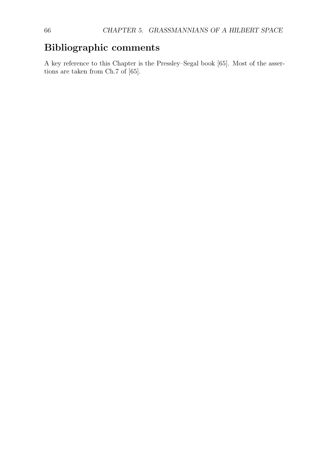### **Bibliographic comments**

A key reference to this Chapter is the Pressley–Segal book [65]. Most of the assertions are taken from Ch.7 of [65].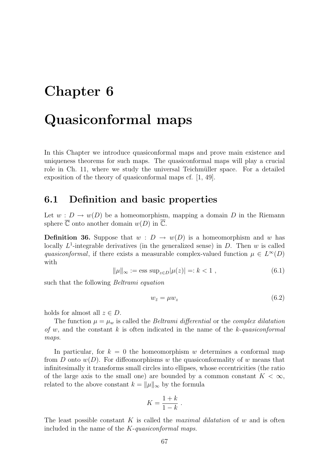## **Chapter 6**

# **Quasiconformal maps**

In this Chapter we introduce quasiconformal maps and prove main existence and uniqueness theorems for such maps. The quasiconformal maps will play a crucial role in Ch. 11, where we study the universal Teichmüller space. For a detailed exposition of the theory of quasiconformal maps cf. [1, 49].

#### **6.1 Definition and basic properties**

Let  $w : D \to w(D)$  be a homeomorphism, mapping a domain *D* in the Riemann sphere  $\overline{\mathbb{C}}$  onto another domain  $w(D)$  in  $\overline{\mathbb{C}}$ .

**Definition 36.** Suppose that  $w : D \to w(D)$  is a homeomorphism and *w* has locally  $L^1$ -integrable derivatives (in the generalized sense) in  $D$ . Then  $w$  is called *quasiconformal*, if there exists a measurable complex-valued function  $\mu \in L^{\infty}(D)$ with

$$
\|\mu\|_{\infty} := \text{ess sup}_{z \in D} |\mu(z)| =: k < 1 \;, \tag{6.1}
$$

such that the following *Beltrami equation*

$$
w_{\bar{z}} = \mu w_z \tag{6.2}
$$

holds for almost all  $z \in D$ .

The function  $\mu = \mu_w$  is called the *Beltrami differential* or the *complex dilatation of w*, and the constant *k* is often indicated in the name of the *k*-*quasiconformal maps*.

In particular, for  $k = 0$  the homeomorphism *w* determines a conformal map from *D* onto  $w(D)$ . For diffeomorphisms *w* the quasiconformality of *w* means that infinitesimally it transforms small circles into ellipses, whose eccentricities (the ratio of the large axis to the small one) are bounded by a common constant  $K < \infty$ , related to the above constant  $k = ||\mu||_{\infty}$  by the formula

$$
K = \frac{1+k}{1-k} .
$$

The least possible constant *K* is called the *maximal dilatation* of *w* and is often included in the name of the *K*-*quasiconformal maps*.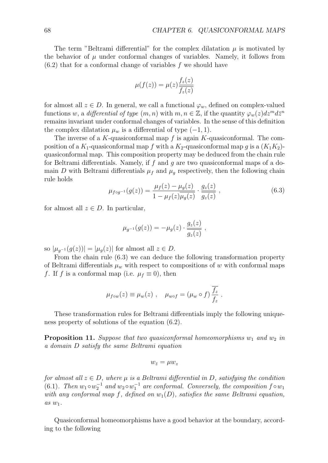The term "Beltrami differential" for the complex dilatation  $\mu$  is motivated by the behavior of  $\mu$  under conformal changes of variables. Namely, it follows from (6.2) that for a conformal change of variables *f* we should have

$$
\mu(f(z)) = \mu(z) \frac{f_z(z)}{\overline{f_z(z)}}
$$

for almost all  $z \in D$ . In general, we call a functional  $\varphi_w$ , defined on complex-valued functions *w*, a *differential of type*  $(m, n)$  with  $m, n \in \mathbb{Z}$ , if the quantity  $\varphi_w(z) dz^m d\bar{z}^n$ remains invariant under conformal changes of variables. In the sense of this definition the complex dilatation  $\mu_w$  is a differential of type  $(-1, 1)$ .

The inverse of a *K*-quasiconformal map *f* is again *K*-quasiconformal. The composition of a  $K_1$ -quasiconformal map *f* with a  $K_2$ -quasiconformal map *q* is a  $(K_1K_2)$ quasiconformal map. This composition property may be deduced from the chain rule for Beltrami differentials. Namely, if *f* and *g* are two quasiconformal maps of a domain *D* with Beltrami differentials  $\mu_f$  and  $\mu_g$  respectively, then the following chain rule holds

$$
\mu_{f \circ g^{-1}}(g(z)) = \frac{\mu_f(z) - \mu_g(z)}{1 - \mu_f(z)\overline{\mu_g(z)}} \cdot \frac{g_z(z)}{g_z(z)}, \qquad (6.3)
$$

for almost all  $z \in D$ . In particular,

$$
\mu_{g^{-1}}(g(z)) = -\mu_g(z) \cdot \frac{g_z(z)}{g_z(z)} ,
$$

so  $|\mu_{q-1}(g(z))| = |\mu_q(z)|$  for almost all  $z \in D$ .

From the chain rule (6.3) we can deduce the following transformation property of Beltrami differentials  $\mu_w$  with respect to compositions of *w* with conformal maps *f*. If *f* is a conformal map (i.e.  $\mu_f \equiv 0$ ), then

$$
\mu_{f \circ w}(z) \equiv \mu_w(z) , \quad \mu_{w \circ f} = (\mu_w \circ f) \frac{\overline{f_z}}{f_z} .
$$

These transformation rules for Beltrami differentials imply the following uniqueness property of solutions of the equation (6.2).

**Proposition 11.** Suppose that two quasiconformal homeomorphisms  $w_1$  and  $w_2$  in *a domain D satisfy the same Beltrami equation*

$$
w_{\bar{z}}=\mu w_z
$$

*for almost all*  $z \in D$ *, where*  $\mu$  *is a Beltrami differential in*  $D$ *, satisfying the condition* (6.1)*. Then*  $w_1 \circ w_2^{-1}$  *and*  $w_2 \circ w_1^{-1}$  *are conformal. Conversely, the composition*  $f \circ w_1$ *with any conformal map*  $f$ *, defined on*  $w_1(D)$ *, satisfies the same Beltrami equation, as w*1*.*

Quasiconformal homeomorphisms have a good behavior at the boundary, according to the following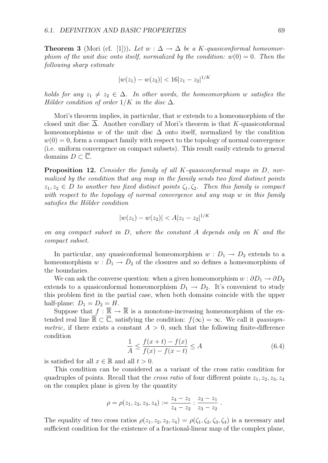**Theorem 3** (Mori (cf. [1])). Let  $w : \Delta \to \Delta$  be a *K*-quasiconformal homeomor*phism of the unit disc onto itself, normalized by the condition:*  $w(0) = 0$ . Then the *following sharp estimate*

$$
|w(z_1) - w(z_2)| < 16|z_1 - z_2|^{1/K}
$$

*holds for any*  $z_1 \neq z_2 \in \Delta$ *. In other words, the homeomorphism w satisfies the Hölder condition of order*  $1/K$  *in the disc*  $\Delta$ *.* 

Mori's theorem implies, in particular, that *w* extends to a homeomorphism of the closed unit disc ∆. Another corollary of Mori's theorem is that *K*-quasiconformal homeomorphisms *w* of the unit disc  $\Delta$  onto itself, normalized by the condition  $w(0) = 0$ , form a compact family with respect to the topology of normal convergence (i.e. uniform convergence on compact subsets). This result easily extends to general domains  $D \subset \overline{\mathbb{C}}$ .

**Proposition 12.** *Consider the family of all K-quasiconformal maps in D, normalized by the condition that any map in the family sends two fixed distinct points*  $z_1, z_2 \in D$  *to another two fixed distinct points*  $\zeta_1, \zeta_2$ *. Then this family is compact with respect to the topology of normal convergence and any map w in this family satisfies the H¨older condition*

$$
|w(z_1) - w(z_2)| < A|z_1 - z_2|^{1/K}
$$

*on any compact subset in D, where the constant A depends only on K and the compact subset.*

In particular, any quasiconformal homeomorphism  $w : D_1 \rightarrow D_2$  extends to a homeomorphism  $w : D_1 \to D_2$  of the closures and so defines a homeomorphism of the boundaries.

We can ask the converse question: when a given homeomorphism  $w : \partial D_1 \to \partial D_2$ extends to a quasiconformal homeomorphism  $D_1 \rightarrow D_2$ . It's convenient to study this problem first in the partial case, when both domains coincide with the upper half-plane:  $D_1 = D_2 = H$ .

Suppose that  $f : \overline{\mathbb{R}} \to \overline{\mathbb{R}}$  is a monotone-increasing homeomorphism of the extended real line  $\mathbb{R} \subset \mathbb{C}$ , satisfying the condition:  $f(\infty) = \infty$ . We call it *quasisymmetric*, if there exists a constant  $A > 0$ , such that the following finite-difference condition

$$
\frac{1}{A} \le \frac{f(x+t) - f(x)}{f(x) - f(x-t)} \le A
$$
\n(6.4)

*.*

is satisfied for all  $x \in \mathbb{R}$  and all  $t > 0$ .

This condition can be considered as a variant of the cross ratio condition for quadruples of points. Recall that the *cross ratio* of four different points  $z_1, z_2, z_3, z_4$ on the complex plane is given by the quantity

$$
\rho = \rho(z_1, z_2, z_3, z_4) := \frac{z_4 - z_1}{z_4 - z_2} : \frac{z_3 - z_1}{z_3 - z_2}
$$

The equality of two cross ratios  $\rho(z_1, z_2, z_3, z_4) = \rho(\zeta_1, \zeta_2, \zeta_3, \zeta_4)$  is a necessary and sufficient condition for the existence of a fractional-linear map of the complex plane,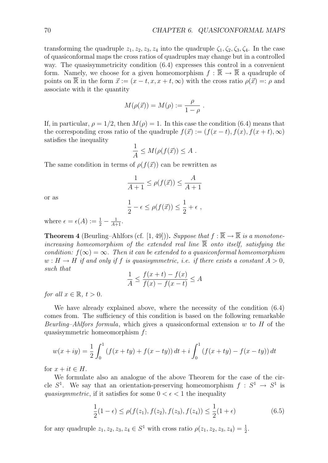transforming the quadruple  $z_1, z_2, z_3, z_4$  into the quadruple  $\zeta_1, \zeta_2, \zeta_3, \zeta_4$ . In the case of quasiconformal maps the cross ratios of quadruples may change but in a controlled way. The quasisymmetricity condition (6.4) expresses this control in a convenient form. Namely, we choose for a given homeomorphism  $f : \mathbb{R} \to \mathbb{R}$  a quadruple of points on  $\overline{\mathbb{R}}$  in the form  $\vec{x} := (x - t, x, x + t, \infty)$  with the cross ratio  $\rho(\vec{x}) =: \rho$  and associate with it the quantity

$$
M(\rho(\vec{x})) = M(\rho) := \frac{\rho}{1 - \rho}.
$$

If, in particular,  $\rho = 1/2$ , then  $M(\rho) = 1$ . In this case the condition (6.4) means that the corresponding cross ratio of the quadruple  $f(\vec{x}) := (f(x-t), f(x), f(x+t), \infty)$ satisfies the inequality

$$
\frac{1}{A} \le M(\rho(f(\vec{x})) \le A .
$$

The same condition in terms of  $\rho(f(\vec{x}))$  can be rewritten as

$$
\frac{1}{A+1} \le \rho(f(\vec{x})) \le \frac{A}{A+1}
$$

or as

$$
\frac{1}{2} - \epsilon \le \rho(f(\vec{x})) \le \frac{1}{2} + \epsilon ,
$$

where  $\epsilon = \epsilon(A) := \frac{1}{2} - \frac{1}{A+1}$ .

**Theorem 4** (Beurling–Ahlfors (cf. [1, 49])). *Suppose that*  $f : \overline{\mathbb{R}} \to \overline{\mathbb{R}}$  *is a monotoneincreasing homeomorphism of the extended real line* R *onto itself, satisfying the condition:*  $f(\infty) = \infty$ . Then it can be extended to a quasiconformal homeomorphism  $w: H \to H$  *if and only if f is quasisymmetric, i.e. if there exists a constant*  $A > 0$ , *such that*

$$
\frac{1}{A} \le \frac{f(x+t) - f(x)}{f(x) - f(x-t)} \le A
$$

*for all*  $x \in \mathbb{R}, t > 0$ .

We have already explained above, where the necessity of the condition (6.4) comes from. The sufficiency of this condition is based on the following remarkable *Beurling–Ahlfors formula*, which gives a quasiconformal extension *w* to *H* of the quasisymmetric homeomorphism *f*:

$$
w(x+iy) = \frac{1}{2} \int_0^1 (f(x+ty) + f(x-ty)) dt + i \int_0^1 (f(x+ty) - f(x-ty)) dt
$$

for  $x + it \in H$ .

We formulate also an analogue of the above Theorem for the case of the circle  $S^1$ . We say that an orientation-preserving homeomorphism  $f : S^1 \to S^1$  is *quasisymmetric*, if it satisfies for some  $0 < \epsilon < 1$  the inequality

$$
\frac{1}{2}(1-\epsilon) \le \rho(f(z_1), f(z_2), f(z_3), f(z_4)) \le \frac{1}{2}(1+\epsilon)
$$
\n(6.5)

for any quadruple  $z_1, z_2, z_3, z_4 \in S^1$  with cross ratio  $\rho(z_1, z_2, z_3, z_4) = \frac{1}{2}$ .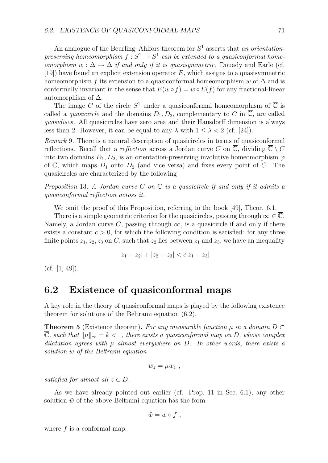An analogue of the Beurling–Ahlfors theorem for *S*<sup>1</sup> asserts that *an orientationpreserving homeomorphism*  $f : S^1 \to S^1$  *can be extended to a quasiconformal homeomorphism*  $w : \Delta \to \Delta$  *if and only if it is quasisymmetric.* Douady and Earle (cf. [19]) have found an explicit extension operator *E*, which assigns to a quasisymmetric homeomorphism *f* its extension to a quasiconformal homeomorphism  $w$  of  $\Delta$  and is conformally invariant in the sense that  $E(w \circ f) = w \circ E(f)$  for any fractional-linear automorphism of  $\Delta$ .

The image C of the circle  $S^1$  under a quasiconformal homeomorphism of  $\overline{C}$  is called a *quasicircle* and the domains  $D_1, D_2$ , complementary to *C* in  $\overline{\mathbb{C}}$ , are called *quasidiscs*. All quasicircles have zero area and their Hausdorff dimension is always less than 2. However, it can be equal to any  $\lambda$  with  $1 \leq \lambda < 2$  (cf. [24]).

*Remark* 9*.* There is a natural description of quasicircles in terms of quasiconformal reflections. Recall that a *reflection* across a Jordan curve *C* on  $\overline{\mathbb{C}}$ , dividing  $\overline{\mathbb{C}} \setminus C$ into two domains  $D_1, D_2$ , is an orientation-preserving involutive homeomorphism  $\varphi$ of  $\overline{\mathbb{C}}$ , which maps  $D_1$  onto  $D_2$  (and vice versa) and fixes every point of *C*. The quasicircles are characterized by the following

*Proposition* 13*. A Jordan curve*  $C$  *on*  $\overline{C}$  *is a quasicircle if and only if it admits a quasiconformal reflection across it.*

We omit the proof of this Proposition, referring to the book [49], Theor. 6.1.

There is a simple geometric criterion for the quasicircles, passing through  $\infty \in \overline{\mathbb{C}}$ . Namely, a Jordan curve *C*, passing through  $\infty$ , is a quasicircle if and only if there exists a constant  $c > 0$ , for which the following condition is satisfied: for any three finite points  $z_1, z_2, z_3$  on *C*, such that  $z_2$  lies between  $z_1$  and  $z_3$ , we have an inequality

$$
|z_1 - z_2| + |z_2 - z_3| < c|z_1 - z_3|
$$

(cf. [1, 49]).

### **6.2 Existence of quasiconformal maps**

A key role in the theory of quasiconformal maps is played by the following existence theorem for solutions of the Beltrami equation (6.2).

**Theorem 5** (Existence theorem). For any measurable function  $\mu$  in a domain  $D \subset$  $\overline{\mathbb{C}}$ *, such that*  $||\mu||_{\infty} = k < 1$ *, there exists a quasiconformal map on D, whose complex*  $dilatation agrees with  $\mu$  almost everywhere on  $D$ . In other words, there exists a$ *solution w of the Beltrami equation*

$$
w_{\bar{z}} = \mu w_z \text{ ,}
$$

*satisfied for almost all*  $z \in D$ *.* 

As we have already pointed out earlier (cf. Prop. 11 in Sec. 6.1), any other solution  $\tilde{w}$  of the above Beltrami equation has the form

$$
\tilde{w}=w\circ f\ ,
$$

where  $f$  is a conformal map.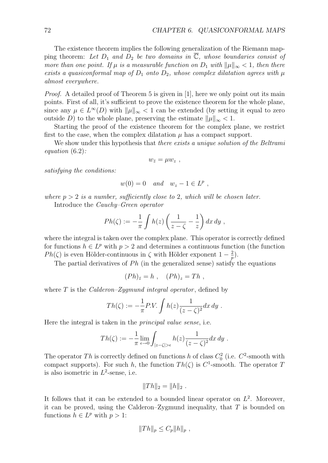The existence theorem implies the following generalization of the Riemann mapping theorem: Let  $D_1$  and  $D_2$  be two domains in  $\overline{\mathbb{C}}$ , whose boundaries consist of *more than one point. If*  $\mu$  *is a measurable function on*  $D_1$  *with*  $\|\mu\|_{\infty} < 1$ *, then there exists a quasiconformal map of*  $D_1$  *onto*  $D_2$ *, whose complex dilatation agrees with*  $\mu$ *almost everywhere.*

*Proof.* A detailed proof of Theorem 5 is given in [1], here we only point out its main points. First of all, it's sufficient to prove the existence theorem for the whole plane, since any  $\mu \in L^{\infty}(D)$  with  $\|\mu\|_{\infty} < 1$  can be extended (by setting it equal to zero outside *D*) to the whole plane, preserving the estimate  $||\mu||_{\infty} < 1$ .

Starting the proof of the existence theorem for the complex plane, we restrict first to the case, when the complex dilatation  $\mu$  has a compact support.

We show under this hypothesis that *there exists a unique solution of the Beltrami equation* (6.2)*:*

 $w_{\bar{z}} = \mu w_z$ ,

*satisfying the conditions:*

$$
w(0) = 0 \quad and \quad w_z - 1 \in L^p,
$$

*where*  $p > 2$  *is a number, sufficiently close to* 2*, which will be chosen later.* 

Introduce the *Cauchy–Green operator*

$$
Ph(\zeta) := -\frac{1}{\pi} \int h(z) \left( \frac{1}{z - \zeta} - \frac{1}{z} \right) dx dy ,
$$

where the integral is taken over the complex plane. This operator is correctly defined for functions  $h \in L^p$  with  $p > 2$  and determines a continuous function (the function *Ph*( $\zeta$ ) is even Hölder-continuous in  $\zeta$  with Hölder exponent  $1 - \frac{2}{p}$ ).

The partial derivatives of  $Ph$  (in the generalized sense) satisfy the equations

$$
(Ph)_{\bar{z}} = h , (Ph)_{z} = Th ,
$$

where *T* is the *Calderon–Zygmund integral operator* , defined by

$$
Th(\zeta) := -\frac{1}{\pi} P.V. \int h(z) \frac{1}{(z-\zeta)^2} dx dy.
$$

Here the integral is taken in the *principal value sense*, i.e.

$$
Th(\zeta) := -\frac{1}{\pi} \lim_{\epsilon \to 0} \int_{|z-\zeta|>\epsilon} h(z) \frac{1}{(z-\zeta)^2} dx dy.
$$

The operator *Th* is correctly defined on functions *h* of class  $C_0^2$  (i.e.  $C^2$ -smooth with compact supports). For such *h*, the function  $Th(\zeta)$  is  $C^1$ -smooth. The operator *T* is also isometric in  $L^2$ -sense, i.e.

$$
||Th||_2 = ||h||_2.
$$

It follows that it can be extended to a bounded linear operator on  $L^2$ . Moreover, it can be proved, using the Calderon–Zygmund inequality, that *T* is bounded on functions  $h \in L^p$  with  $p > 1$ :

$$
||Th||_p \leq C_p ||h||_p,
$$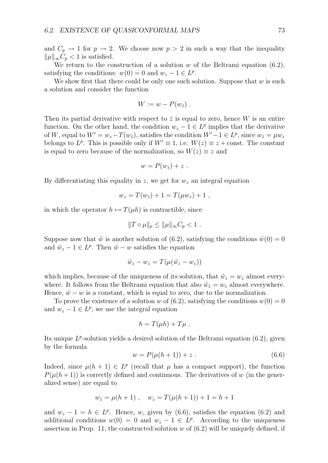and  $C_p \rightarrow 1$  for  $p \rightarrow 2$ . We choose now  $p > 2$  in such a way that the inequality  $||\mu||_{\infty} C_p$  < 1 is satisfied.

We return to the construction of a solution *w* of the Beltrami equation (6.2), satisfying the conditions:  $w(0) = 0$  and  $w_z - 1 \in L^p$ .

We show first that there could be only one such solution. Suppose that *w* is such a solution and consider the function

$$
W := w - P(w_{\bar{z}}) .
$$

Then its partial derivative with respect to  $\bar{z}$  is equal to zero, hence *W* is an entire function. On the other hand, the condition  $w_z - 1 \in L^p$  implies that the derivative of *W*, equal to  $W' = w_z - T(w_{\bar{z}})$ , satisfies the condition  $W' - 1 \in L^p$ , since  $w_{\bar{z}} = \mu w_z$ belongs to  $L^p$ . This is possible only if  $W' \equiv 1$ , i.e.  $W(z) \equiv z + \text{const.}$  The constant is equal to zero because of the normalization, so  $W(z) \equiv z$  and

$$
w = P(w_{\bar{z}}) + z.
$$

By differentiating this equality in  $z$ , we get for  $w<sub>z</sub>$  an integral equation

$$
w_z = T(w_{\bar{z}}) + 1 = T(\mu w_z) + 1,
$$

in which the operator  $h \mapsto T(\mu h)$  is contractible, since

$$
||T \circ \mu||_p \le ||\mu||_{\infty} C_p < 1.
$$

Suppose now that  $\tilde{w}$  is another solution of (6.2), satisfying the conditions  $\tilde{w}(0) = 0$ and  $\tilde{w}_z - 1 \in L^p$ . Then  $\tilde{w} - w$  satisfies the equation

$$
\tilde{w}_z - w_z = T(\mu(\tilde{w}_z - w_z))
$$

which implies, because of the uniqueness of its solution, that  $\tilde{w}_z = w_z$  almost everywhere. It follows from the Beltrami equation that also  $\tilde{w}_{\bar{z}} = w_{\bar{z}}$  almost everywhere. Hence,  $\tilde{w} - w$  is a constant, which is equal to zero, due to the normalization.

To prove the existence of a solution *w* of (6.2), satisfying the conditions  $w(0) = 0$ and  $w_z - 1 \in L^p$ , we use the integral equation

$$
h = T(\mu h) + T\mu.
$$

Its unique  $L^p$ -solution yields a desired solution of the Beltrami equation (6.2), given by the formula

$$
w = P(\mu(h+1)) + z . \t\t(6.6)
$$

Indeed, since  $\mu(h+1) \in L^p$  (recall that  $\mu$  has a compact support), the function  $P(\mu(h+1))$  is correctly defined and continuous. The derivatives of *w* (in the generalized sense) are equal to

$$
w_{\bar{z}} = \mu(h+1) , \quad w_z = T(\mu(h+1)) + 1 = h+1
$$

and  $w_z - 1 = h \in L^p$ . Hence, *w*, given by (6.6), satisfies the equation (6.2) and additional conditions  $w(0) = 0$  and  $w_z - 1 \in L^p$ . According to the uniqueness assertion in Prop. 11, the constructed solution *w* of (6.2) will be uniquely defined, if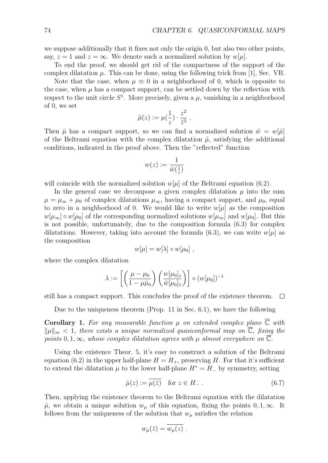we suppose additionally that it fixes not only the origin 0, but also two other points, say,  $z = 1$  and  $z = \infty$ . We denote such a normalized solution by  $w[\mu]$ .

To end the proof, we should get rid of the compactness of the support of the complex dilatation  $\mu$ . This can be done, using the following trick from [1], Sec. VB.

Note that the case, when  $\mu \equiv 0$  in a neighborhood of 0, which is opposite to the case, when  $\mu$  has a compact support, can be settled down by the reflection with respect to the unit circle  $S^1$ . More precisely, given a  $\mu$ , vanishing in a neighborhood of 0, we set

$$
\tilde{\mu}(z) := \mu(\frac{1}{z}) \cdot \frac{z^2}{\bar{z}^2} .
$$

Then  $\tilde{\mu}$  has a compact support, so we can find a normalized solution  $\tilde{w} = w[\tilde{\mu}]$ of the Beltrami equation with the complex dilatation  $\tilde{\mu}$ , satisfying the additional conditions, indicated in the proof above. Then the "reflected" function

$$
w(z):=\frac{1}{\tilde{w}(\frac{1}{z})}
$$

will coincide with the normalized solution  $w[\mu]$  of the Beltrami equation (6.2).

In the general case we decompose a given complex dilatation  $\mu$  into the sum  $\mu = \mu_{\infty} + \mu_0$  of complex dilatations  $\mu_{\infty}$ , having a compact support, and  $\mu_0$ , equal to zero in a neighborhood of 0. We would like to write  $w[\mu]$  as the composition  $w[\mu_{\infty}] \circ w[\mu_0]$  of the corresponding normalized solutions  $w[\mu_{\infty}]$  and  $w[\mu_0]$ . But this is not possible, unfortunately, due to the composition formula (6.3) for complex dilatations. However, taking into account the formula (6.3), we can write  $w[\mu]$  as the composition

$$
w[\mu] = w[\lambda] \circ w[\mu_0],
$$

where the complex dilatation

$$
\lambda := \left[ \left( \frac{\mu - \mu_0}{1 - \mu \bar{\mu}_0} \right) \left( \frac{w[\mu_0]_z}{\bar{w}[\mu_0]_{\bar{z}}} \right) \right] \circ (w[\mu_0])^{-1}
$$

still has a compact support. This concludes the proof of the existence theorem.  $\Box$ 

Due to the uniqueness theorem (Prop. 11 in Sec. 6.1), we have the following

**Corollary 1.** For any measurable function  $\mu$  on extended complex plane  $\overline{\mathbb{C}}$  with *∥µ∥<sup>∞</sup> <* 1*, there exists a unique normalized quasiconformal map on* C*, fixing the points* 0*,* 1*,*  $\infty$ *, whose complex dilatation agrees with*  $\mu$  *almost everywhere on*  $\overline{\mathbb{C}}$ *.* 

Using the existence Theor. 5, it's easy to construct a solution of the Beltrami equation (6.2) in the upper half-plane  $H = H_{+}$ , preserving *H*. For that it's sufficient to extend the dilatation  $\mu$  to the lower half-plane  $H^* = H_-\$  by symmetry, setting

$$
\hat{\mu}(z) := \overline{\mu(\bar{z})} \quad \text{for } z \in H_- \ . \tag{6.7}
$$

Then, applying the existence theorem to the Beltrami equation with the dilatation  $\hat{\mu}$ , we obtain a unique solution  $w_{\mu}$  of this equation, fixing the points 0, 1,  $\infty$ . It follows from the uniqueness of the solution that  $w_\mu$  satisfies the relation

$$
w_{\mu}(\bar{z}) = w_{\mu}(z) .
$$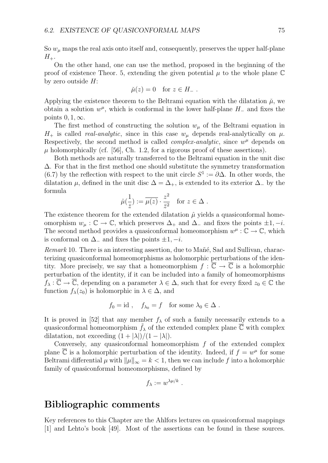So  $w<sub>\mu</sub>$  maps the real axis onto itself and, consequently, preserves the upper half-plane  $H_{+}$ .

On the other hand, one can use the method, proposed in the beginning of the proof of existence Theor. 5, extending the given potential  $\mu$  to the whole plane  $\mathbb C$ by zero outside *H*:

$$
\check{\mu}(z) = 0 \quad \text{for } z \in H_-.
$$

Applying the existence theorem to the Beltrami equation with the dilatation  $\mu$ , we obtain a solution  $w^{\mu}$ , which is conformal in the lower half-plane  $H_-\$  and fixes the points 0*,* 1*,∞*.

The first method of constructing the solution  $w_\mu$  of the Beltrami equation in  $H_{+}$  is called *real-analytic*, since in this case  $w_{\mu}$  depends real-analytically on  $\mu$ . Respectively, the second method is called *complex-analytic*, since  $w^{\mu}$  depends on  $\mu$  holomorphically (cf. [56], Ch. 1.2, for a rigorous proof of these assertions).

Both methods are naturally transferred to the Beltrami equation in the unit disc ∆. For that in the first method one should substitute the symmetry transformation (6.7) by the reflection with respect to the unit circle  $S^1 := \partial \Delta$ . In other words, the dilatation  $\mu$ , defined in the unit disc  $\Delta = \Delta_+$ , is extended to its exterior  $\Delta_-$  by the formula

$$
\hat{\mu}(\frac{1}{\bar{z}}):=\overline{\mu(z)}\cdot \frac{z^2}{\bar{z}^2}\quad \text{for }z\in \Delta\ .
$$

The existence theorem for the extended dilatation  $\hat{\mu}$  yields a quasiconformal homeomorphism  $w_\mu : \mathbb{C} \to \mathbb{C}$ , which preserves  $\Delta_+$  and  $\Delta_-$  and fixes the points  $\pm 1, -i$ . The second method provides a quasiconformal homeomorphism  $w^{\mu}$  :  $\mathbb{C} \to \mathbb{C}$ , which is conformal on ∆*<sup>−</sup>* and fixes the points *±*1*, −i*.

*Remark* 10. There is an interesting assertion, due to Mañé, Sad and Sullivan, characterizing quasiconformal homeomorphisms as holomorphic perturbations of the identity. More precisely, we say that a homeomorphism  $f : \overline{\mathbb{C}} \to \overline{\mathbb{C}}$  is a holomorphic perturbation of the identity, if it can be included into a family of homeomorphisms  $f_{\lambda}: \mathbb{C} \to \mathbb{C}$ , depending on a parameter  $\lambda \in \Delta$ , such that for every fixed  $z_0 \in \mathbb{C}$  the function  $f_{\lambda}(z_0)$  is holomorphic in  $\lambda \in \Delta$ , and

$$
f_0 = id
$$
,  $f_{\lambda_0} = f$  for some  $\lambda_0 \in \Delta$ .

It is proved in [52] that any member  $f_{\lambda}$  of such a family necessarily extends to a quasiconformal homeomorphism  $f_{\lambda}$  of the extended complex plane  $\overline{C}$  with complex dilatation, not exceeding  $(1 + |\lambda|)/(1 - |\lambda|)$ .

Conversely, any quasiconformal homeomorphism *f* of the extended complex plane C is a holomorphic perturbation of the identity. Indeed, if  $f = w^{\mu}$  for some Beltrami differential  $\mu$  with  $\|\mu\|_{\infty} = k < 1$ , then we can include f into a holomorphic family of quasiconformal homeomorphisms, defined by

$$
f_{\lambda} := w^{\lambda \mu / k}.
$$

## **Bibliographic comments**

Key references to this Chapter are the Ahlfors lectures on quasiconformal mappings [1] and Lehto's book [49]. Most of the assertions can be found in these sources.